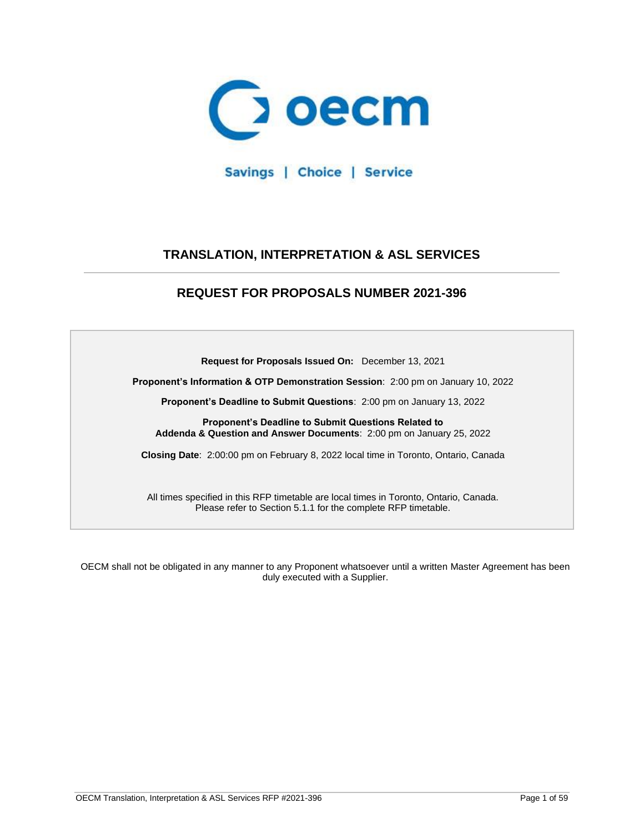

Savings | Choice | Service

# **TRANSLATION, INTERPRETATION & ASL SERVICES**

# **REQUEST FOR PROPOSALS NUMBER 2021-396**

**Request for Proposals Issued On:** December 13, 2021

**Proponent's Information & OTP Demonstration Session**: 2:00 pm on January 10, 2022

**Proponent's Deadline to Submit Questions**: 2:00 pm on January 13, 2022

**Proponent's Deadline to Submit Questions Related to Addenda & Question and Answer Documents**: 2:00 pm on January 25, 2022

**Closing Date**:2:00:00 pm on February 8, 2022 local time in Toronto, Ontario, Canada

All times specified in this RFP timetable are local times in Toronto, Ontario, Canada. Please refer to Section 5.1.1 for the complete RFP timetable.

OECM shall not be obligated in any manner to any Proponent whatsoever until a written Master Agreement has been duly executed with a Supplier.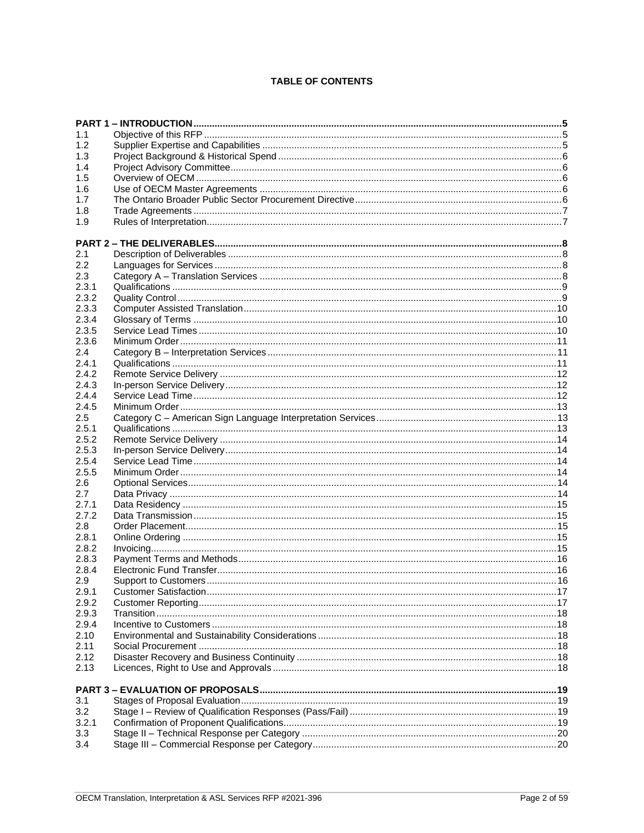# **TABLE OF CONTENTS**

| 1.1     |  |
|---------|--|
| 1.2     |  |
| 1.3     |  |
| 1.4     |  |
| 1.5     |  |
| 1.6     |  |
| 1.7     |  |
| 1.8     |  |
| 1.9     |  |
|         |  |
|         |  |
| 2.1     |  |
| 2.2     |  |
| 2.3     |  |
| 2.3.1   |  |
| 2.3.2   |  |
| 2.3.3   |  |
| 2.3.4   |  |
| 2.3.5   |  |
| 2.3.6   |  |
| 2.4     |  |
| 2.4.1   |  |
| 2.4.2   |  |
| 2.4.3   |  |
| 2.4.4   |  |
| 2.4.5   |  |
| $2.5\,$ |  |
| 2.5.1   |  |
| 2.5.2   |  |
| 2.5.3   |  |
| 2.5.4   |  |
| 2.5.5   |  |
| 2.6     |  |
| 2.7     |  |
| 2.7.1   |  |
| 2.7.2   |  |
| 2.8     |  |
| 2.8.1   |  |
| 2.8.2   |  |
| 2.8.3   |  |
| 2.8.4   |  |
| 2.9     |  |
| 2.9.1   |  |
| 2.9.2   |  |
| 2.9.3   |  |
| 2.9.4   |  |
| 2.10    |  |
| 2.11    |  |
| 2.12    |  |
| 2.13    |  |
|         |  |
| 3.1     |  |
| 3.2     |  |
| 3.2.1   |  |
| 3.3     |  |
| 3.4     |  |
|         |  |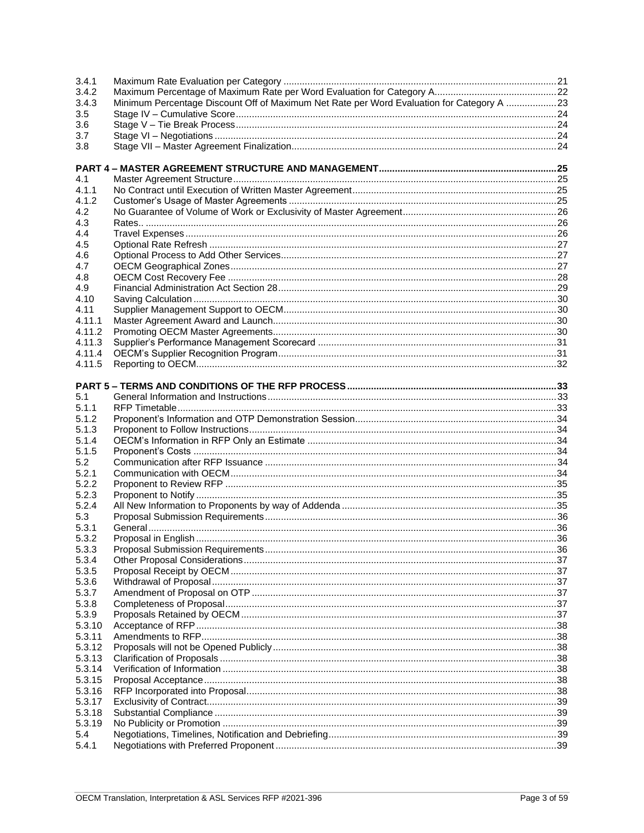| 3.4.1  |                                                                                           |  |
|--------|-------------------------------------------------------------------------------------------|--|
| 3.4.2  |                                                                                           |  |
| 3.4.3  | Minimum Percentage Discount Off of Maximum Net Rate per Word Evaluation for Category A 23 |  |
| 3.5    |                                                                                           |  |
| 3.6    |                                                                                           |  |
| 3.7    |                                                                                           |  |
| 3.8    |                                                                                           |  |
|        |                                                                                           |  |
|        |                                                                                           |  |
| 4.1    |                                                                                           |  |
| 4.1.1  |                                                                                           |  |
| 4.1.2  |                                                                                           |  |
| 4.2    |                                                                                           |  |
| 4.3    |                                                                                           |  |
| 4.4    |                                                                                           |  |
| 4.5    |                                                                                           |  |
| 4.6    |                                                                                           |  |
| 4.7    |                                                                                           |  |
| 4.8    |                                                                                           |  |
| 4.9    |                                                                                           |  |
| 4.10   |                                                                                           |  |
| 4.11   |                                                                                           |  |
| 4.11.1 |                                                                                           |  |
| 4.11.2 |                                                                                           |  |
| 4.11.3 |                                                                                           |  |
| 4.11.4 |                                                                                           |  |
| 4.11.5 |                                                                                           |  |
|        |                                                                                           |  |
|        |                                                                                           |  |
| 5.1    |                                                                                           |  |
| 5.1.1  |                                                                                           |  |
| 5.1.2  |                                                                                           |  |
| 5.1.3  |                                                                                           |  |
| 5.1.4  |                                                                                           |  |
| 5.1.5  |                                                                                           |  |
| 5.2    |                                                                                           |  |
| 5.2.1  |                                                                                           |  |
| 5.2.2  |                                                                                           |  |
| 5.2.3  |                                                                                           |  |
| 5.2.4  |                                                                                           |  |
| 5.3    |                                                                                           |  |
| 5.3.1  |                                                                                           |  |
| 5.3.2  |                                                                                           |  |
| 5.3.3  |                                                                                           |  |
| 5.3.4  |                                                                                           |  |
| 5.3.5  |                                                                                           |  |
| 5.3.6  |                                                                                           |  |
| 5.3.7  |                                                                                           |  |
| 5.3.8  |                                                                                           |  |
| 5.3.9  |                                                                                           |  |
| 5.3.10 |                                                                                           |  |
| 5.3.11 |                                                                                           |  |
| 5.3.12 |                                                                                           |  |
| 5.3.13 |                                                                                           |  |
| 5.3.14 |                                                                                           |  |
| 5.3.15 |                                                                                           |  |
| 5.3.16 |                                                                                           |  |
| 5.3.17 |                                                                                           |  |
| 5.3.18 |                                                                                           |  |
| 5.3.19 |                                                                                           |  |
| 5.4    |                                                                                           |  |
| 5.4.1  |                                                                                           |  |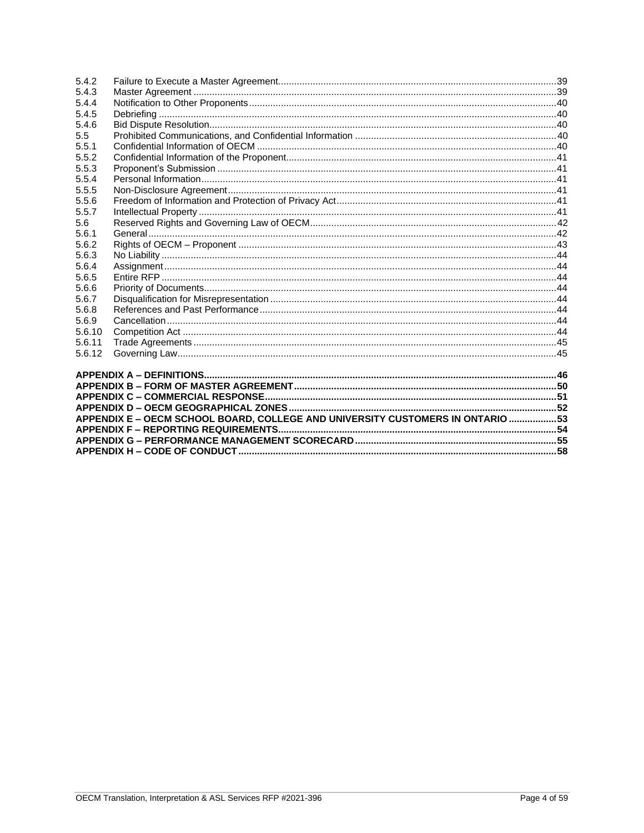| 5.4.2  |                                                                                 |  |  |
|--------|---------------------------------------------------------------------------------|--|--|
| 5.4.3  |                                                                                 |  |  |
| 5.4.4  |                                                                                 |  |  |
| 5.4.5  |                                                                                 |  |  |
| 5.4.6  |                                                                                 |  |  |
| 5.5    |                                                                                 |  |  |
| 5.5.1  |                                                                                 |  |  |
| 5.5.2  |                                                                                 |  |  |
| 5.5.3  |                                                                                 |  |  |
| 5.5.4  |                                                                                 |  |  |
| 5.5.5  |                                                                                 |  |  |
| 5.5.6  |                                                                                 |  |  |
| 5.5.7  |                                                                                 |  |  |
| 5.6    |                                                                                 |  |  |
| 5.6.1  |                                                                                 |  |  |
| 5.6.2  |                                                                                 |  |  |
| 5.6.3  |                                                                                 |  |  |
| 5.6.4  |                                                                                 |  |  |
| 5.6.5  |                                                                                 |  |  |
| 5.6.6  |                                                                                 |  |  |
| 5.6.7  |                                                                                 |  |  |
| 5.6.8  |                                                                                 |  |  |
| 5.6.9  |                                                                                 |  |  |
| 5.6.10 |                                                                                 |  |  |
| 5.6.11 |                                                                                 |  |  |
| 5.6.12 |                                                                                 |  |  |
|        |                                                                                 |  |  |
|        |                                                                                 |  |  |
|        |                                                                                 |  |  |
|        |                                                                                 |  |  |
|        |                                                                                 |  |  |
|        | APPENDIX E - OECM SCHOOL BOARD, COLLEGE AND UNIVERSITY CUSTOMERS IN ONTARIO  53 |  |  |
|        |                                                                                 |  |  |
|        |                                                                                 |  |  |
|        |                                                                                 |  |  |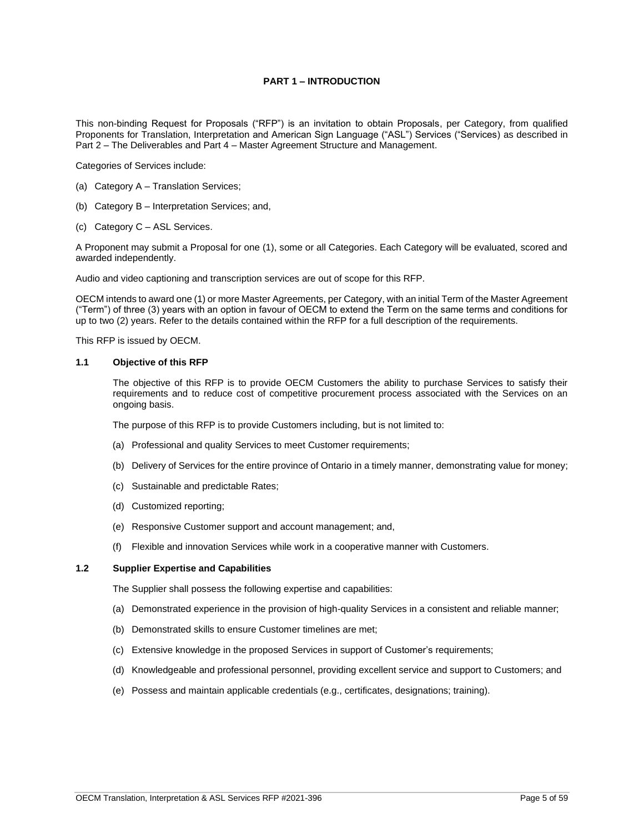# **PART 1 – INTRODUCTION**

<span id="page-4-0"></span>This non-binding Request for Proposals ("RFP") is an invitation to obtain Proposals, per Category, from qualified Proponents for Translation, Interpretation and American Sign Language ("ASL") Services ("Services) as described in Part 2 – The Deliverables and Part 4 – Master Agreement Structure and Management.

Categories of Services include:

- (a) Category A Translation Services;
- (b) Category B Interpretation Services; and,
- (c) Category C ASL Services.

A Proponent may submit a Proposal for one (1), some or all Categories. Each Category will be evaluated, scored and awarded independently.

Audio and video captioning and transcription services are out of scope for this RFP.

OECM intends to award one (1) or more Master Agreements, per Category, with an initial Term of the Master Agreement ("Term") of three (3) years with an option in favour of OECM to extend the Term on the same terms and conditions for up to two (2) years. Refer to the details contained within the RFP for a full description of the requirements.

This RFP is issued by OECM.

#### <span id="page-4-1"></span>**1.1 Objective of this RFP**

The objective of this RFP is to provide OECM Customers the ability to purchase Services to satisfy their requirements and to reduce cost of competitive procurement process associated with the Services on an ongoing basis.

The purpose of this RFP is to provide Customers including, but is not limited to:

- (a) Professional and quality Services to meet Customer requirements;
- (b) Delivery of Services for the entire province of Ontario in a timely manner, demonstrating value for money;
- (c) Sustainable and predictable Rates;
- (d) Customized reporting;
- (e) Responsive Customer support and account management; and,
- (f) Flexible and innovation Services while work in a cooperative manner with Customers.

#### <span id="page-4-2"></span>**1.2 Supplier Expertise and Capabilities**

The Supplier shall possess the following expertise and capabilities:

- (a) Demonstrated experience in the provision of high-quality Services in a consistent and reliable manner;
- (b) Demonstrated skills to ensure Customer timelines are met;
- (c) Extensive knowledge in the proposed Services in support of Customer's requirements;
- (d) Knowledgeable and professional personnel, providing excellent service and support to Customers; and
- (e) Possess and maintain applicable credentials (e.g., certificates, designations; training).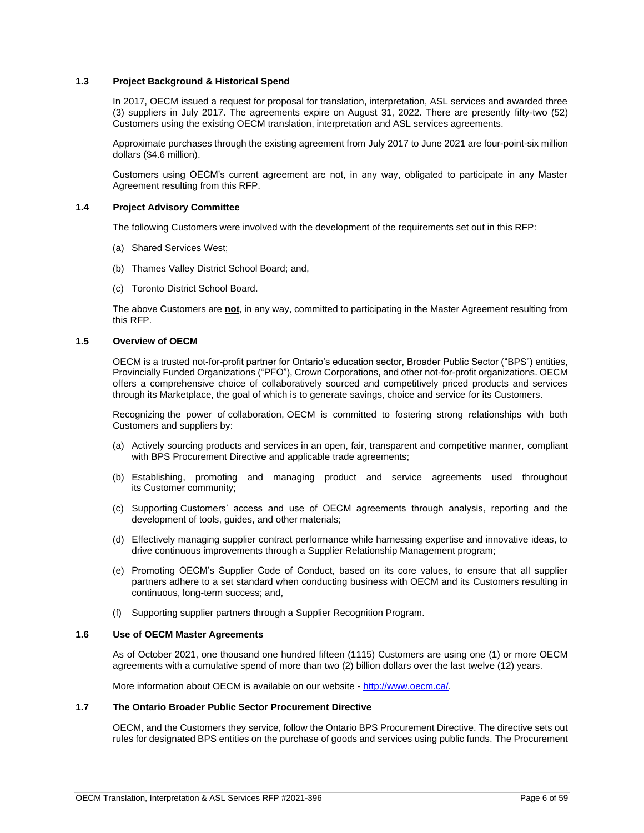# <span id="page-5-0"></span>**1.3 Project Background & Historical Spend**

In 2017, OECM issued a request for proposal for translation, interpretation, ASL services and awarded three (3) suppliers in July 2017. The agreements expire on August 31, 2022. There are presently fifty-two (52) Customers using the existing OECM translation, interpretation and ASL services agreements.

Approximate purchases through the existing agreement from July 2017 to June 2021 are four-point-six million dollars (\$4.6 million).

Customers using OECM's current agreement are not, in any way, obligated to participate in any Master Agreement resulting from this RFP.

# <span id="page-5-1"></span>**1.4 Project Advisory Committee**

The following Customers were involved with the development of the requirements set out in this RFP:

- (a) Shared Services West;
- (b) Thames Valley District School Board; and,
- (c) Toronto District School Board.

The above Customers are **not**, in any way, committed to participating in the Master Agreement resulting from this RFP.

# <span id="page-5-2"></span>**1.5 Overview of OECM**

OECM is a trusted not-for-profit partner for Ontario's education sector, Broader Public Sector ("BPS") entities, Provincially Funded Organizations ("PFO"), Crown Corporations, and other not-for-profit organizations. OECM offers a comprehensive choice of collaboratively sourced and competitively priced products and services through its Marketplace, the goal of which is to generate savings, choice and service for its Customers.

Recognizing the power of collaboration, OECM is committed to fostering strong relationships with both Customers and suppliers by:

- (a) Actively sourcing products and services in an open, fair, transparent and competitive manner, compliant with BPS Procurement Directive and applicable trade agreements;
- (b) Establishing, promoting and managing product and service agreements used throughout its Customer community;
- (c) Supporting Customers' access and use of OECM agreements through analysis, reporting and the development of tools, guides, and other materials;
- (d) Effectively managing supplier contract performance while harnessing expertise and innovative ideas, to drive continuous improvements through a Supplier Relationship Management program;
- (e) Promoting OECM's Supplier Code of Conduct, based on its core values, to ensure that all supplier partners adhere to a set standard when conducting business with OECM and its Customers resulting in continuous, long-term success; and,
- (f) Supporting supplier partners through a Supplier Recognition Program.

#### <span id="page-5-3"></span>**1.6 Use of OECM Master Agreements**

As of October 2021, one thousand one hundred fifteen (1115) Customers are using one (1) or more OECM agreements with a cumulative spend of more than two (2) billion dollars over the last twelve (12) years.

More information about OECM is available on our website - [http://www.oecm.ca/.](http://www.oecm.ca/)

#### <span id="page-5-4"></span>**1.7 The Ontario Broader Public Sector Procurement Directive**

OECM, and the Customers they service, follow the Ontario BPS Procurement Directive. The directive sets out rules for designated BPS entities on the purchase of goods and services using public funds. The Procurement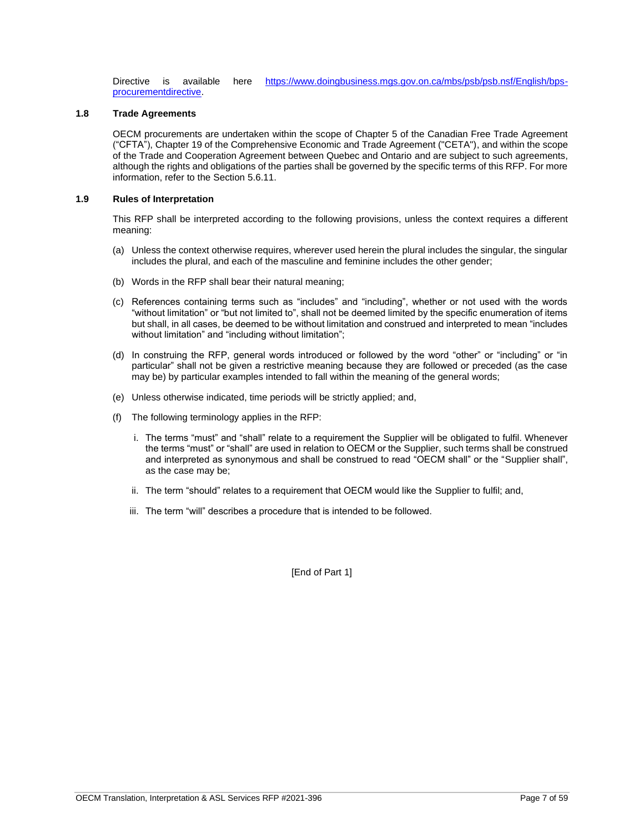Directive is available here [https://www.doingbusiness.mgs.gov.on.ca/mbs/psb/psb.nsf/English/bps](https://www.doingbusiness.mgs.gov.on.ca/mbs/psb/psb.nsf/English/bps-procurementdirective)[procurementdirective.](https://www.doingbusiness.mgs.gov.on.ca/mbs/psb/psb.nsf/English/bps-procurementdirective)

### <span id="page-6-0"></span>**1.8 Trade Agreements**

OECM procurements are undertaken within the scope of Chapter 5 of the Canadian Free Trade Agreement ("CFTA"), Chapter 19 of the Comprehensive Economic and Trade Agreement ("CETA"), and within the scope of the Trade and Cooperation Agreement between Quebec and Ontario and are subject to such agreements, although the rights and obligations of the parties shall be governed by the specific terms of this RFP. For more information, refer to the Section 5.6.11.

# <span id="page-6-1"></span>**1.9 Rules of Interpretation**

This RFP shall be interpreted according to the following provisions, unless the context requires a different meaning:

- (a) Unless the context otherwise requires, wherever used herein the plural includes the singular, the singular includes the plural, and each of the masculine and feminine includes the other gender;
- (b) Words in the RFP shall bear their natural meaning;
- (c) References containing terms such as "includes" and "including", whether or not used with the words "without limitation" or "but not limited to", shall not be deemed limited by the specific enumeration of items but shall, in all cases, be deemed to be without limitation and construed and interpreted to mean "includes without limitation" and "including without limitation";
- (d) In construing the RFP, general words introduced or followed by the word "other" or "including" or "in particular" shall not be given a restrictive meaning because they are followed or preceded (as the case may be) by particular examples intended to fall within the meaning of the general words;
- (e) Unless otherwise indicated, time periods will be strictly applied; and,
- (f) The following terminology applies in the RFP:
	- i. The terms "must" and "shall" relate to a requirement the Supplier will be obligated to fulfil. Whenever the terms "must" or "shall" are used in relation to OECM or the Supplier, such terms shall be construed and interpreted as synonymous and shall be construed to read "OECM shall" or the "Supplier shall", as the case may be;
	- ii. The term "should" relates to a requirement that OECM would like the Supplier to fulfil; and,
	- iii. The term "will" describes a procedure that is intended to be followed.

[End of Part 1]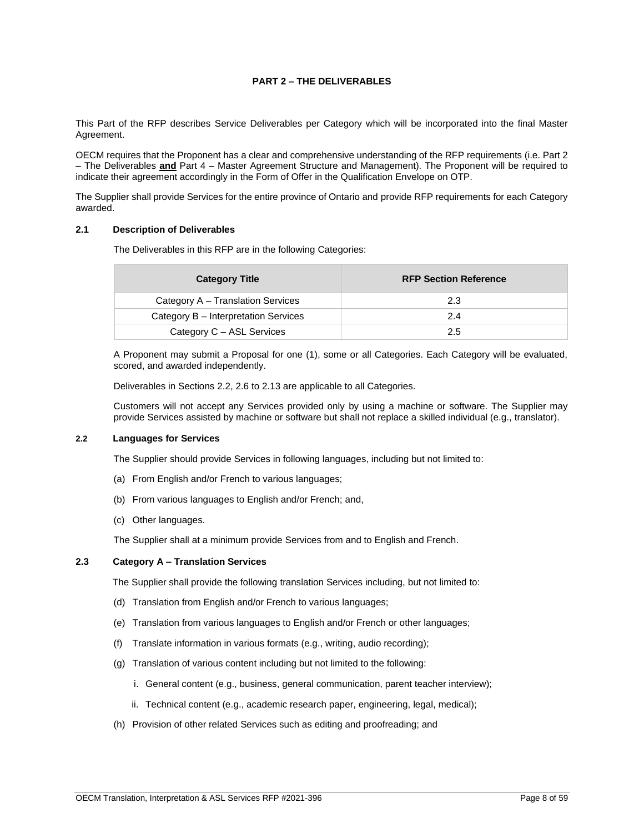# **PART 2 – THE DELIVERABLES**

<span id="page-7-0"></span>This Part of the RFP describes Service Deliverables per Category which will be incorporated into the final Master Agreement.

OECM requires that the Proponent has a clear and comprehensive understanding of the RFP requirements (i.e. Part 2 – The Deliverables **and** Part 4 – Master Agreement Structure and Management). The Proponent will be required to indicate their agreement accordingly in the Form of Offer in the Qualification Envelope on OTP.

The Supplier shall provide Services for the entire province of Ontario and provide RFP requirements for each Category awarded.

### <span id="page-7-1"></span>**2.1 Description of Deliverables**

The Deliverables in this RFP are in the following Categories:

| <b>Category Title</b>                | <b>RFP Section Reference</b> |
|--------------------------------------|------------------------------|
| Category A – Translation Services    | 2.3                          |
| Category B – Interpretation Services | 2.4                          |
| Category C - ASL Services            | 2.5                          |

A Proponent may submit a Proposal for one (1), some or all Categories. Each Category will be evaluated, scored, and awarded independently.

Deliverables in Sections 2.2, 2.6 to 2.13 are applicable to all Categories.

Customers will not accept any Services provided only by using a machine or software. The Supplier may provide Services assisted by machine or software but shall not replace a skilled individual (e.g., translator).

### <span id="page-7-2"></span>**2.2 Languages for Services**

The Supplier should provide Services in following languages, including but not limited to:

- (a) From English and/or French to various languages;
- (b) From various languages to English and/or French; and,
- (c) Other languages.

The Supplier shall at a minimum provide Services from and to English and French.

# <span id="page-7-3"></span>**2.3 Category A – Translation Services**

The Supplier shall provide the following translation Services including, but not limited to:

- (d) Translation from English and/or French to various languages;
- (e) Translation from various languages to English and/or French or other languages;
- (f) Translate information in various formats (e.g., writing, audio recording);
- (g) Translation of various content including but not limited to the following:
	- i. General content (e.g., business, general communication, parent teacher interview);
	- ii. Technical content (e.g., academic research paper, engineering, legal, medical);
- (h) Provision of other related Services such as editing and proofreading; and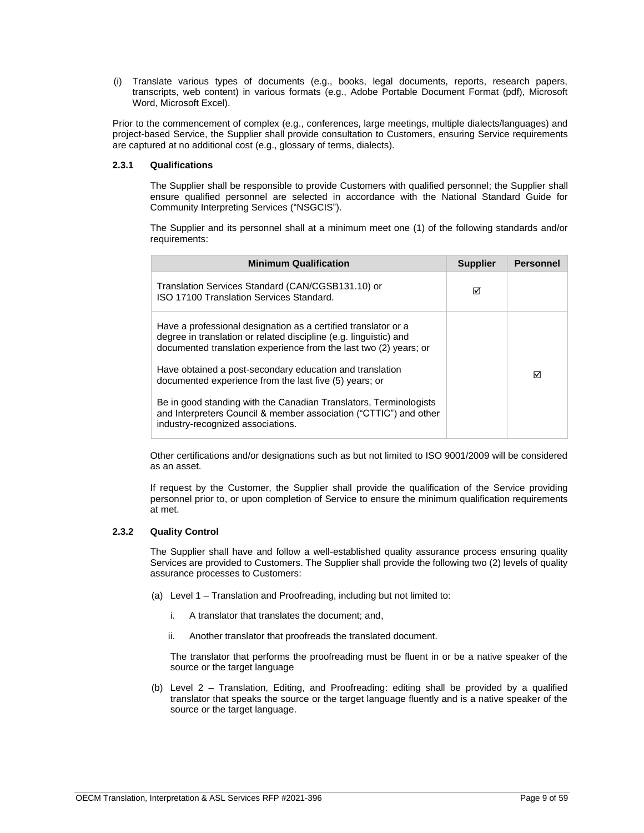(i) Translate various types of documents (e.g., books, legal documents, reports, research papers, transcripts, web content) in various formats (e.g., Adobe Portable Document Format (pdf), Microsoft Word, Microsoft Excel).

Prior to the commencement of complex (e.g., conferences, large meetings, multiple dialects/languages) and project-based Service, the Supplier shall provide consultation to Customers, ensuring Service requirements are captured at no additional cost (e.g., glossary of terms, dialects).

# <span id="page-8-0"></span>**2.3.1 Qualifications**

The Supplier shall be responsible to provide Customers with qualified personnel; the Supplier shall ensure qualified personnel are selected in accordance with the National Standard Guide for Community Interpreting Services ("NSGCIS").

The Supplier and its personnel shall at a minimum meet one (1) of the following standards and/or requirements:

| <b>Minimum Qualification</b>                                                                                                                                                                             | <b>Supplier</b> | <b>Personnel</b> |
|----------------------------------------------------------------------------------------------------------------------------------------------------------------------------------------------------------|-----------------|------------------|
| Translation Services Standard (CAN/CGSB131.10) or<br>ISO 17100 Translation Services Standard.                                                                                                            | ⊠               |                  |
| Have a professional designation as a certified translator or a<br>degree in translation or related discipline (e.g. linguistic) and<br>documented translation experience from the last two (2) years; or |                 |                  |
| Have obtained a post-secondary education and translation<br>documented experience from the last five (5) years; or                                                                                       |                 | ⊓                |
| Be in good standing with the Canadian Translators, Terminologists<br>and Interpreters Council & member association ("CTTIC") and other<br>industry-recognized associations.                              |                 |                  |

Other certifications and/or designations such as but not limited to ISO 9001/2009 will be considered as an asset.

If request by the Customer, the Supplier shall provide the qualification of the Service providing personnel prior to, or upon completion of Service to ensure the minimum qualification requirements at met.

# <span id="page-8-1"></span>**2.3.2 Quality Control**

The Supplier shall have and follow a well-established quality assurance process ensuring quality Services are provided to Customers. The Supplier shall provide the following two (2) levels of quality assurance processes to Customers:

- (a) Level 1 Translation and Proofreading, including but not limited to:
	- i. A translator that translates the document; and,
	- ii. Another translator that proofreads the translated document.

The translator that performs the proofreading must be fluent in or be a native speaker of the source or the target language

(b) Level 2 – Translation, Editing, and Proofreading: editing shall be provided by a qualified translator that speaks the source or the target language fluently and is a native speaker of the source or the target language.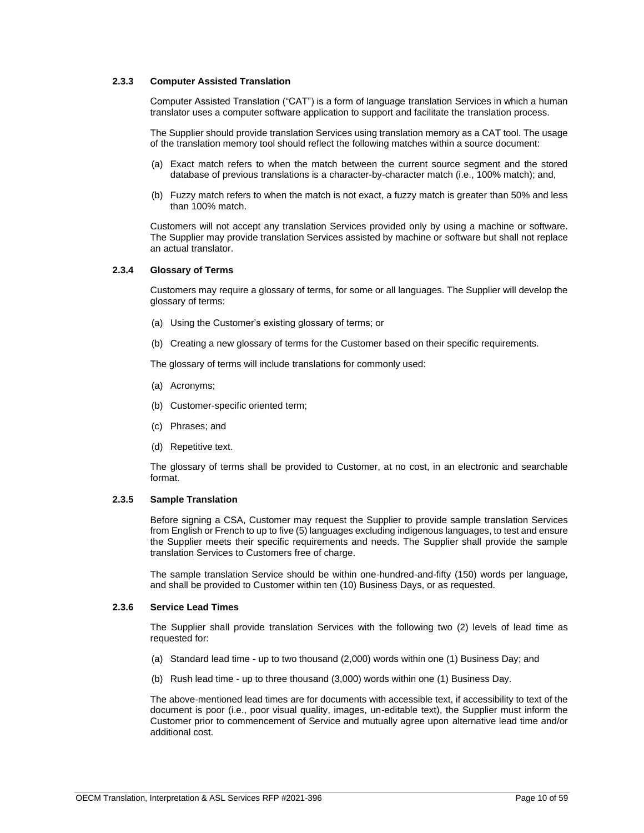# <span id="page-9-0"></span>**2.3.3 Computer Assisted Translation**

Computer Assisted Translation ("CAT") is a form of language translation Services in which a human translator uses a computer software application to support and facilitate the translation process.

The Supplier should provide translation Services using translation memory as a CAT tool. The usage of the translation memory tool should reflect the following matches within a source document:

- (a) Exact match refers to when the match between the current source segment and the stored database of previous translations is a character-by-character match (i.e., 100% match); and,
- (b) Fuzzy match refers to when the match is not exact, a fuzzy match is greater than 50% and less than 100% match.

Customers will not accept any translation Services provided only by using a machine or software. The Supplier may provide translation Services assisted by machine or software but shall not replace an actual translator.

# <span id="page-9-1"></span>**2.3.4 Glossary of Terms**

Customers may require a glossary of terms, for some or all languages. The Supplier will develop the glossary of terms:

- (a) Using the Customer's existing glossary of terms; or
- (b) Creating a new glossary of terms for the Customer based on their specific requirements.

The glossary of terms will include translations for commonly used:

- (a) Acronyms;
- (b) Customer-specific oriented term;
- (c) Phrases; and
- (d) Repetitive text.

The glossary of terms shall be provided to Customer, at no cost, in an electronic and searchable format.

# **2.3.5 Sample Translation**

Before signing a CSA, Customer may request the Supplier to provide sample translation Services from English or French to up to five (5) languages excluding indigenous languages, to test and ensure the Supplier meets their specific requirements and needs. The Supplier shall provide the sample translation Services to Customers free of charge.

The sample translation Service should be within one-hundred-and-fifty (150) words per language, and shall be provided to Customer within ten (10) Business Days, or as requested.

# <span id="page-9-2"></span>**2.3.6 Service Lead Times**

The Supplier shall provide translation Services with the following two (2) levels of lead time as requested for:

- (a) Standard lead time up to two thousand (2,000) words within one (1) Business Day; and
- (b) Rush lead time up to three thousand (3,000) words within one (1) Business Day.

The above-mentioned lead times are for documents with accessible text, if accessibility to text of the document is poor (i.e., poor visual quality, images, un-editable text), the Supplier must inform the Customer prior to commencement of Service and mutually agree upon alternative lead time and/or additional cost.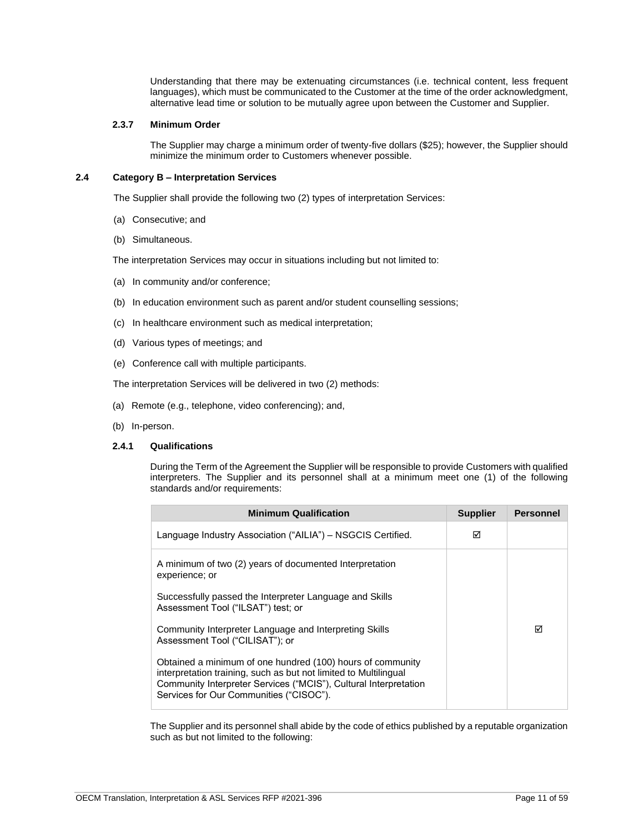Understanding that there may be extenuating circumstances (i.e. technical content, less frequent languages), which must be communicated to the Customer at the time of the order acknowledgment, alternative lead time or solution to be mutually agree upon between the Customer and Supplier.

# <span id="page-10-0"></span>**2.3.7 Minimum Order**

The Supplier may charge a minimum order of twenty-five dollars (\$25); however, the Supplier should minimize the minimum order to Customers whenever possible.

### <span id="page-10-1"></span>**2.4 Category B – Interpretation Services**

The Supplier shall provide the following two (2) types of interpretation Services:

- (a) Consecutive; and
- (b) Simultaneous.

The interpretation Services may occur in situations including but not limited to:

- (a) In community and/or conference;
- (b) In education environment such as parent and/or student counselling sessions;
- (c) In healthcare environment such as medical interpretation;
- (d) Various types of meetings; and
- (e) Conference call with multiple participants.

The interpretation Services will be delivered in two (2) methods:

- (a) Remote (e.g., telephone, video conferencing); and,
- (b) In-person.

# <span id="page-10-2"></span>**2.4.1 Qualifications**

During the Term of the Agreement the Supplier will be responsible to provide Customers with qualified interpreters. The Supplier and its personnel shall at a minimum meet one (1) of the following standards and/or requirements:

| <b>Minimum Qualification</b>                                                                                                                                                                                                                  | <b>Supplier</b> | <b>Personnel</b> |
|-----------------------------------------------------------------------------------------------------------------------------------------------------------------------------------------------------------------------------------------------|-----------------|------------------|
| Language Industry Association ("AILIA") – NSGCIS Certified.                                                                                                                                                                                   | ⊠               |                  |
| A minimum of two (2) years of documented Interpretation<br>experience; or                                                                                                                                                                     |                 |                  |
| Successfully passed the Interpreter Language and Skills<br>Assessment Tool ("ILSAT") test; or                                                                                                                                                 |                 |                  |
| Community Interpreter Language and Interpreting Skills<br>Assessment Tool ("CILISAT"); or                                                                                                                                                     |                 | ☑                |
| Obtained a minimum of one hundred (100) hours of community<br>interpretation training, such as but not limited to Multilingual<br>Community Interpreter Services ("MCIS"), Cultural Interpretation<br>Services for Our Communities ("CISOC"). |                 |                  |

The Supplier and its personnel shall abide by the code of ethics published by a reputable organization such as but not limited to the following: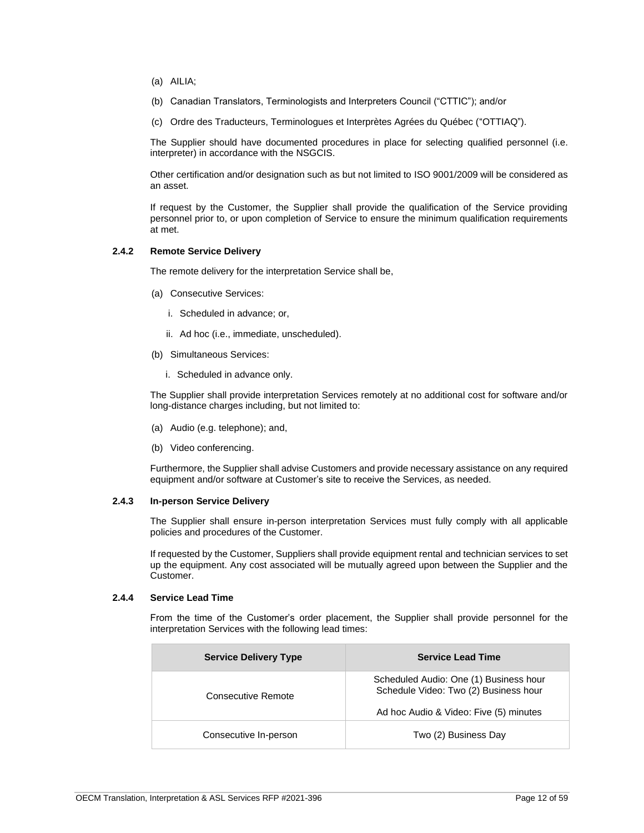- (a) AILIA;
- (b) Canadian Translators, Terminologists and Interpreters Council ("CTTIC"); and/or
- (c) Ordre des Traducteurs, Terminologues et Interprètes Agrées du Québec ("OTTIAQ").

The Supplier should have documented procedures in place for selecting qualified personnel (i.e. interpreter) in accordance with the NSGCIS.

Other certification and/or designation such as but not limited to ISO 9001/2009 will be considered as an asset.

If request by the Customer, the Supplier shall provide the qualification of the Service providing personnel prior to, or upon completion of Service to ensure the minimum qualification requirements at met.

# <span id="page-11-0"></span>**2.4.2 Remote Service Delivery**

The remote delivery for the interpretation Service shall be,

- (a) Consecutive Services:
	- i. Scheduled in advance; or,
	- ii. Ad hoc (i.e., immediate, unscheduled).
- (b) Simultaneous Services:
	- i. Scheduled in advance only.

The Supplier shall provide interpretation Services remotely at no additional cost for software and/or long-distance charges including, but not limited to:

- (a) Audio (e.g. telephone); and,
- (b) Video conferencing.

Furthermore, the Supplier shall advise Customers and provide necessary assistance on any required equipment and/or software at Customer's site to receive the Services, as needed.

### <span id="page-11-1"></span>**2.4.3 In-person Service Delivery**

The Supplier shall ensure in-person interpretation Services must fully comply with all applicable policies and procedures of the Customer.

If requested by the Customer, Suppliers shall provide equipment rental and technician services to set up the equipment. Any cost associated will be mutually agreed upon between the Supplier and the Customer.

# <span id="page-11-2"></span>**2.4.4 Service Lead Time**

From the time of the Customer's order placement, the Supplier shall provide personnel for the interpretation Services with the following lead times:

| <b>Service Delivery Type</b> | <b>Service Lead Time</b>                                                                                                  |
|------------------------------|---------------------------------------------------------------------------------------------------------------------------|
| Consecutive Remote           | Scheduled Audio: One (1) Business hour<br>Schedule Video: Two (2) Business hour<br>Ad hoc Audio & Video: Five (5) minutes |
|                              |                                                                                                                           |
| Consecutive In-person        | Two (2) Business Day                                                                                                      |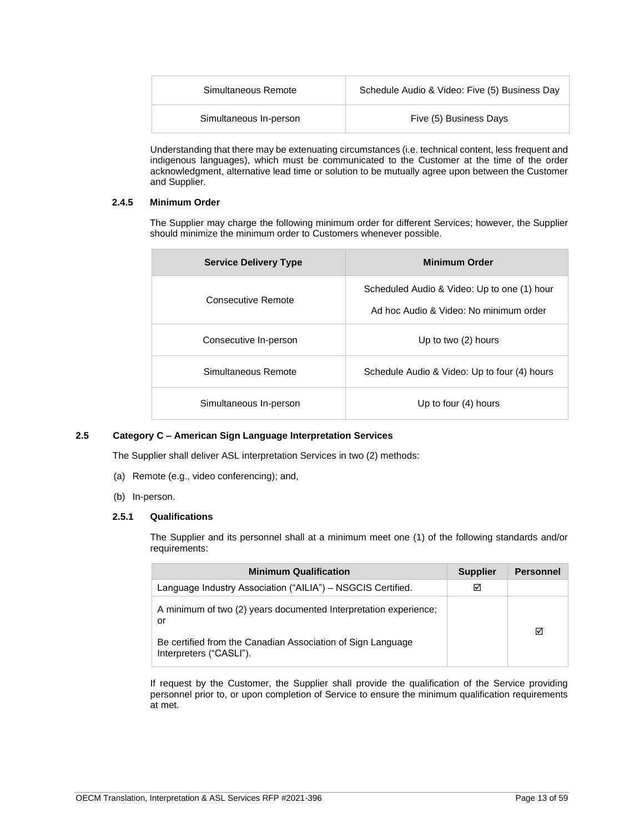| Simultaneous Remote    | Schedule Audio & Video: Five (5) Business Day |  |
|------------------------|-----------------------------------------------|--|
| Simultaneous In-person | Five (5) Business Days                        |  |

Understanding that there may be extenuating circumstances (i.e. technical content, less frequent and indigenous languages), which must be communicated to the Customer at the time of the order acknowledgment, alternative lead time or solution to be mutually agree upon between the Customer and Supplier.

# <span id="page-12-0"></span>**2.4.5 Minimum Order**

The Supplier may charge the following minimum order for different Services; however, the Supplier should minimize the minimum order to Customers whenever possible.

| <b>Service Delivery Type</b> | <b>Minimum Order</b>                                                                  |
|------------------------------|---------------------------------------------------------------------------------------|
| Consecutive Remote           | Scheduled Audio & Video: Up to one (1) hour<br>Ad hoc Audio & Video: No minimum order |
| Consecutive In-person        | Up to two (2) hours                                                                   |
| Simultaneous Remote          | Schedule Audio & Video: Up to four (4) hours                                          |
| Simultaneous In-person       | Up to four (4) hours                                                                  |

# <span id="page-12-1"></span>**2.5 Category C – American Sign Language Interpretation Services**

The Supplier shall deliver ASL interpretation Services in two (2) methods:

- (a) Remote (e.g., video conferencing); and,
- (b) In-person.

# <span id="page-12-2"></span>**2.5.1 Qualifications**

The Supplier and its personnel shall at a minimum meet one (1) of the following standards and/or requirements:

| <b>Minimum Qualification</b>                                                           | <b>Supplier</b> | <b>Personnel</b> |
|----------------------------------------------------------------------------------------|-----------------|------------------|
| Language Industry Association ("AILIA") - NSGCIS Certified.                            | ☑               |                  |
| A minimum of two (2) years documented Interpretation experience:<br>or                 |                 |                  |
| Be certified from the Canadian Association of Sign Language<br>Interpreters ("CASLI"). |                 | ☑                |

If request by the Customer, the Supplier shall provide the qualification of the Service providing personnel prior to, or upon completion of Service to ensure the minimum qualification requirements at met.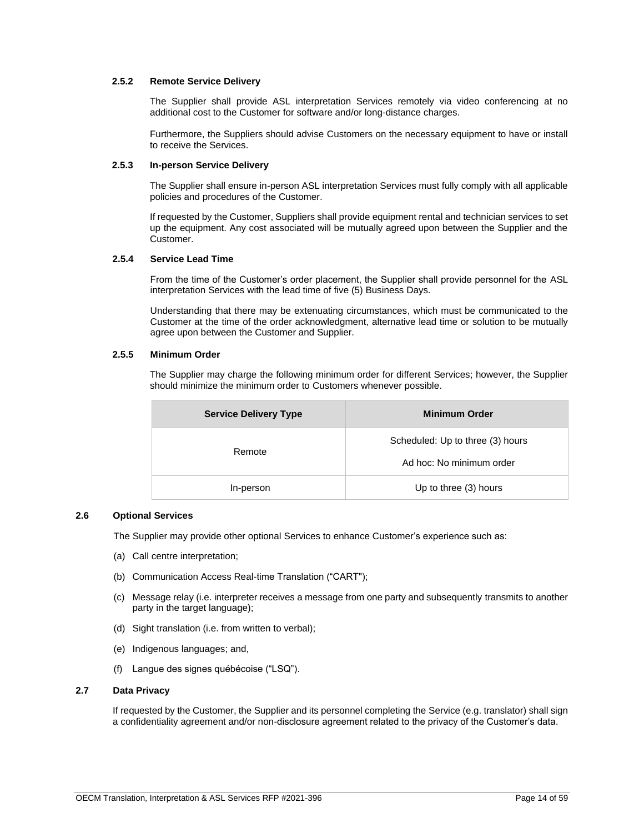# <span id="page-13-0"></span>**2.5.2 Remote Service Delivery**

The Supplier shall provide ASL interpretation Services remotely via video conferencing at no additional cost to the Customer for software and/or long-distance charges.

Furthermore, the Suppliers should advise Customers on the necessary equipment to have or install to receive the Services.

# <span id="page-13-1"></span>**2.5.3 In-person Service Delivery**

The Supplier shall ensure in-person ASL interpretation Services must fully comply with all applicable policies and procedures of the Customer.

If requested by the Customer, Suppliers shall provide equipment rental and technician services to set up the equipment. Any cost associated will be mutually agreed upon between the Supplier and the Customer.

# <span id="page-13-2"></span>**2.5.4 Service Lead Time**

From the time of the Customer's order placement, the Supplier shall provide personnel for the ASL interpretation Services with the lead time of five (5) Business Days.

Understanding that there may be extenuating circumstances, which must be communicated to the Customer at the time of the order acknowledgment, alternative lead time or solution to be mutually agree upon between the Customer and Supplier.

# <span id="page-13-3"></span>**2.5.5 Minimum Order**

The Supplier may charge the following minimum order for different Services; however, the Supplier should minimize the minimum order to Customers whenever possible.

| <b>Service Delivery Type</b> | <b>Minimum Order</b>             |
|------------------------------|----------------------------------|
| Remote                       | Scheduled: Up to three (3) hours |
|                              | Ad hoc: No minimum order         |
| In-person                    | Up to three (3) hours            |

### <span id="page-13-4"></span>**2.6 Optional Services**

The Supplier may provide other optional Services to enhance Customer's experience such as:

- (a) Call centre interpretation;
- (b) Communication Access Real-time Translation ("CART");
- (c) Message relay (i.e. interpreter receives a message from one party and subsequently transmits to another party in the target language);
- (d) Sight translation (i.e. from written to verbal);
- (e) Indigenous languages; and,
- (f) Langue des signes québécoise ("LSQ").

#### <span id="page-13-5"></span>**2.7 Data Privacy**

If requested by the Customer, the Supplier and its personnel completing the Service (e.g. translator) shall sign a confidentiality agreement and/or non-disclosure agreement related to the privacy of the Customer's data.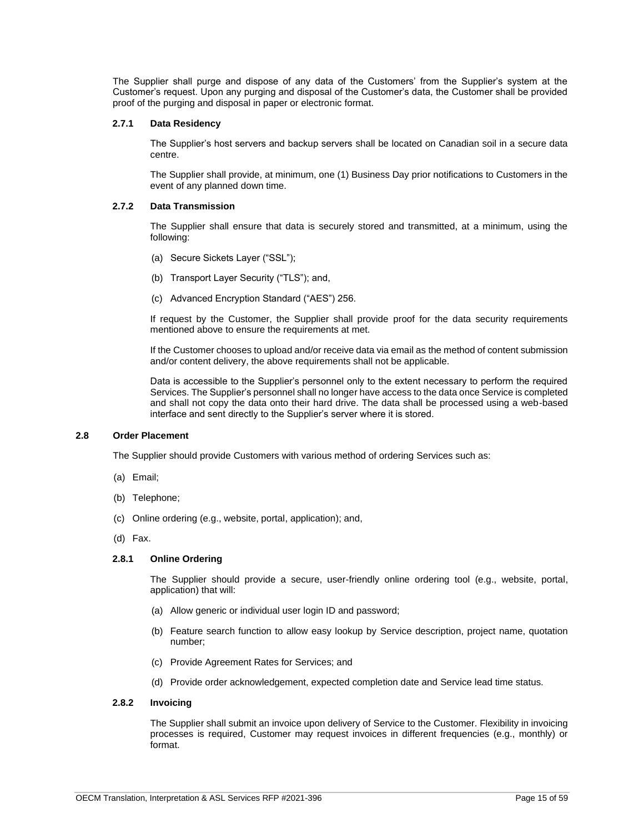The Supplier shall purge and dispose of any data of the Customers' from the Supplier's system at the Customer's request. Upon any purging and disposal of the Customer's data, the Customer shall be provided proof of the purging and disposal in paper or electronic format.

# <span id="page-14-0"></span>**2.7.1 Data Residency**

The Supplier's host servers and backup servers shall be located on Canadian soil in a secure data centre.

The Supplier shall provide, at minimum, one (1) Business Day prior notifications to Customers in the event of any planned down time.

# <span id="page-14-1"></span>**2.7.2 Data Transmission**

The Supplier shall ensure that data is securely stored and transmitted, at a minimum, using the following:

- (a) Secure Sickets Layer ("SSL");
- (b) Transport Layer Security ("TLS"); and,
- (c) Advanced Encryption Standard ("AES") 256.

If request by the Customer, the Supplier shall provide proof for the data security requirements mentioned above to ensure the requirements at met.

If the Customer chooses to upload and/or receive data via email as the method of content submission and/or content delivery, the above requirements shall not be applicable.

Data is accessible to the Supplier's personnel only to the extent necessary to perform the required Services. The Supplier's personnel shall no longer have access to the data once Service is completed and shall not copy the data onto their hard drive. The data shall be processed using a web-based interface and sent directly to the Supplier's server where it is stored.

# <span id="page-14-2"></span>**2.8 Order Placement**

The Supplier should provide Customers with various method of ordering Services such as:

- (a) Email;
- (b) Telephone;
- (c) Online ordering (e.g., website, portal, application); and,
- (d) Fax.

# <span id="page-14-3"></span>**2.8.1 Online Ordering**

The Supplier should provide a secure, user-friendly online ordering tool (e.g., website, portal, application) that will:

- (a) Allow generic or individual user login ID and password;
- (b) Feature search function to allow easy lookup by Service description, project name, quotation number;
- (c) Provide Agreement Rates for Services; and
- (d) Provide order acknowledgement, expected completion date and Service lead time status.

# <span id="page-14-4"></span>**2.8.2 Invoicing**

The Supplier shall submit an invoice upon delivery of Service to the Customer. Flexibility in invoicing processes is required, Customer may request invoices in different frequencies (e.g., monthly) or format.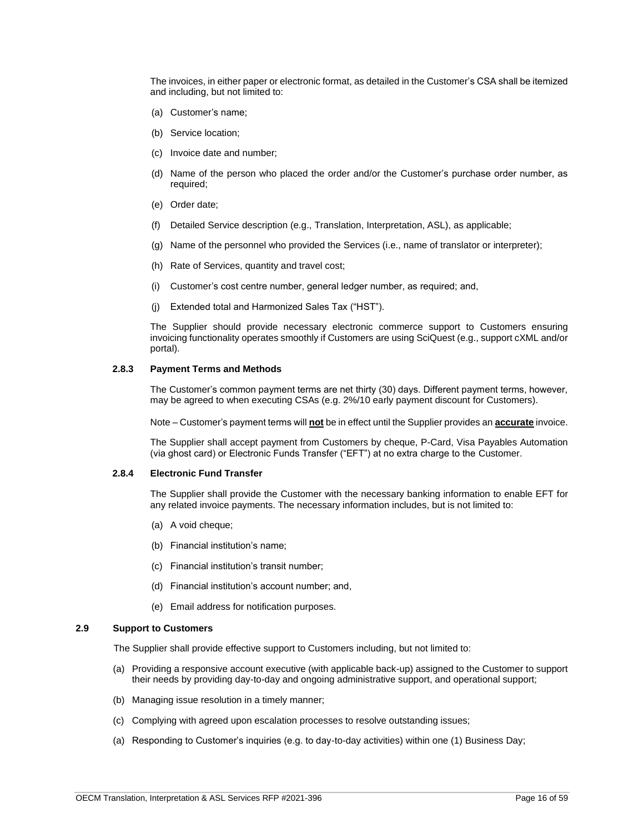The invoices, in either paper or electronic format, as detailed in the Customer's CSA shall be itemized and including, but not limited to:

- (a) Customer's name;
- (b) Service location;
- (c) Invoice date and number;
- (d) Name of the person who placed the order and/or the Customer's purchase order number, as required;
- (e) Order date;
- (f) Detailed Service description (e.g., Translation, Interpretation, ASL), as applicable;
- (g) Name of the personnel who provided the Services (i.e., name of translator or interpreter);
- (h) Rate of Services, quantity and travel cost;
- (i) Customer's cost centre number, general ledger number, as required; and,
- (j) Extended total and Harmonized Sales Tax ("HST").

The Supplier should provide necessary electronic commerce support to Customers ensuring invoicing functionality operates smoothly if Customers are using SciQuest (e.g., support cXML and/or portal).

### <span id="page-15-0"></span>**2.8.3 Payment Terms and Methods**

The Customer's common payment terms are net thirty (30) days. Different payment terms, however, may be agreed to when executing CSAs (e.g. 2%/10 early payment discount for Customers).

Note – Customer's payment terms will **not** be in effect until the Supplier provides an **accurate** invoice.

The Supplier shall accept payment from Customers by cheque, P-Card, Visa Payables Automation (via ghost card) or Electronic Funds Transfer ("EFT") at no extra charge to the Customer.

# <span id="page-15-1"></span>**2.8.4 Electronic Fund Transfer**

The Supplier shall provide the Customer with the necessary banking information to enable EFT for any related invoice payments. The necessary information includes, but is not limited to:

- (a) A void cheque;
- (b) Financial institution's name;
- (c) Financial institution's transit number;
- (d) Financial institution's account number; and,
- (e) Email address for notification purposes.

### <span id="page-15-2"></span>**2.9 Support to Customers**

The Supplier shall provide effective support to Customers including, but not limited to:

- (a) Providing a responsive account executive (with applicable back-up) assigned to the Customer to support their needs by providing day-to-day and ongoing administrative support, and operational support;
- (b) Managing issue resolution in a timely manner;
- (c) Complying with agreed upon escalation processes to resolve outstanding issues;
- (a) Responding to Customer's inquiries (e.g. to day-to-day activities) within one (1) Business Day;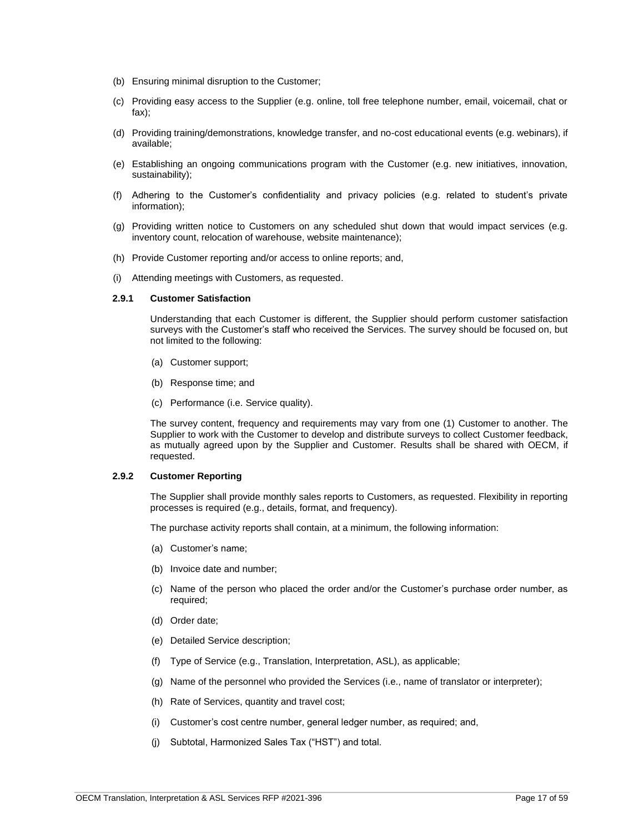- (b) Ensuring minimal disruption to the Customer;
- (c) Providing easy access to the Supplier (e.g. online, toll free telephone number, email, voicemail, chat or fax);
- (d) Providing training/demonstrations, knowledge transfer, and no-cost educational events (e.g. webinars), if available;
- (e) Establishing an ongoing communications program with the Customer (e.g. new initiatives, innovation, sustainability);
- (f) Adhering to the Customer's confidentiality and privacy policies (e.g. related to student's private information);
- (g) Providing written notice to Customers on any scheduled shut down that would impact services (e.g. inventory count, relocation of warehouse, website maintenance);
- (h) Provide Customer reporting and/or access to online reports; and,
- (i) Attending meetings with Customers, as requested.

### <span id="page-16-0"></span>**2.9.1 Customer Satisfaction**

Understanding that each Customer is different, the Supplier should perform customer satisfaction surveys with the Customer's staff who received the Services. The survey should be focused on, but not limited to the following:

- (a) Customer support;
- (b) Response time; and
- (c) Performance (i.e. Service quality).

The survey content, frequency and requirements may vary from one (1) Customer to another. The Supplier to work with the Customer to develop and distribute surveys to collect Customer feedback, as mutually agreed upon by the Supplier and Customer. Results shall be shared with OECM, if requested.

### <span id="page-16-1"></span>**2.9.2 Customer Reporting**

The Supplier shall provide monthly sales reports to Customers, as requested. Flexibility in reporting processes is required (e.g., details, format, and frequency).

The purchase activity reports shall contain, at a minimum, the following information:

- (a) Customer's name;
- (b) Invoice date and number;
- (c) Name of the person who placed the order and/or the Customer's purchase order number, as required;
- (d) Order date;
- (e) Detailed Service description;
- (f) Type of Service (e.g., Translation, Interpretation, ASL), as applicable;
- (g) Name of the personnel who provided the Services (i.e., name of translator or interpreter);
- (h) Rate of Services, quantity and travel cost;
- (i) Customer's cost centre number, general ledger number, as required; and,
- (j) Subtotal, Harmonized Sales Tax ("HST") and total.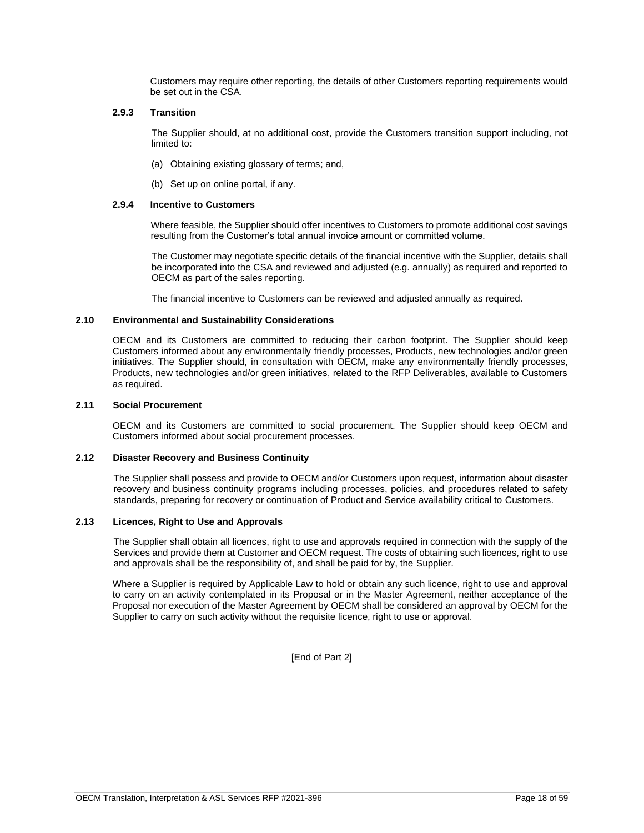Customers may require other reporting, the details of other Customers reporting requirements would be set out in the CSA.

# <span id="page-17-0"></span>**2.9.3 Transition**

The Supplier should, at no additional cost, provide the Customers transition support including, not limited to:

- (a) Obtaining existing glossary of terms; and,
- (b) Set up on online portal, if any.

# <span id="page-17-1"></span>**2.9.4 Incentive to Customers**

Where feasible, the Supplier should offer incentives to Customers to promote additional cost savings resulting from the Customer's total annual invoice amount or committed volume.

The Customer may negotiate specific details of the financial incentive with the Supplier, details shall be incorporated into the CSA and reviewed and adjusted (e.g. annually) as required and reported to OECM as part of the sales reporting.

The financial incentive to Customers can be reviewed and adjusted annually as required.

### <span id="page-17-2"></span>**2.10 Environmental and Sustainability Considerations**

OECM and its Customers are committed to reducing their carbon footprint. The Supplier should keep Customers informed about any environmentally friendly processes, Products, new technologies and/or green initiatives. The Supplier should, in consultation with OECM, make any environmentally friendly processes, Products, new technologies and/or green initiatives, related to the RFP Deliverables, available to Customers as required.

### <span id="page-17-3"></span>**2.11 Social Procurement**

OECM and its Customers are committed to social procurement. The Supplier should keep OECM and Customers informed about social procurement processes.

#### <span id="page-17-4"></span>**2.12 Disaster Recovery and Business Continuity**

The Supplier shall possess and provide to OECM and/or Customers upon request, information about disaster recovery and business continuity programs including processes, policies, and procedures related to safety standards, preparing for recovery or continuation of Product and Service availability critical to Customers.

### <span id="page-17-5"></span>**2.13 Licences, Right to Use and Approvals**

The Supplier shall obtain all licences, right to use and approvals required in connection with the supply of the Services and provide them at Customer and OECM request. The costs of obtaining such licences, right to use and approvals shall be the responsibility of, and shall be paid for by, the Supplier.

Where a Supplier is required by Applicable Law to hold or obtain any such licence, right to use and approval to carry on an activity contemplated in its Proposal or in the Master Agreement, neither acceptance of the Proposal nor execution of the Master Agreement by OECM shall be considered an approval by OECM for the Supplier to carry on such activity without the requisite licence, right to use or approval.

[End of Part 2]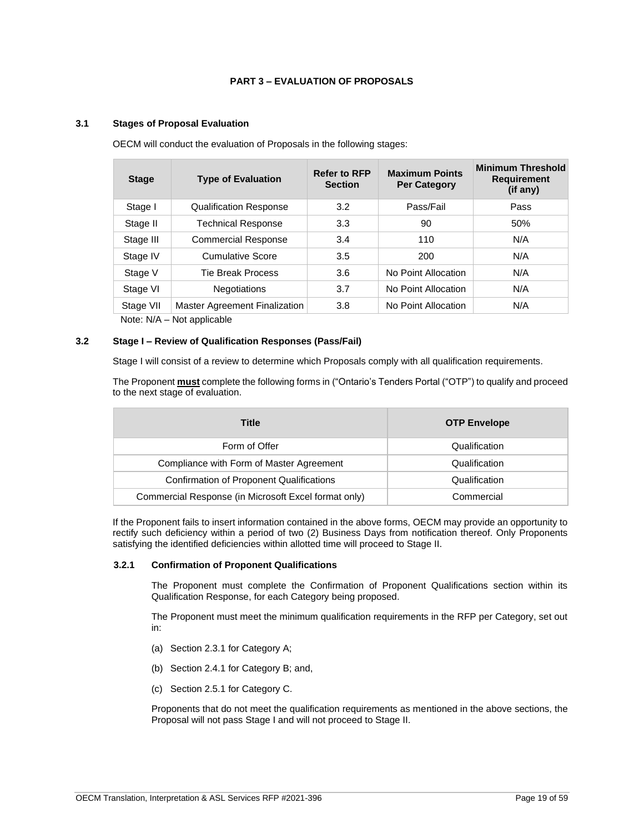# **PART 3 – EVALUATION OF PROPOSALS**

# <span id="page-18-1"></span><span id="page-18-0"></span>**3.1 Stages of Proposal Evaluation**

OECM will conduct the evaluation of Proposals in the following stages:

| <b>Stage</b>                                          | <b>Type of Evaluation</b>     | <b>Refer to RFP</b><br><b>Section</b> | <b>Maximum Points</b><br><b>Per Category</b> | <b>Minimum Threshold</b><br><b>Requirement</b><br>(if any) |  |
|-------------------------------------------------------|-------------------------------|---------------------------------------|----------------------------------------------|------------------------------------------------------------|--|
| Stage I                                               | <b>Qualification Response</b> | 3.2                                   | Pass/Fail                                    | Pass                                                       |  |
| Stage II                                              | <b>Technical Response</b>     | 3.3                                   | 90                                           | 50%                                                        |  |
| Stage III                                             | <b>Commercial Response</b>    | 3.4                                   | 110                                          | N/A                                                        |  |
| Stage IV                                              | <b>Cumulative Score</b>       | 3.5                                   | 200                                          | N/A                                                        |  |
| Stage V                                               | Tie Break Process             | 3.6                                   | No Point Allocation                          | N/A                                                        |  |
| Stage VI                                              | <b>Negotiations</b>           | 3.7                                   | No Point Allocation                          | N/A                                                        |  |
| Stage VII                                             | Master Agreement Finalization | 3.8                                   | No Point Allocation                          | N/A                                                        |  |
| $N \circ t \circ \cdot N / \Lambda$<br>Not annlicable |                               |                                       |                                              |                                                            |  |

Note: N/A – Not applicable

### <span id="page-18-2"></span>**3.2 Stage I – Review of Qualification Responses (Pass/Fail)**

Stage I will consist of a review to determine which Proposals comply with all qualification requirements.

The Proponent **must** complete the following forms in ("Ontario's Tenders Portal ("OTP") to qualify and proceed to the next stage of evaluation.

| <b>Title</b>                                         | <b>OTP Envelope</b> |
|------------------------------------------------------|---------------------|
| Form of Offer                                        | Qualification       |
| Compliance with Form of Master Agreement             | Qualification       |
| Confirmation of Proponent Qualifications             | Qualification       |
| Commercial Response (in Microsoft Excel format only) | Commercial          |

If the Proponent fails to insert information contained in the above forms, OECM may provide an opportunity to rectify such deficiency within a period of two (2) Business Days from notification thereof. Only Proponents satisfying the identified deficiencies within allotted time will proceed to Stage II.

#### <span id="page-18-3"></span>**3.2.1 Confirmation of Proponent Qualifications**

The Proponent must complete the Confirmation of Proponent Qualifications section within its Qualification Response, for each Category being proposed.

The Proponent must meet the minimum qualification requirements in the RFP per Category, set out in:

- (a) Section 2.3.1 for Category A;
- (b) Section 2.4.1 for Category B; and,
- (c) Section 2.5.1 for Category C.

Proponents that do not meet the qualification requirements as mentioned in the above sections, the Proposal will not pass Stage I and will not proceed to Stage II.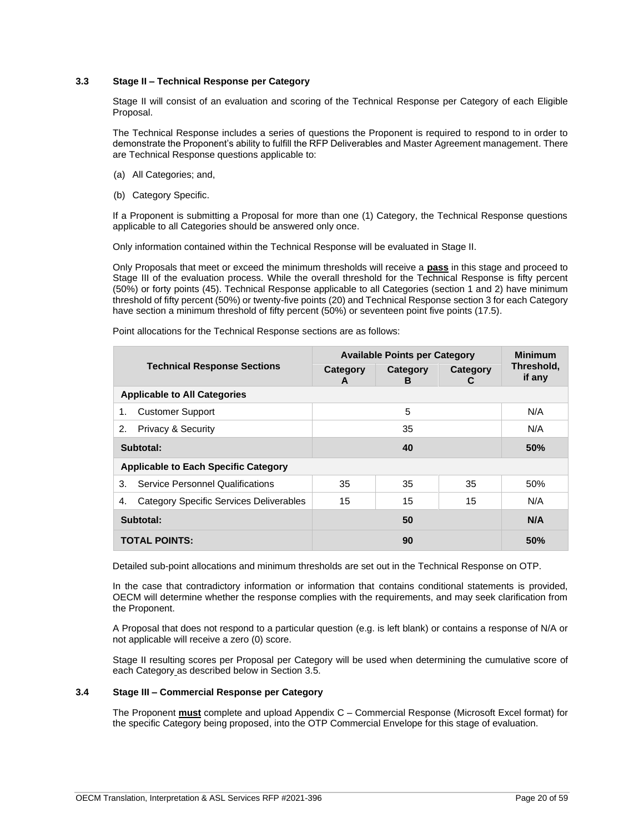# <span id="page-19-0"></span>**3.3 Stage II – Technical Response per Category**

Stage II will consist of an evaluation and scoring of the Technical Response per Category of each Eligible Proposal.

The Technical Response includes a series of questions the Proponent is required to respond to in order to demonstrate the Proponent's ability to fulfill the RFP Deliverables and Master Agreement management. There are Technical Response questions applicable to:

- (a) All Categories; and,
- (b) Category Specific.

If a Proponent is submitting a Proposal for more than one (1) Category, the Technical Response questions applicable to all Categories should be answered only once.

Only information contained within the Technical Response will be evaluated in Stage II.

Only Proposals that meet or exceed the minimum thresholds will receive a **pass** in this stage and proceed to Stage III of the evaluation process. While the overall threshold for the Technical Response is fifty percent (50%) or forty points (45). Technical Response applicable to all Categories (section 1 and 2) have minimum threshold of fifty percent (50%) or twenty-five points (20) and Technical Response section 3 for each Category have section a minimum threshold of fifty percent (50%) or seventeen point five points (17.5).

|                                                      | <b>Available Points per Category</b> |               |               | <b>Minimum</b>       |
|------------------------------------------------------|--------------------------------------|---------------|---------------|----------------------|
| <b>Technical Response Sections</b>                   | Category<br>A                        | Category<br>в | Category<br>C | Threshold,<br>if any |
| <b>Applicable to All Categories</b>                  |                                      |               |               |                      |
| <b>Customer Support</b><br>1.                        |                                      | 5             |               | N/A                  |
| 2.<br><b>Privacy &amp; Security</b>                  | 35                                   |               | N/A           |                      |
| Subtotal:                                            | 40                                   |               | 50%           |                      |
| <b>Applicable to Each Specific Category</b>          |                                      |               |               |                      |
| <b>Service Personnel Qualifications</b><br>3.        | 35                                   | 35            | 35            | 50%                  |
| <b>Category Specific Services Deliverables</b><br>4. | 15                                   | 15            | 15            | N/A                  |
| Subtotal:                                            |                                      | 50            |               | N/A                  |
| <b>TOTAL POINTS:</b>                                 |                                      | 90            |               | <b>50%</b>           |

Point allocations for the Technical Response sections are as follows:

Detailed sub-point allocations and minimum thresholds are set out in the Technical Response on OTP.

In the case that contradictory information or information that contains conditional statements is provided, OECM will determine whether the response complies with the requirements, and may seek clarification from the Proponent.

A Proposal that does not respond to a particular question (e.g. is left blank) or contains a response of N/A or not applicable will receive a zero (0) score.

Stage II resulting scores per Proposal per Category will be used when determining the cumulative score of each Category as described below in Section 3.5.

# <span id="page-19-1"></span>**3.4 Stage III – Commercial Response per Category**

The Proponent **must** complete and upload Appendix C – Commercial Response (Microsoft Excel format) for the specific Category being proposed, into the OTP Commercial Envelope for this stage of evaluation.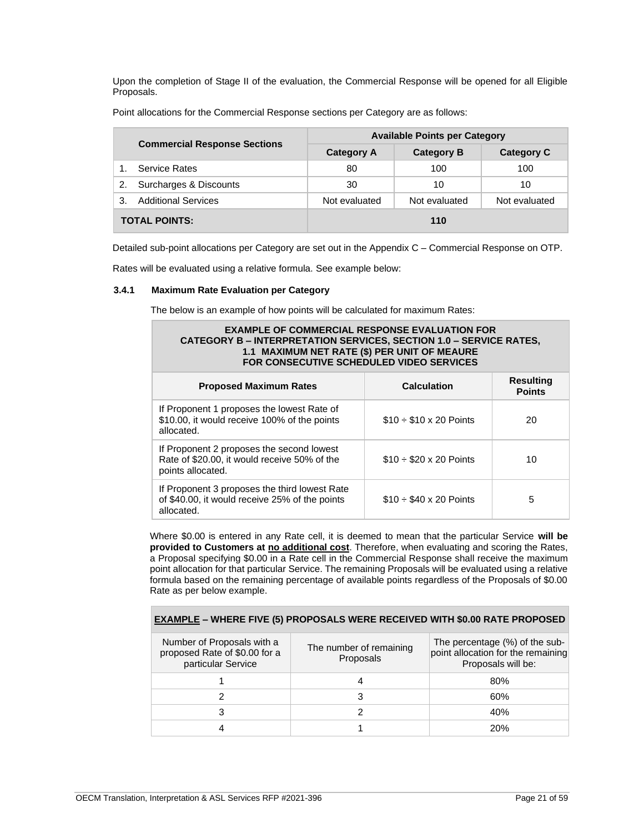Upon the completion of Stage II of the evaluation, the Commercial Response will be opened for all Eligible Proposals.

| <b>Commercial Response Sections</b> |                            | <b>Available Points per Category</b> |                   |                   |  |
|-------------------------------------|----------------------------|--------------------------------------|-------------------|-------------------|--|
|                                     |                            | <b>Category A</b>                    | <b>Category B</b> | <b>Category C</b> |  |
|                                     | <b>Service Rates</b>       | 80                                   | 100               | 100               |  |
| 2.                                  | Surcharges & Discounts     | 30                                   | 10                | 10                |  |
| 3.                                  | <b>Additional Services</b> | Not evaluated                        | Not evaluated     | Not evaluated     |  |
| <b>TOTAL POINTS:</b>                |                            |                                      | 110               |                   |  |

Point allocations for the Commercial Response sections per Category are as follows:

Detailed sub-point allocations per Category are set out in the Appendix C – Commercial Response on OTP.

Rates will be evaluated using a relative formula. See example below:

# <span id="page-20-0"></span>**3.4.1 Maximum Rate Evaluation per Category**

The below is an example of how points will be calculated for maximum Rates:

| <b>EXAMPLE OF COMMERCIAL RESPONSE EVALUATION FOR</b><br><b>CATEGORY B – INTERPRETATION SERVICES, SECTION 1.0 – SERVICE RATES,</b><br>1.1 MAXIMUM NET RATE (\$) PER UNIT OF MEAURE<br>FOR CONSECUTIVE SCHEDULED VIDEO SERVICES |                                 |                                   |  |
|-------------------------------------------------------------------------------------------------------------------------------------------------------------------------------------------------------------------------------|---------------------------------|-----------------------------------|--|
| <b>Proposed Maximum Rates</b>                                                                                                                                                                                                 | <b>Calculation</b>              | <b>Resulting</b><br><b>Points</b> |  |
| If Proponent 1 proposes the lowest Rate of<br>\$10.00, it would receive 100% of the points<br>allocated.                                                                                                                      | $$10 \div $10 \times 20$ Points | 20                                |  |
| If Proponent 2 proposes the second lowest<br>Rate of \$20.00, it would receive 50% of the<br>points allocated.                                                                                                                | $$10 \div $20 \times 20$ Points | 10                                |  |
| If Proponent 3 proposes the third lowest Rate<br>of \$40.00, it would receive 25% of the points<br>allocated.                                                                                                                 | $$10 \div $40 \times 20$ Points | 5                                 |  |

Where \$0.00 is entered in any Rate cell, it is deemed to mean that the particular Service **will be provided to Customers at no additional cost**. Therefore, when evaluating and scoring the Rates, a Proposal specifying \$0.00 in a Rate cell in the Commercial Response shall receive the maximum point allocation for that particular Service. The remaining Proposals will be evaluated using a relative formula based on the remaining percentage of available points regardless of the Proposals of \$0.00 Rate as per below example.

**EXAMPLE – WHERE FIVE (5) PROPOSALS WERE RECEIVED WITH \$0.00 RATE PROPOSED**

| $\frac{1}{2}$                                                                     |                                      |                                                                                            |  |  |
|-----------------------------------------------------------------------------------|--------------------------------------|--------------------------------------------------------------------------------------------|--|--|
| Number of Proposals with a<br>proposed Rate of \$0.00 for a<br>particular Service | The number of remaining<br>Proposals | The percentage (%) of the sub-<br>point allocation for the remaining<br>Proposals will be: |  |  |
|                                                                                   |                                      | 80%                                                                                        |  |  |
|                                                                                   |                                      | 60%                                                                                        |  |  |
|                                                                                   |                                      | 40%                                                                                        |  |  |
|                                                                                   |                                      | 20%                                                                                        |  |  |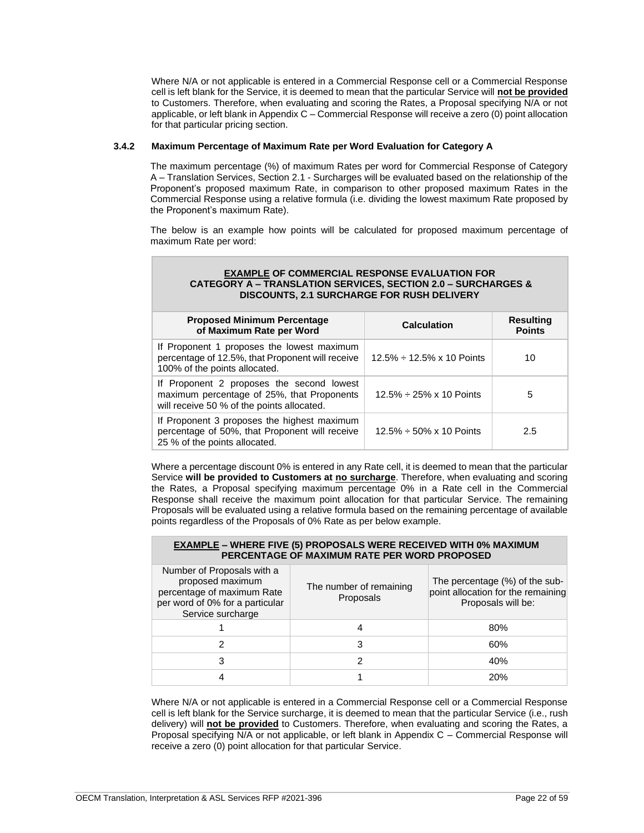Where N/A or not applicable is entered in a Commercial Response cell or a Commercial Response cell is left blank for the Service, it is deemed to mean that the particular Service will **not be provided** to Customers. Therefore, when evaluating and scoring the Rates, a Proposal specifying N/A or not applicable, or left blank in Appendix C – Commercial Response will receive a zero (0) point allocation for that particular pricing section.

# <span id="page-21-0"></span>**3.4.2 Maximum Percentage of Maximum Rate per Word Evaluation for Category A**

The maximum percentage (%) of maximum Rates per word for Commercial Response of Category A – Translation Services, Section 2.1 - Surcharges will be evaluated based on the relationship of the Proponent's proposed maximum Rate, in comparison to other proposed maximum Rates in the Commercial Response using a relative formula (i.e. dividing the lowest maximum Rate proposed by the Proponent's maximum Rate).

The below is an example how points will be calculated for proposed maximum percentage of maximum Rate per word:

# **EXAMPLE OF COMMERCIAL RESPONSE EVALUATION FOR CATEGORY A – TRANSLATION SERVICES, SECTION 2.0 – SURCHARGES & DISCOUNTS, 2.1 SURCHARGE FOR RUSH DELIVERY**

| <b>Proposed Minimum Percentage</b><br>of Maximum Rate per Word                                                                        | <b>Calculation</b>                    | <b>Resulting</b><br><b>Points</b> |
|---------------------------------------------------------------------------------------------------------------------------------------|---------------------------------------|-----------------------------------|
| If Proponent 1 proposes the lowest maximum<br>percentage of 12.5%, that Proponent will receive<br>100% of the points allocated.       | $12.5\% \div 12.5\% \times 10$ Points | 10                                |
| If Proponent 2 proposes the second lowest<br>maximum percentage of 25%, that Proponents<br>will receive 50 % of the points allocated. | $12.5\% \div 25\% \times 10$ Points   | 5                                 |
| If Proponent 3 proposes the highest maximum<br>percentage of 50%, that Proponent will receive<br>25 % of the points allocated.        | $12.5\% \div 50\% \times 10$ Points   | 2.5                               |

Where a percentage discount 0% is entered in any Rate cell, it is deemed to mean that the particular Service **will be provided to Customers at no surcharge**. Therefore, when evaluating and scoring the Rates, a Proposal specifying maximum percentage 0% in a Rate cell in the Commercial Response shall receive the maximum point allocation for that particular Service. The remaining Proposals will be evaluated using a relative formula based on the remaining percentage of available points regardless of the Proposals of 0% Rate as per below example.

# **EXAMPLE – WHERE FIVE (5) PROPOSALS WERE RECEIVED WITH 0% MAXIMUM PERCENTAGE OF MAXIMUM RATE PER WORD PROPOSED**

| Number of Proposals with a<br>proposed maximum<br>percentage of maximum Rate<br>per word of 0% for a particular<br>Service surcharge | The number of remaining<br>Proposals | The percentage (%) of the sub-<br>point allocation for the remaining<br>Proposals will be: |
|--------------------------------------------------------------------------------------------------------------------------------------|--------------------------------------|--------------------------------------------------------------------------------------------|
|                                                                                                                                      |                                      | 80%                                                                                        |
|                                                                                                                                      |                                      | 60%                                                                                        |
|                                                                                                                                      |                                      | 40%                                                                                        |
|                                                                                                                                      |                                      | 20%                                                                                        |

Where N/A or not applicable is entered in a Commercial Response cell or a Commercial Response cell is left blank for the Service surcharge, it is deemed to mean that the particular Service (i.e., rush delivery) will **not be provided** to Customers. Therefore, when evaluating and scoring the Rates, a Proposal specifying N/A or not applicable, or left blank in Appendix C – Commercial Response will receive a zero (0) point allocation for that particular Service.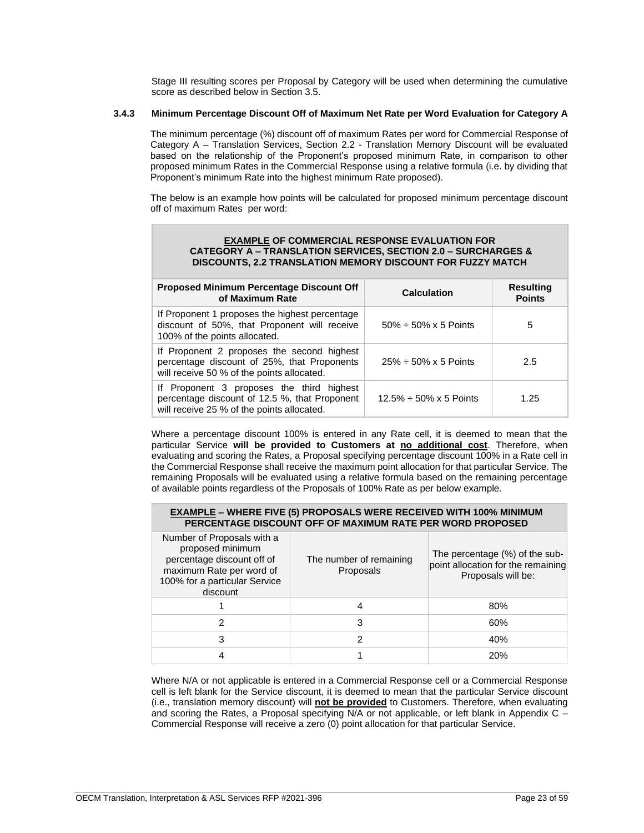Stage III resulting scores per Proposal by Category will be used when determining the cumulative score as described below in Section 3.5.

# <span id="page-22-0"></span>**3.4.3 Minimum Percentage Discount Off of Maximum Net Rate per Word Evaluation for Category A**

The minimum percentage (%) discount off of maximum Rates per word for Commercial Response of Category A – Translation Services, Section 2.2 - Translation Memory Discount will be evaluated based on the relationship of the Proponent's proposed minimum Rate, in comparison to other proposed minimum Rates in the Commercial Response using a relative formula (i.e. by dividing that Proponent's minimum Rate into the highest minimum Rate proposed).

The below is an example how points will be calculated for proposed minimum percentage discount off of maximum Rates per word:

| <b>EXAMPLE OF COMMERCIAL RESPONSE EVALUATION FOR</b><br><b>CATEGORY A – TRANSLATION SERVICES, SECTION 2.0 – SURCHARGES &amp;</b><br><b>DISCOUNTS. 2.2 TRANSLATION MEMORY DISCOUNT FOR FUZZY MATCH</b> |                     |                  |
|-------------------------------------------------------------------------------------------------------------------------------------------------------------------------------------------------------|---------------------|------------------|
| Proposed Minimum Percentage Discount Off                                                                                                                                                              | $O = 1$ and $I = 1$ | <b>Resulting</b> |

| <b>Proposed Minimum Percentage Discount Off</b><br>of Maximum Rate                                                                       | <b>Calculation</b>                 | <b>Resulting</b><br><b>Points</b> |
|------------------------------------------------------------------------------------------------------------------------------------------|------------------------------------|-----------------------------------|
| If Proponent 1 proposes the highest percentage<br>discount of 50%, that Proponent will receive<br>100% of the points allocated.          | $50\% \div 50\% \times 5$ Points   | 5                                 |
| If Proponent 2 proposes the second highest<br>percentage discount of 25%, that Proponents<br>will receive 50 % of the points allocated.  | $25\% \div 50\% \times 5$ Points   | 2.5                               |
| If Proponent 3 proposes the third highest<br>percentage discount of 12.5 %, that Proponent<br>will receive 25 % of the points allocated. | $12.5\% \div 50\% \times 5$ Points | 1.25                              |

Where a percentage discount 100% is entered in any Rate cell, it is deemed to mean that the particular Service **will be provided to Customers at no additional cost**. Therefore, when evaluating and scoring the Rates, a Proposal specifying percentage discount 100% in a Rate cell in the Commercial Response shall receive the maximum point allocation for that particular Service. The remaining Proposals will be evaluated using a relative formula based on the remaining percentage of available points regardless of the Proposals of 100% Rate as per below example.

# **EXAMPLE – WHERE FIVE (5) PROPOSALS WERE RECEIVED WITH 100% MINIMUM PERCENTAGE DISCOUNT OFF OF MAXIMUM RATE PER WORD PROPOSED**

| Number of Proposals with a<br>proposed minimum<br>percentage discount off of<br>maximum Rate per word of<br>100% for a particular Service<br>discount | The number of remaining<br>Proposals | The percentage (%) of the sub-<br>point allocation for the remaining<br>Proposals will be: |
|-------------------------------------------------------------------------------------------------------------------------------------------------------|--------------------------------------|--------------------------------------------------------------------------------------------|
|                                                                                                                                                       |                                      | 80%                                                                                        |
| 2                                                                                                                                                     | 3                                    | 60%                                                                                        |
|                                                                                                                                                       |                                      | 40%                                                                                        |
|                                                                                                                                                       |                                      | <b>20%</b>                                                                                 |

Where N/A or not applicable is entered in a Commercial Response cell or a Commercial Response cell is left blank for the Service discount, it is deemed to mean that the particular Service discount (i.e., translation memory discount) will **not be provided** to Customers. Therefore, when evaluating and scoring the Rates, a Proposal specifying N/A or not applicable, or left blank in Appendix C – Commercial Response will receive a zero (0) point allocation for that particular Service.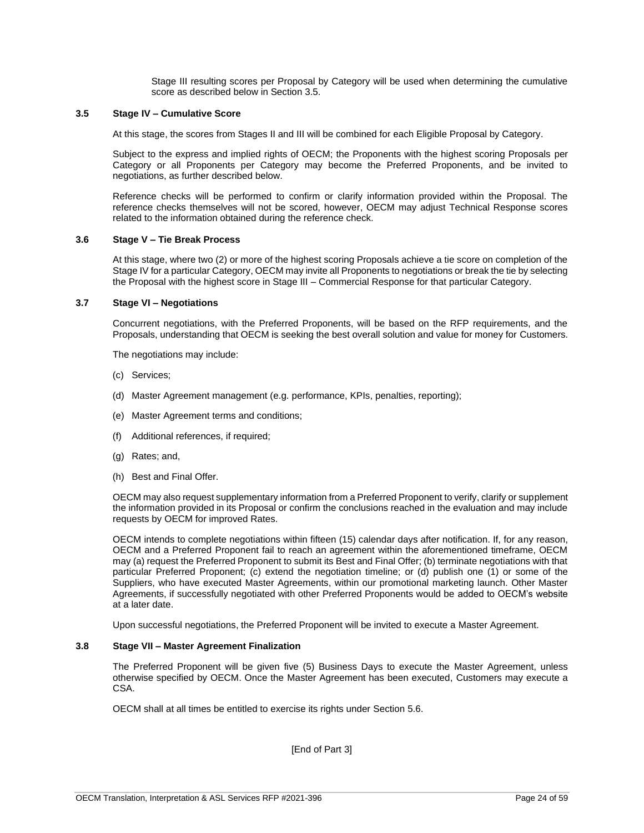Stage III resulting scores per Proposal by Category will be used when determining the cumulative score as described below in Section 3.5.

### <span id="page-23-0"></span>**3.5 Stage IV – Cumulative Score**

At this stage, the scores from Stages II and III will be combined for each Eligible Proposal by Category.

Subject to the express and implied rights of OECM; the Proponents with the highest scoring Proposals per Category or all Proponents per Category may become the Preferred Proponents, and be invited to negotiations, as further described below.

Reference checks will be performed to confirm or clarify information provided within the Proposal. The reference checks themselves will not be scored, however, OECM may adjust Technical Response scores related to the information obtained during the reference check.

### <span id="page-23-1"></span>**3.6 Stage V – Tie Break Process**

At this stage, where two (2) or more of the highest scoring Proposals achieve a tie score on completion of the Stage IV for a particular Category, OECM may invite all Proponents to negotiations or break the tie by selecting the Proposal with the highest score in Stage III – Commercial Response for that particular Category.

### <span id="page-23-2"></span>**3.7 Stage VI – Negotiations**

Concurrent negotiations, with the Preferred Proponents, will be based on the RFP requirements, and the Proposals, understanding that OECM is seeking the best overall solution and value for money for Customers.

The negotiations may include:

- (c) Services;
- (d) Master Agreement management (e.g. performance, KPIs, penalties, reporting);
- (e) Master Agreement terms and conditions;
- (f) Additional references, if required;
- (g) Rates; and,
- (h) Best and Final Offer.

OECM may also request supplementary information from a Preferred Proponent to verify, clarify or supplement the information provided in its Proposal or confirm the conclusions reached in the evaluation and may include requests by OECM for improved Rates.

OECM intends to complete negotiations within fifteen (15) calendar days after notification. If, for any reason, OECM and a Preferred Proponent fail to reach an agreement within the aforementioned timeframe, OECM may (a) request the Preferred Proponent to submit its Best and Final Offer; (b) terminate negotiations with that particular Preferred Proponent; (c) extend the negotiation timeline; or (d) publish one (1) or some of the Suppliers, who have executed Master Agreements, within our promotional marketing launch. Other Master Agreements, if successfully negotiated with other Preferred Proponents would be added to OECM's website at a later date.

Upon successful negotiations, the Preferred Proponent will be invited to execute a Master Agreement.

### <span id="page-23-3"></span>**3.8 Stage VII – Master Agreement Finalization**

The Preferred Proponent will be given five (5) Business Days to execute the Master Agreement, unless otherwise specified by OECM. Once the Master Agreement has been executed, Customers may execute a CSA.

OECM shall at all times be entitled to exercise its rights under Section 5.6.

[End of Part 3]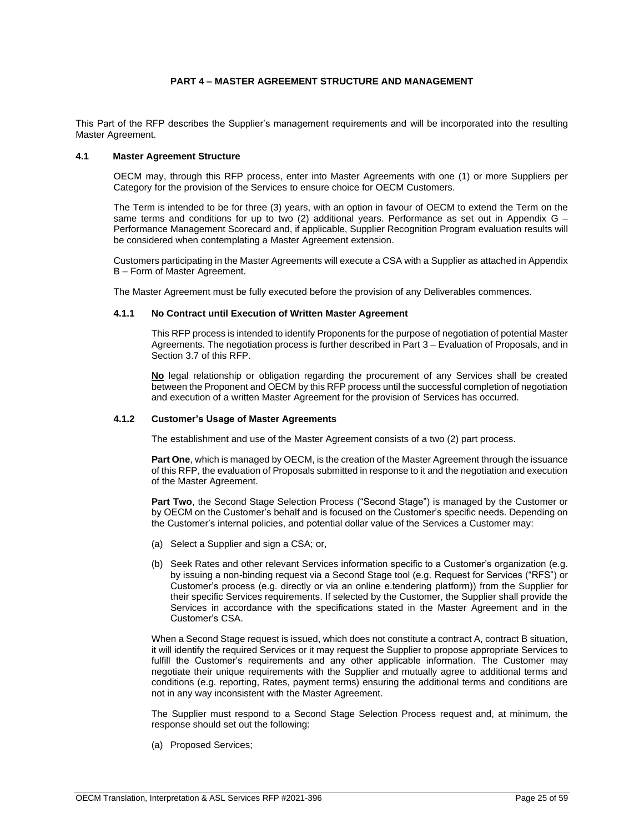# **PART 4 – MASTER AGREEMENT STRUCTURE AND MANAGEMENT**

<span id="page-24-0"></span>This Part of the RFP describes the Supplier's management requirements and will be incorporated into the resulting Master Agreement.

# <span id="page-24-1"></span>**4.1 Master Agreement Structure**

OECM may, through this RFP process, enter into Master Agreements with one (1) or more Suppliers per Category for the provision of the Services to ensure choice for OECM Customers.

The Term is intended to be for three (3) years, with an option in favour of OECM to extend the Term on the same terms and conditions for up to two  $(2)$  additional years. Performance as set out in Appendix G – Performance Management Scorecard and, if applicable, Supplier Recognition Program evaluation results will be considered when contemplating a Master Agreement extension.

Customers participating in the Master Agreements will execute a CSA with a Supplier as attached in Appendix B – Form of Master Agreement.

The Master Agreement must be fully executed before the provision of any Deliverables commences.

### <span id="page-24-2"></span>**4.1.1 No Contract until Execution of Written Master Agreement**

This RFP process is intended to identify Proponents for the purpose of negotiation of potential Master Agreements. The negotiation process is further described in Part 3 – Evaluation of Proposals, and in Section 3.7 of this RFP.

**No** legal relationship or obligation regarding the procurement of any Services shall be created between the Proponent and OECM by this RFP process until the successful completion of negotiation and execution of a written Master Agreement for the provision of Services has occurred.

### <span id="page-24-3"></span>**4.1.2 Customer's Usage of Master Agreements**

The establishment and use of the Master Agreement consists of a two (2) part process.

**Part One**, which is managed by OECM, is the creation of the Master Agreement through the issuance of this RFP, the evaluation of Proposals submitted in response to it and the negotiation and execution of the Master Agreement.

**Part Two**, the Second Stage Selection Process ("Second Stage") is managed by the Customer or by OECM on the Customer's behalf and is focused on the Customer's specific needs. Depending on the Customer's internal policies, and potential dollar value of the Services a Customer may:

- (a) Select a Supplier and sign a CSA; or,
- (b) Seek Rates and other relevant Services information specific to a Customer's organization (e.g. by issuing a non-binding request via a Second Stage tool (e.g. Request for Services ("RFS") or Customer's process (e.g. directly or via an online e.tendering platform)) from the Supplier for their specific Services requirements. If selected by the Customer, the Supplier shall provide the Services in accordance with the specifications stated in the Master Agreement and in the Customer's CSA.

When a Second Stage request is issued, which does not constitute a contract A, contract B situation, it will identify the required Services or it may request the Supplier to propose appropriate Services to fulfill the Customer's requirements and any other applicable information. The Customer may negotiate their unique requirements with the Supplier and mutually agree to additional terms and conditions (e.g. reporting, Rates, payment terms) ensuring the additional terms and conditions are not in any way inconsistent with the Master Agreement.

The Supplier must respond to a Second Stage Selection Process request and, at minimum, the response should set out the following:

(a) Proposed Services;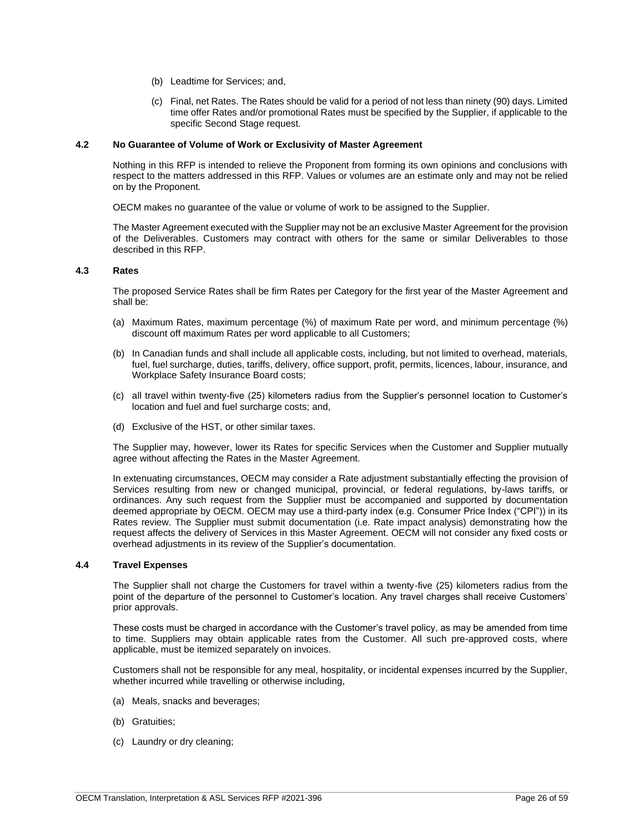- (b) Leadtime for Services; and,
- (c) Final, net Rates. The Rates should be valid for a period of not less than ninety (90) days. Limited time offer Rates and/or promotional Rates must be specified by the Supplier, if applicable to the specific Second Stage request.

### <span id="page-25-0"></span>**4.2 No Guarantee of Volume of Work or Exclusivity of Master Agreement**

Nothing in this RFP is intended to relieve the Proponent from forming its own opinions and conclusions with respect to the matters addressed in this RFP. Values or volumes are an estimate only and may not be relied on by the Proponent.

OECM makes no guarantee of the value or volume of work to be assigned to the Supplier.

The Master Agreement executed with the Supplier may not be an exclusive Master Agreement for the provision of the Deliverables. Customers may contract with others for the same or similar Deliverables to those described in this RFP.

# <span id="page-25-1"></span>**4.3 Rates**

The proposed Service Rates shall be firm Rates per Category for the first year of the Master Agreement and shall be:

- (a) Maximum Rates, maximum percentage (%) of maximum Rate per word, and minimum percentage (%) discount off maximum Rates per word applicable to all Customers;
- (b) In Canadian funds and shall include all applicable costs, including, but not limited to overhead, materials, fuel, fuel surcharge, duties, tariffs, delivery, office support, profit, permits, licences, labour, insurance, and Workplace Safety Insurance Board costs;
- (c) all travel within twenty-five (25) kilometers radius from the Supplier's personnel location to Customer's location and fuel and fuel surcharge costs; and,
- (d) Exclusive of the HST, or other similar taxes.

The Supplier may, however, lower its Rates for specific Services when the Customer and Supplier mutually agree without affecting the Rates in the Master Agreement.

In extenuating circumstances, OECM may consider a Rate adjustment substantially effecting the provision of Services resulting from new or changed municipal, provincial, or federal regulations, by-laws tariffs, or ordinances. Any such request from the Supplier must be accompanied and supported by documentation deemed appropriate by OECM. OECM may use a third-party index (e.g. Consumer Price Index ("CPI")) in its Rates review. The Supplier must submit documentation (i.e. Rate impact analysis) demonstrating how the request affects the delivery of Services in this Master Agreement. OECM will not consider any fixed costs or overhead adjustments in its review of the Supplier's documentation.

### <span id="page-25-2"></span>**4.4 Travel Expenses**

The Supplier shall not charge the Customers for travel within a twenty-five (25) kilometers radius from the point of the departure of the personnel to Customer's location. Any travel charges shall receive Customers' prior approvals.

These costs must be charged in accordance with the Customer's travel policy, as may be amended from time to time. Suppliers may obtain applicable rates from the Customer. All such pre-approved costs, where applicable, must be itemized separately on invoices.

Customers shall not be responsible for any meal, hospitality, or incidental expenses incurred by the Supplier, whether incurred while travelling or otherwise including,

- (a) Meals, snacks and beverages;
- (b) Gratuities;
- (c) Laundry or dry cleaning;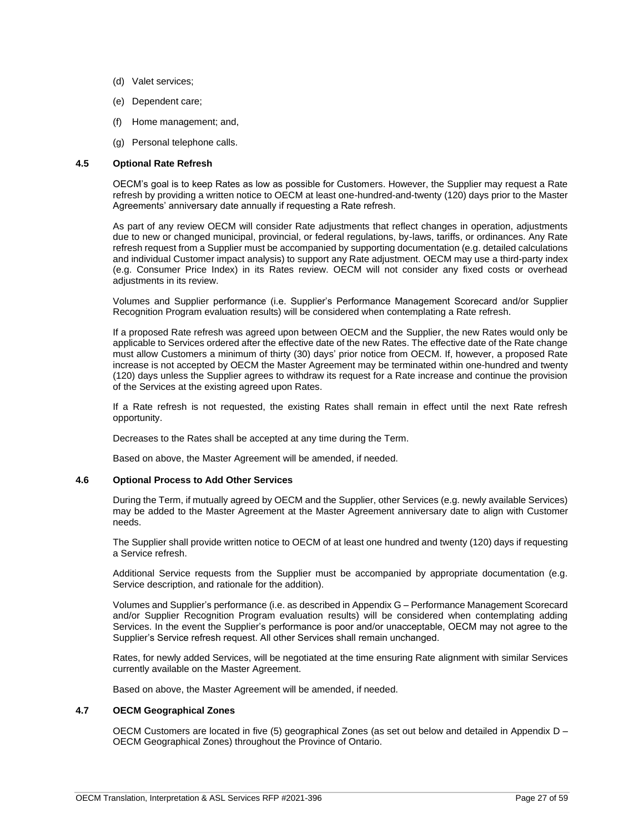- (d) Valet services;
- (e) Dependent care;
- (f) Home management; and,
- (g) Personal telephone calls.

### <span id="page-26-0"></span>**4.5 Optional Rate Refresh**

OECM's goal is to keep Rates as low as possible for Customers. However, the Supplier may request a Rate refresh by providing a written notice to OECM at least one-hundred-and-twenty (120) days prior to the Master Agreements' anniversary date annually if requesting a Rate refresh.

As part of any review OECM will consider Rate adjustments that reflect changes in operation, adjustments due to new or changed municipal, provincial, or federal regulations, by-laws, tariffs, or ordinances. Any Rate refresh request from a Supplier must be accompanied by supporting documentation (e.g. detailed calculations and individual Customer impact analysis) to support any Rate adjustment. OECM may use a third-party index (e.g. Consumer Price Index) in its Rates review. OECM will not consider any fixed costs or overhead adiustments in its review.

Volumes and Supplier performance (i.e. Supplier's Performance Management Scorecard and/or Supplier Recognition Program evaluation results) will be considered when contemplating a Rate refresh.

If a proposed Rate refresh was agreed upon between OECM and the Supplier, the new Rates would only be applicable to Services ordered after the effective date of the new Rates. The effective date of the Rate change must allow Customers a minimum of thirty (30) days' prior notice from OECM. If, however, a proposed Rate increase is not accepted by OECM the Master Agreement may be terminated within one-hundred and twenty (120) days unless the Supplier agrees to withdraw its request for a Rate increase and continue the provision of the Services at the existing agreed upon Rates.

If a Rate refresh is not requested, the existing Rates shall remain in effect until the next Rate refresh opportunity.

Decreases to the Rates shall be accepted at any time during the Term.

Based on above, the Master Agreement will be amended, if needed.

#### <span id="page-26-1"></span>**4.6 Optional Process to Add Other Services**

During the Term, if mutually agreed by OECM and the Supplier, other Services (e.g. newly available Services) may be added to the Master Agreement at the Master Agreement anniversary date to align with Customer needs.

The Supplier shall provide written notice to OECM of at least one hundred and twenty (120) days if requesting a Service refresh.

Additional Service requests from the Supplier must be accompanied by appropriate documentation (e.g. Service description, and rationale for the addition).

Volumes and Supplier's performance (i.e. as described in Appendix G – Performance Management Scorecard and/or Supplier Recognition Program evaluation results) will be considered when contemplating adding Services. In the event the Supplier's performance is poor and/or unacceptable, OECM may not agree to the Supplier's Service refresh request. All other Services shall remain unchanged.

Rates, for newly added Services, will be negotiated at the time ensuring Rate alignment with similar Services currently available on the Master Agreement.

Based on above, the Master Agreement will be amended, if needed.

# <span id="page-26-2"></span>**4.7 OECM Geographical Zones**

OECM Customers are located in five (5) geographical Zones (as set out below and detailed in Appendix D – OECM Geographical Zones) throughout the Province of Ontario.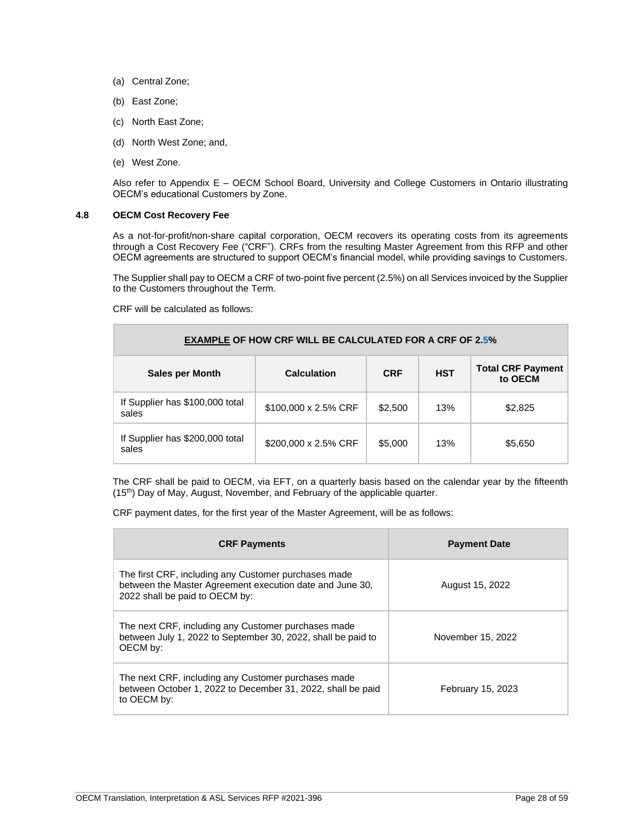- (a) Central Zone;
- (b) East Zone;
- (c) North East Zone;
- (d) North West Zone; and,
- (e) West Zone.

Also refer to Appendix E – OECM School Board, University and College Customers in Ontario illustrating OECM's educational Customers by Zone.

# <span id="page-27-0"></span>**4.8 OECM Cost Recovery Fee**

As a not-for-profit/non-share capital corporation, OECM recovers its operating costs from its agreements through a Cost Recovery Fee ("CRF"). CRFs from the resulting Master Agreement from this RFP and other OECM agreements are structured to support OECM's financial model, while providing savings to Customers.

The Supplier shall pay to OECM a CRF of two-point five percent (2.5%) on all Services invoiced by the Supplier to the Customers throughout the Term.

CRF will be calculated as follows:

| <b>EXAMPLE OF HOW CRF WILL BE CALCULATED FOR A CRF OF 2.5%</b> |                      |            |            |                                     |
|----------------------------------------------------------------|----------------------|------------|------------|-------------------------------------|
| <b>Sales per Month</b>                                         | <b>Calculation</b>   | <b>CRF</b> | <b>HST</b> | <b>Total CRF Payment</b><br>to OECM |
| If Supplier has \$100,000 total<br>sales                       | \$100,000 x 2.5% CRF | \$2,500    | 13%        | \$2,825                             |
| If Supplier has \$200,000 total<br>sales                       | \$200,000 x 2.5% CRF | \$5,000    | 13%        | \$5,650                             |

The CRF shall be paid to OECM, via EFT, on a quarterly basis based on the calendar year by the fifteenth (15<sup>th</sup>) Day of May, August, November, and February of the applicable quarter.

CRF payment dates, for the first year of the Master Agreement, will be as follows:

| <b>CRF Payments</b>                                                                                                                                | <b>Payment Date</b> |
|----------------------------------------------------------------------------------------------------------------------------------------------------|---------------------|
| The first CRF, including any Customer purchases made<br>between the Master Agreement execution date and June 30,<br>2022 shall be paid to OECM by: | August 15, 2022     |
| The next CRF, including any Customer purchases made<br>between July 1, 2022 to September 30, 2022, shall be paid to<br>OECM by:                    | November 15, 2022   |
| The next CRF, including any Customer purchases made<br>between October 1, 2022 to December 31, 2022, shall be paid<br>to OECM by:                  | February 15, 2023   |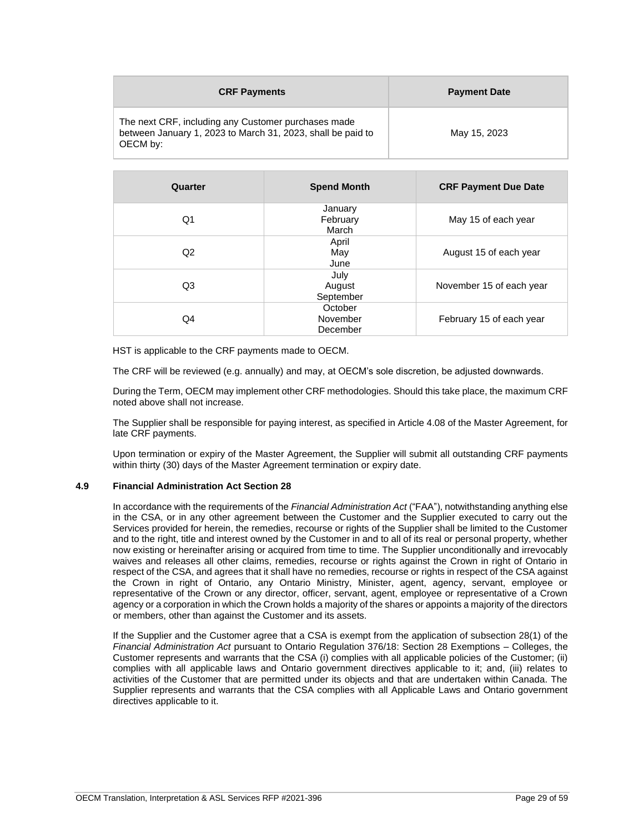| <b>CRF Payments</b>                                                                                                            | <b>Payment Date</b> |
|--------------------------------------------------------------------------------------------------------------------------------|---------------------|
| The next CRF, including any Customer purchases made<br>between January 1, 2023 to March 31, 2023, shall be paid to<br>OECM by: | May 15, 2023        |

| Quarter | <b>Spend Month</b>              | <b>CRF Payment Due Date</b> |
|---------|---------------------------------|-----------------------------|
| Q1      | January<br>February<br>March    | May 15 of each year         |
| Q2      | April<br>May<br>June            | August 15 of each year      |
| Q3      | July<br>August<br>September     | November 15 of each year    |
| Q4      | October<br>November<br>December | February 15 of each year    |

HST is applicable to the CRF payments made to OECM.

The CRF will be reviewed (e.g. annually) and may, at OECM's sole discretion, be adjusted downwards.

During the Term, OECM may implement other CRF methodologies. Should this take place, the maximum CRF noted above shall not increase.

The Supplier shall be responsible for paying interest, as specified in Article 4.08 of the Master Agreement, for late CRF payments.

Upon termination or expiry of the Master Agreement, the Supplier will submit all outstanding CRF payments within thirty (30) days of the Master Agreement termination or expiry date.

# <span id="page-28-0"></span>**4.9 Financial Administration Act Section 28**

In accordance with the requirements of the *Financial Administration Act* ("FAA"), notwithstanding anything else in the CSA, or in any other agreement between the Customer and the Supplier executed to carry out the Services provided for herein, the remedies, recourse or rights of the Supplier shall be limited to the Customer and to the right, title and interest owned by the Customer in and to all of its real or personal property, whether now existing or hereinafter arising or acquired from time to time. The Supplier unconditionally and irrevocably waives and releases all other claims, remedies, recourse or rights against the Crown in right of Ontario in respect of the CSA, and agrees that it shall have no remedies, recourse or rights in respect of the CSA against the Crown in right of Ontario, any Ontario Ministry, Minister, agent, agency, servant, employee or representative of the Crown or any director, officer, servant, agent, employee or representative of a Crown agency or a corporation in which the Crown holds a majority of the shares or appoints a majority of the directors or members, other than against the Customer and its assets.

If the Supplier and the Customer agree that a CSA is exempt from the application of subsection 28(1) of the *Financial Administration Act* pursuant to Ontario Regulation 376/18: Section 28 Exemptions – Colleges, the Customer represents and warrants that the CSA (i) complies with all applicable policies of the Customer; (ii) complies with all applicable laws and Ontario government directives applicable to it; and, (iii) relates to activities of the Customer that are permitted under its objects and that are undertaken within Canada. The Supplier represents and warrants that the CSA complies with all Applicable Laws and Ontario government directives applicable to it.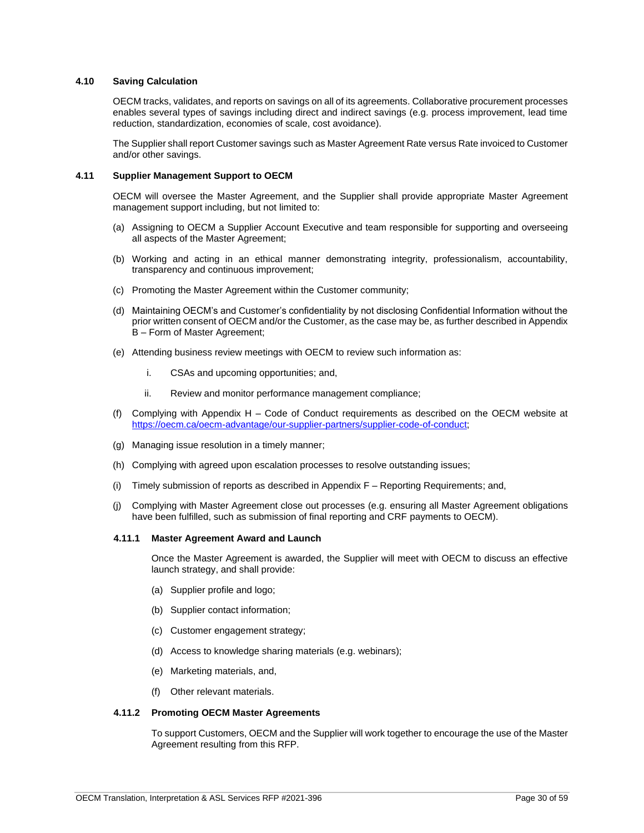# <span id="page-29-0"></span>**4.10 Saving Calculation**

OECM tracks, validates, and reports on savings on all of its agreements. Collaborative procurement processes enables several types of savings including direct and indirect savings (e.g. process improvement, lead time reduction, standardization, economies of scale, cost avoidance).

The Supplier shall report Customer savings such as Master Agreement Rate versus Rate invoiced to Customer and/or other savings.

### <span id="page-29-1"></span>**4.11 Supplier Management Support to OECM**

OECM will oversee the Master Agreement, and the Supplier shall provide appropriate Master Agreement management support including, but not limited to:

- (a) Assigning to OECM a Supplier Account Executive and team responsible for supporting and overseeing all aspects of the Master Agreement;
- (b) Working and acting in an ethical manner demonstrating integrity, professionalism, accountability, transparency and continuous improvement;
- (c) Promoting the Master Agreement within the Customer community;
- (d) Maintaining OECM's and Customer's confidentiality by not disclosing Confidential Information without the prior written consent of OECM and/or the Customer, as the case may be, as further described in Appendix B – Form of Master Agreement;
- (e) Attending business review meetings with OECM to review such information as:
	- i. CSAs and upcoming opportunities; and,
	- ii. Review and monitor performance management compliance;
- (f) Complying with Appendix H Code of Conduct requirements as described on the OECM website at [https://oecm.ca/oecm-advantage/our-supplier-partners/supplier-code-of-conduct;](https://oecm.ca/oecm-advantage/our-supplier-partners/supplier-code-of-conduct)
- (g) Managing issue resolution in a timely manner;
- (h) Complying with agreed upon escalation processes to resolve outstanding issues;
- (i) Timely submission of reports as described in Appendix F Reporting Requirements; and,
- (j) Complying with Master Agreement close out processes (e.g. ensuring all Master Agreement obligations have been fulfilled, such as submission of final reporting and CRF payments to OECM).

# <span id="page-29-2"></span>**4.11.1 Master Agreement Award and Launch**

Once the Master Agreement is awarded, the Supplier will meet with OECM to discuss an effective launch strategy, and shall provide:

- (a) Supplier profile and logo;
- (b) Supplier contact information;
- (c) Customer engagement strategy;
- (d) Access to knowledge sharing materials (e.g. webinars);
- (e) Marketing materials, and,
- (f) Other relevant materials.

### <span id="page-29-3"></span>**4.11.2 Promoting OECM Master Agreements**

To support Customers, OECM and the Supplier will work together to encourage the use of the Master Agreement resulting from this RFP.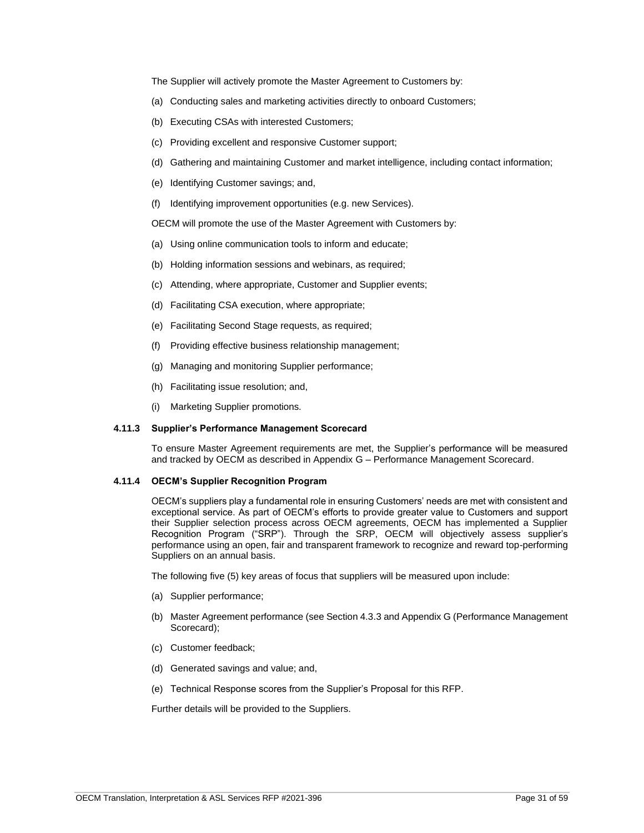The Supplier will actively promote the Master Agreement to Customers by:

- (a) Conducting sales and marketing activities directly to onboard Customers;
- (b) Executing CSAs with interested Customers;
- (c) Providing excellent and responsive Customer support;
- (d) Gathering and maintaining Customer and market intelligence, including contact information;
- (e) Identifying Customer savings; and,
- (f) Identifying improvement opportunities (e.g. new Services).

OECM will promote the use of the Master Agreement with Customers by:

- (a) Using online communication tools to inform and educate;
- (b) Holding information sessions and webinars, as required;
- (c) Attending, where appropriate, Customer and Supplier events;
- (d) Facilitating CSA execution, where appropriate;
- (e) Facilitating Second Stage requests, as required;
- (f) Providing effective business relationship management;
- (g) Managing and monitoring Supplier performance;
- (h) Facilitating issue resolution; and,
- (i) Marketing Supplier promotions.

# <span id="page-30-0"></span>**4.11.3 Supplier's Performance Management Scorecard**

To ensure Master Agreement requirements are met, the Supplier's performance will be measured and tracked by OECM as described in Appendix G – Performance Management Scorecard.

### <span id="page-30-1"></span>**4.11.4 OECM's Supplier Recognition Program**

OECM's suppliers play a fundamental role in ensuring Customers' needs are met with consistent and exceptional service. As part of OECM's efforts to provide greater value to Customers and support their Supplier selection process across OECM agreements, OECM has implemented a Supplier Recognition Program ("SRP"). Through the SRP, OECM will objectively assess supplier's performance using an open, fair and transparent framework to recognize and reward top-performing Suppliers on an annual basis.

The following five (5) key areas of focus that suppliers will be measured upon include:

- (a) Supplier performance;
- (b) Master Agreement performance (see Section 4.3.3 and Appendix G (Performance Management Scorecard);
- (c) Customer feedback;
- (d) Generated savings and value; and,
- (e) Technical Response scores from the Supplier's Proposal for this RFP.

Further details will be provided to the Suppliers.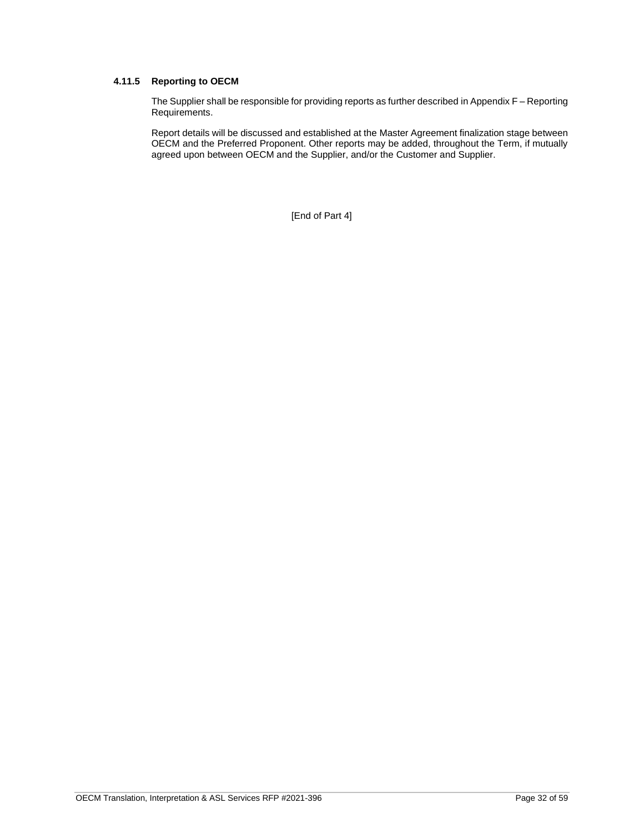# <span id="page-31-0"></span>**4.11.5 Reporting to OECM**

The Supplier shall be responsible for providing reports as further described in Appendix F – Reporting Requirements.

Report details will be discussed and established at the Master Agreement finalization stage between OECM and the Preferred Proponent. Other reports may be added, throughout the Term, if mutually agreed upon between OECM and the Supplier, and/or the Customer and Supplier.

[End of Part 4]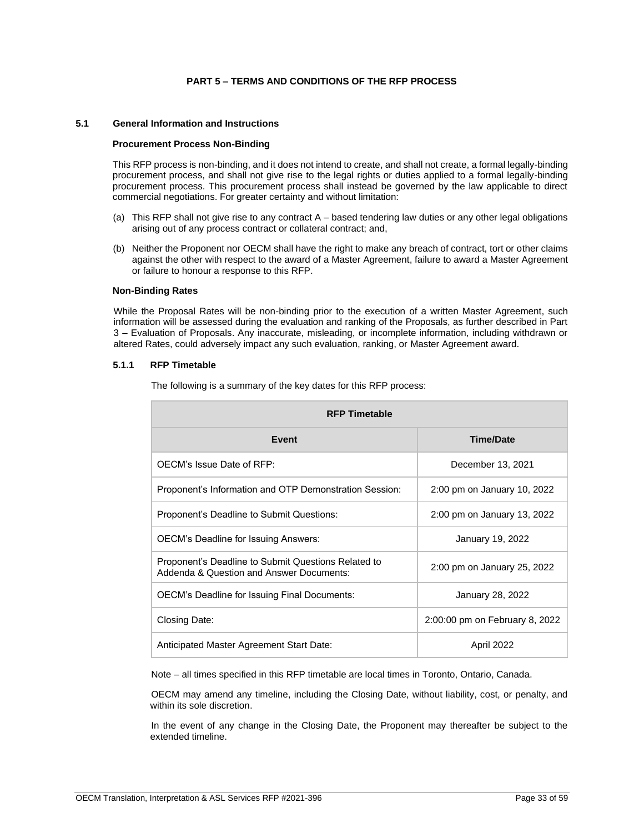# **PART 5 – TERMS AND CONDITIONS OF THE RFP PROCESS**

### <span id="page-32-1"></span><span id="page-32-0"></span>**5.1 General Information and Instructions**

### **Procurement Process Non-Binding**

This RFP process is non-binding, and it does not intend to create, and shall not create, a formal legally-binding procurement process, and shall not give rise to the legal rights or duties applied to a formal legally-binding procurement process. This procurement process shall instead be governed by the law applicable to direct commercial negotiations. For greater certainty and without limitation:

- (a) This RFP shall not give rise to any contract A based tendering law duties or any other legal obligations arising out of any process contract or collateral contract; and,
- (b) Neither the Proponent nor OECM shall have the right to make any breach of contract, tort or other claims against the other with respect to the award of a Master Agreement, failure to award a Master Agreement or failure to honour a response to this RFP.

### **Non-Binding Rates**

While the Proposal Rates will be non-binding prior to the execution of a written Master Agreement, such information will be assessed during the evaluation and ranking of the Proposals, as further described in Part 3 – Evaluation of Proposals. Any inaccurate, misleading, or incomplete information, including withdrawn or altered Rates, could adversely impact any such evaluation, ranking, or Master Agreement award.

### <span id="page-32-2"></span>**5.1.1 RFP Timetable**

| <b>RFP Timetable</b>                                                                            |                                |  |  |
|-------------------------------------------------------------------------------------------------|--------------------------------|--|--|
| Event                                                                                           | <b>Time/Date</b>               |  |  |
| OECM's Issue Date of RFP:                                                                       | December 13, 2021              |  |  |
| Proponent's Information and OTP Demonstration Session:                                          | 2:00 pm on January 10, 2022    |  |  |
| Proponent's Deadline to Submit Questions:                                                       | 2:00 pm on January 13, 2022    |  |  |
| <b>OECM's Deadline for Issuing Answers:</b>                                                     | January 19, 2022               |  |  |
| Proponent's Deadline to Submit Questions Related to<br>Addenda & Question and Answer Documents: | 2:00 pm on January 25, 2022    |  |  |
| <b>OECM's Deadline for Issuing Final Documents:</b>                                             | January 28, 2022               |  |  |
| Closing Date:                                                                                   | 2:00:00 pm on February 8, 2022 |  |  |
| Anticipated Master Agreement Start Date:                                                        | April 2022                     |  |  |

The following is a summary of the key dates for this RFP process:

Note – all times specified in this RFP timetable are local times in Toronto, Ontario, Canada.

OECM may amend any timeline, including the Closing Date, without liability, cost, or penalty, and within its sole discretion.

In the event of any change in the Closing Date, the Proponent may thereafter be subject to the extended timeline.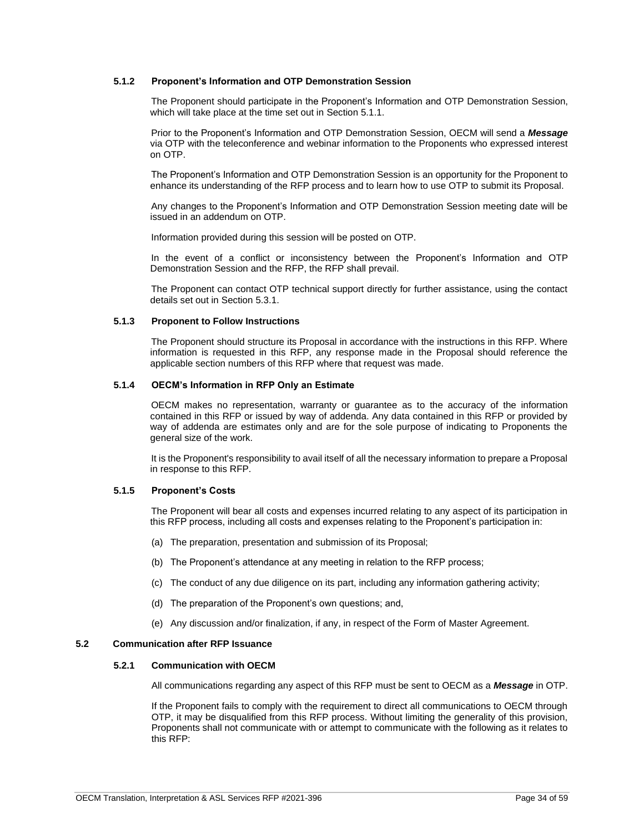# <span id="page-33-0"></span>**5.1.2 Proponent's Information and OTP Demonstration Session**

The Proponent should participate in the Proponent's Information and OTP Demonstration Session, which will take place at the time set out in Section 5.1.1.

Prior to the Proponent's Information and OTP Demonstration Session, OECM will send a *Message*  via OTP with the teleconference and webinar information to the Proponents who expressed interest on OTP.

The Proponent's Information and OTP Demonstration Session is an opportunity for the Proponent to enhance its understanding of the RFP process and to learn how to use OTP to submit its Proposal.

Any changes to the Proponent's Information and OTP Demonstration Session meeting date will be issued in an addendum on OTP.

Information provided during this session will be posted on OTP.

In the event of a conflict or inconsistency between the Proponent's Information and OTP Demonstration Session and the RFP, the RFP shall prevail.

The Proponent can contact OTP technical support directly for further assistance, using the contact details set out in Section 5.3.1.

### <span id="page-33-1"></span>**5.1.3 Proponent to Follow Instructions**

The Proponent should structure its Proposal in accordance with the instructions in this RFP. Where information is requested in this RFP, any response made in the Proposal should reference the applicable section numbers of this RFP where that request was made.

### <span id="page-33-2"></span>**5.1.4 OECM's Information in RFP Only an Estimate**

OECM makes no representation, warranty or guarantee as to the accuracy of the information contained in this RFP or issued by way of addenda. Any data contained in this RFP or provided by way of addenda are estimates only and are for the sole purpose of indicating to Proponents the general size of the work.

It is the Proponent's responsibility to avail itself of all the necessary information to prepare a Proposal in response to this RFP.

# <span id="page-33-3"></span>**5.1.5 Proponent's Costs**

The Proponent will bear all costs and expenses incurred relating to any aspect of its participation in this RFP process, including all costs and expenses relating to the Proponent's participation in:

- (a) The preparation, presentation and submission of its Proposal;
- (b) The Proponent's attendance at any meeting in relation to the RFP process;
- (c) The conduct of any due diligence on its part, including any information gathering activity;
- (d) The preparation of the Proponent's own questions; and,
- (e) Any discussion and/or finalization, if any, in respect of the Form of Master Agreement.

# <span id="page-33-5"></span><span id="page-33-4"></span>**5.2 Communication after RFP Issuance**

# **5.2.1 Communication with OECM**

All communications regarding any aspect of this RFP must be sent to OECM as a *Message* in OTP.

If the Proponent fails to comply with the requirement to direct all communications to OECM through OTP, it may be disqualified from this RFP process. Without limiting the generality of this provision, Proponents shall not communicate with or attempt to communicate with the following as it relates to this RFP: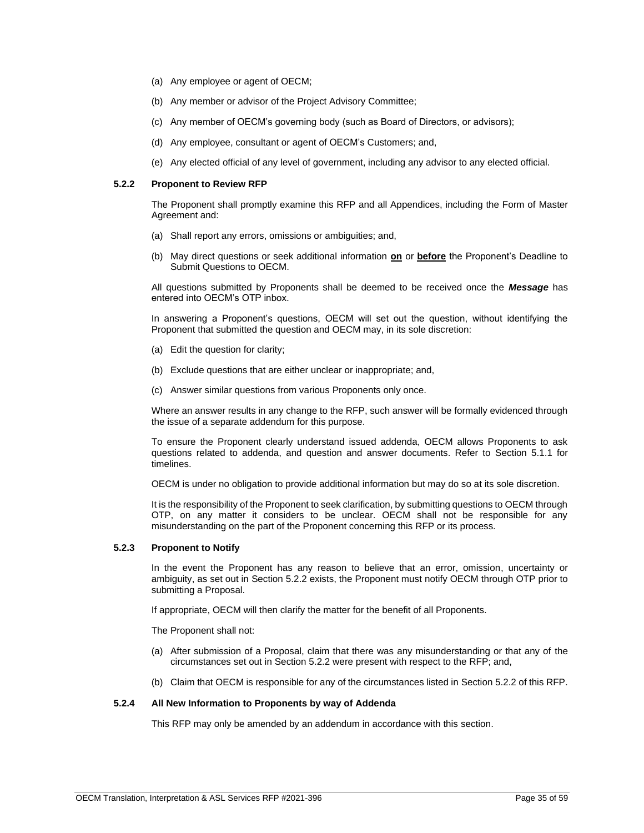- (a) Any employee or agent of OECM;
- (b) Any member or advisor of the Project Advisory Committee;
- (c) Any member of OECM's governing body (such as Board of Directors, or advisors);
- (d) Any employee, consultant or agent of OECM's Customers; and,
- (e) Any elected official of any level of government, including any advisor to any elected official.

### <span id="page-34-0"></span>**5.2.2 Proponent to Review RFP**

The Proponent shall promptly examine this RFP and all Appendices, including the Form of Master Agreement and:

- (a) Shall report any errors, omissions or ambiguities; and,
- (b) May direct questions or seek additional information **on** or **before** the Proponent's Deadline to Submit Questions to OECM.

All questions submitted by Proponents shall be deemed to be received once the *Message* has entered into OECM's OTP inbox.

In answering a Proponent's questions, OECM will set out the question, without identifying the Proponent that submitted the question and OECM may, in its sole discretion:

- (a) Edit the question for clarity;
- (b) Exclude questions that are either unclear or inappropriate; and,
- (c) Answer similar questions from various Proponents only once.

Where an answer results in any change to the RFP, such answer will be formally evidenced through the issue of a separate addendum for this purpose.

To ensure the Proponent clearly understand issued addenda, OECM allows Proponents to ask questions related to addenda, and question and answer documents. Refer to Section 5.1.1 for timelines.

OECM is under no obligation to provide additional information but may do so at its sole discretion.

It is the responsibility of the Proponent to seek clarification, by submitting questions to OECM through OTP, on any matter it considers to be unclear. OECM shall not be responsible for any misunderstanding on the part of the Proponent concerning this RFP or its process.

### <span id="page-34-1"></span>**5.2.3 Proponent to Notify**

In the event the Proponent has any reason to believe that an error, omission, uncertainty or ambiguity, as set out in Section 5.2.2 exists, the Proponent must notify OECM through OTP prior to submitting a Proposal.

If appropriate, OECM will then clarify the matter for the benefit of all Proponents.

The Proponent shall not:

- (a) After submission of a Proposal, claim that there was any misunderstanding or that any of the circumstances set out in Section 5.2.2 were present with respect to the RFP; and,
- (b) Claim that OECM is responsible for any of the circumstances listed in Section 5.2.2 of this RFP.

### <span id="page-34-2"></span>**5.2.4 All New Information to Proponents by way of Addenda**

This RFP may only be amended by an addendum in accordance with this section.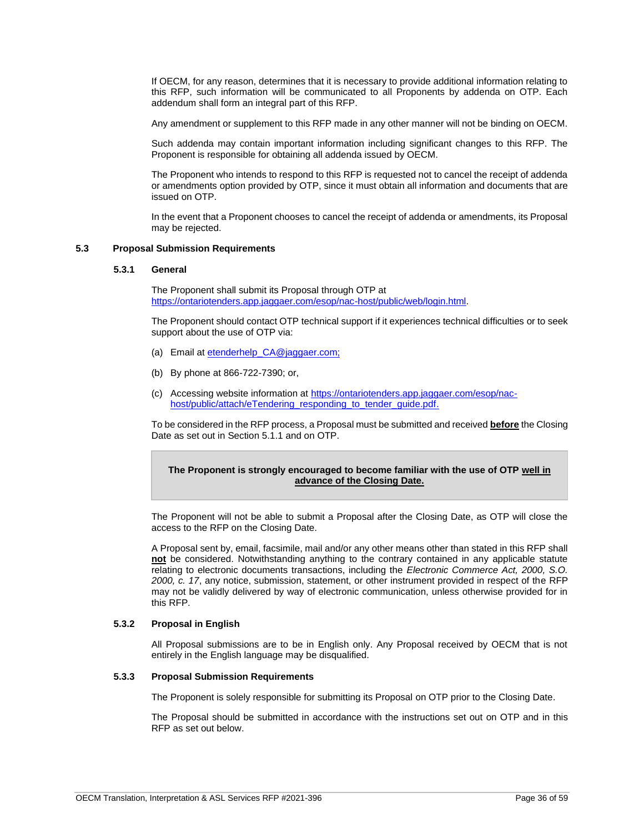If OECM, for any reason, determines that it is necessary to provide additional information relating to this RFP, such information will be communicated to all Proponents by addenda on OTP. Each addendum shall form an integral part of this RFP.

Any amendment or supplement to this RFP made in any other manner will not be binding on OECM.

Such addenda may contain important information including significant changes to this RFP. The Proponent is responsible for obtaining all addenda issued by OECM.

The Proponent who intends to respond to this RFP is requested not to cancel the receipt of addenda or amendments option provided by OTP, since it must obtain all information and documents that are issued on OTP.

In the event that a Proponent chooses to cancel the receipt of addenda or amendments, its Proposal may be rejected.

# <span id="page-35-1"></span><span id="page-35-0"></span>**5.3 Proposal Submission Requirements**

#### **5.3.1 General**

The Proponent shall submit its Proposal through OTP at [https://ontariotenders.app.jaggaer.com/esop/nac-host/public/web/login.html.](https://ontariotenders.app.jaggaer.com/esop/nac-host/public/web/login.html)

The Proponent should contact OTP technical support if it experiences technical difficulties or to seek support about the use of OTP via:

- (a) Email at etenderhelp\_CA@jaggaer.com;
- (b) By phone at 866-722-7390; or,
- (c) Accessing website information at [https://ontariotenders.app.jaggaer.com/esop/nac](https://ontariotenders.app.jaggaer.com/esop/nac-host/public/attach/eTendering_responding_to_tender_guide.pdf)[host/public/attach/eTendering\\_responding\\_to\\_tender\\_guide.pdf.](https://ontariotenders.app.jaggaer.com/esop/nac-host/public/attach/eTendering_responding_to_tender_guide.pdf)

To be considered in the RFP process, a Proposal must be submitted and received **before** the Closing Date as set out in Section 5.1.1 and on OTP.

# **The Proponent is strongly encouraged to become familiar with the use of OTP well in advance of the Closing Date.**

The Proponent will not be able to submit a Proposal after the Closing Date, as OTP will close the access to the RFP on the Closing Date.

A Proposal sent by, email, facsimile, mail and/or any other means other than stated in this RFP shall **not** be considered. Notwithstanding anything to the contrary contained in any applicable statute relating to electronic documents transactions, including the *Electronic Commerce Act, 2000, S.O. 2000, c. 17*, any notice, submission, statement, or other instrument provided in respect of the RFP may not be validly delivered by way of electronic communication, unless otherwise provided for in this RFP.

### <span id="page-35-2"></span>**5.3.2 Proposal in English**

All Proposal submissions are to be in English only. Any Proposal received by OECM that is not entirely in the English language may be disqualified.

# <span id="page-35-3"></span>**5.3.3 Proposal Submission Requirements**

The Proponent is solely responsible for submitting its Proposal on OTP prior to the Closing Date.

The Proposal should be submitted in accordance with the instructions set out on OTP and in this RFP as set out below.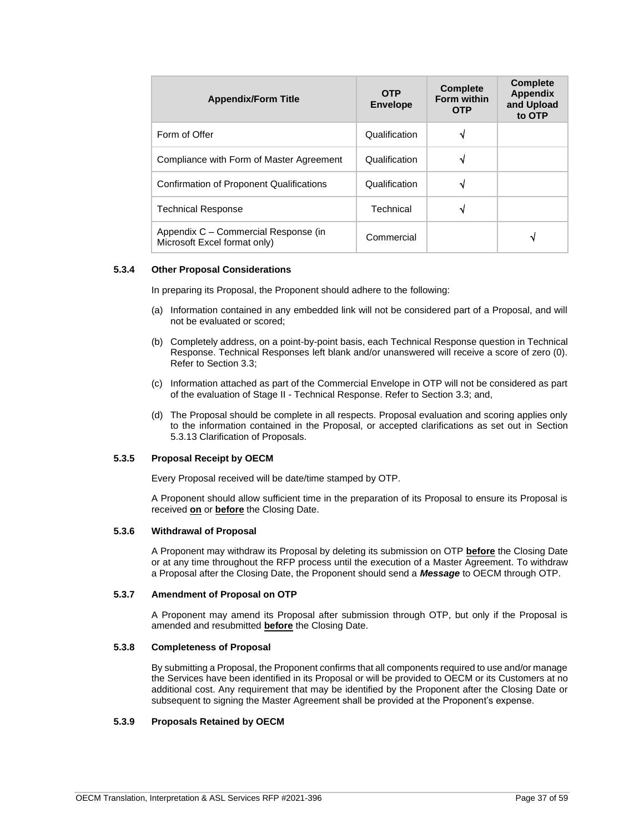| <b>Appendix/Form Title</b>                                           | <b>OTP</b><br><b>Envelope</b> | <b>Complete</b><br><b>Form within</b><br><b>OTP</b> | <b>Complete</b><br><b>Appendix</b><br>and Upload<br>to OTP |
|----------------------------------------------------------------------|-------------------------------|-----------------------------------------------------|------------------------------------------------------------|
| Form of Offer                                                        | Qualification                 | N                                                   |                                                            |
| Compliance with Form of Master Agreement                             | Qualification                 | ٦J                                                  |                                                            |
| Confirmation of Proponent Qualifications                             | Qualification                 | ٦J                                                  |                                                            |
| <b>Technical Response</b>                                            | Technical                     | ٦J                                                  |                                                            |
| Appendix C - Commercial Response (in<br>Microsoft Excel format only) | Commercial                    |                                                     | ٧                                                          |

# <span id="page-36-0"></span>**5.3.4 Other Proposal Considerations**

In preparing its Proposal, the Proponent should adhere to the following:

- (a) Information contained in any embedded link will not be considered part of a Proposal, and will not be evaluated or scored;
- (b) Completely address, on a point-by-point basis, each Technical Response question in Technical Response. Technical Responses left blank and/or unanswered will receive a score of zero (0). Refer to Section 3.3;
- (c) Information attached as part of the Commercial Envelope in OTP will not be considered as part of the evaluation of Stage II - Technical Response. Refer to Section 3.3; and,
- (d) The Proposal should be complete in all respects. Proposal evaluation and scoring applies only to the information contained in the Proposal, or accepted clarifications as set out in Section 5.3.13 Clarification of Proposals.

# <span id="page-36-1"></span>**5.3.5 Proposal Receipt by OECM**

Every Proposal received will be date/time stamped by OTP.

A Proponent should allow sufficient time in the preparation of its Proposal to ensure its Proposal is received **on** or **before** the Closing Date.

### <span id="page-36-2"></span>**5.3.6 Withdrawal of Proposal**

A Proponent may withdraw its Proposal by deleting its submission on OTP **before** the Closing Date or at any time throughout the RFP process until the execution of a Master Agreement. To withdraw a Proposal after the Closing Date, the Proponent should send a *Message* to OECM through OTP.

#### <span id="page-36-3"></span>**5.3.7 Amendment of Proposal on OTP**

A Proponent may amend its Proposal after submission through OTP, but only if the Proposal is amended and resubmitted **before** the Closing Date.

# <span id="page-36-4"></span>**5.3.8 Completeness of Proposal**

By submitting a Proposal, the Proponent confirms that all components required to use and/or manage the Services have been identified in its Proposal or will be provided to OECM or its Customers at no additional cost. Any requirement that may be identified by the Proponent after the Closing Date or subsequent to signing the Master Agreement shall be provided at the Proponent's expense.

#### <span id="page-36-5"></span>**5.3.9 Proposals Retained by OECM**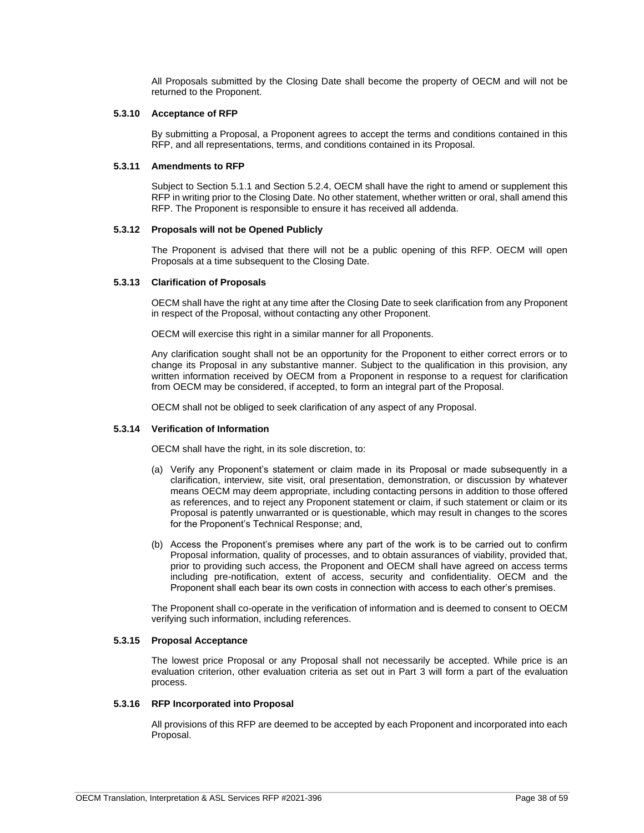All Proposals submitted by the Closing Date shall become the property of OECM and will not be returned to the Proponent.

### <span id="page-37-0"></span>**5.3.10 Acceptance of RFP**

By submitting a Proposal, a Proponent agrees to accept the terms and conditions contained in this RFP, and all representations, terms, and conditions contained in its Proposal.

### <span id="page-37-1"></span>**5.3.11 Amendments to RFP**

Subject to Section 5.1.1 and Section 5.2.4, OECM shall have the right to amend or supplement this RFP in writing prior to the Closing Date. No other statement, whether written or oral, shall amend this RFP. The Proponent is responsible to ensure it has received all addenda.

### <span id="page-37-2"></span>**5.3.12 Proposals will not be Opened Publicly**

The Proponent is advised that there will not be a public opening of this RFP. OECM will open Proposals at a time subsequent to the Closing Date.

### <span id="page-37-3"></span>**5.3.13 Clarification of Proposals**

OECM shall have the right at any time after the Closing Date to seek clarification from any Proponent in respect of the Proposal, without contacting any other Proponent.

OECM will exercise this right in a similar manner for all Proponents.

Any clarification sought shall not be an opportunity for the Proponent to either correct errors or to change its Proposal in any substantive manner. Subject to the qualification in this provision, any written information received by OECM from a Proponent in response to a request for clarification from OECM may be considered, if accepted, to form an integral part of the Proposal.

OECM shall not be obliged to seek clarification of any aspect of any Proposal.

# <span id="page-37-4"></span>**5.3.14 Verification of Information**

OECM shall have the right, in its sole discretion, to:

- (a) Verify any Proponent's statement or claim made in its Proposal or made subsequently in a clarification, interview, site visit, oral presentation, demonstration, or discussion by whatever means OECM may deem appropriate, including contacting persons in addition to those offered as references, and to reject any Proponent statement or claim, if such statement or claim or its Proposal is patently unwarranted or is questionable, which may result in changes to the scores for the Proponent's Technical Response; and,
- (b) Access the Proponent's premises where any part of the work is to be carried out to confirm Proposal information, quality of processes, and to obtain assurances of viability, provided that, prior to providing such access, the Proponent and OECM shall have agreed on access terms including pre-notification, extent of access, security and confidentiality. OECM and the Proponent shall each bear its own costs in connection with access to each other's premises.

The Proponent shall co-operate in the verification of information and is deemed to consent to OECM verifying such information, including references.

### <span id="page-37-5"></span>**5.3.15 Proposal Acceptance**

The lowest price Proposal or any Proposal shall not necessarily be accepted. While price is an evaluation criterion, other evaluation criteria as set out in Part 3 will form a part of the evaluation process.

#### <span id="page-37-6"></span>**5.3.16 RFP Incorporated into Proposal**

All provisions of this RFP are deemed to be accepted by each Proponent and incorporated into each Proposal.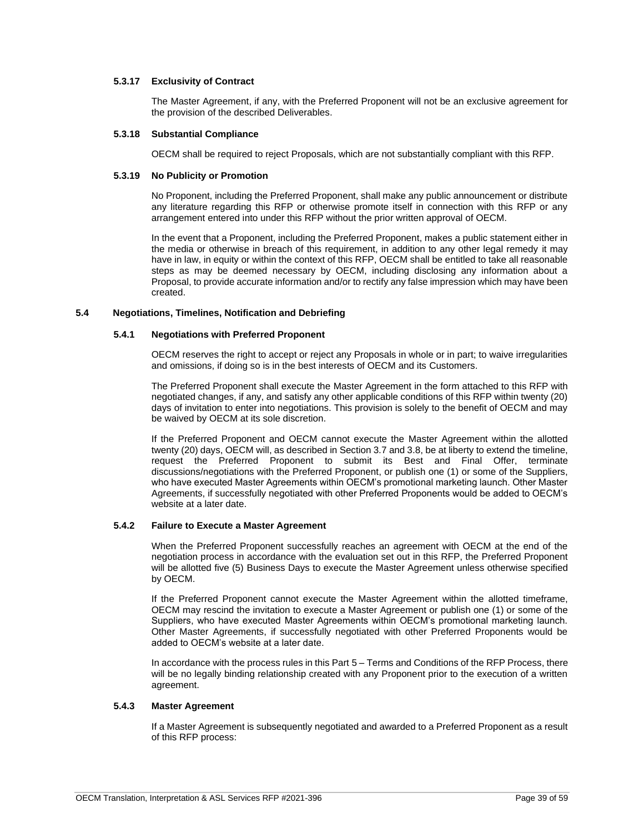# <span id="page-38-0"></span>**5.3.17 Exclusivity of Contract**

The Master Agreement, if any, with the Preferred Proponent will not be an exclusive agreement for the provision of the described Deliverables.

### <span id="page-38-1"></span>**5.3.18 Substantial Compliance**

OECM shall be required to reject Proposals, which are not substantially compliant with this RFP.

### <span id="page-38-2"></span>**5.3.19 No Publicity or Promotion**

No Proponent, including the Preferred Proponent, shall make any public announcement or distribute any literature regarding this RFP or otherwise promote itself in connection with this RFP or any arrangement entered into under this RFP without the prior written approval of OECM.

In the event that a Proponent, including the Preferred Proponent, makes a public statement either in the media or otherwise in breach of this requirement, in addition to any other legal remedy it may have in law, in equity or within the context of this RFP, OECM shall be entitled to take all reasonable steps as may be deemed necessary by OECM, including disclosing any information about a Proposal, to provide accurate information and/or to rectify any false impression which may have been created.

### <span id="page-38-4"></span><span id="page-38-3"></span>**5.4 Negotiations, Timelines, Notification and Debriefing**

### **5.4.1 Negotiations with Preferred Proponent**

OECM reserves the right to accept or reject any Proposals in whole or in part; to waive irregularities and omissions, if doing so is in the best interests of OECM and its Customers.

The Preferred Proponent shall execute the Master Agreement in the form attached to this RFP with negotiated changes, if any, and satisfy any other applicable conditions of this RFP within twenty (20) days of invitation to enter into negotiations. This provision is solely to the benefit of OECM and may be waived by OECM at its sole discretion.

If the Preferred Proponent and OECM cannot execute the Master Agreement within the allotted twenty (20) days, OECM will, as described in Section 3.7 and 3.8, be at liberty to extend the timeline, request the Preferred Proponent to submit its Best and Final Offer, terminate discussions/negotiations with the Preferred Proponent, or publish one (1) or some of the Suppliers, who have executed Master Agreements within OECM's promotional marketing launch. Other Master Agreements, if successfully negotiated with other Preferred Proponents would be added to OECM's website at a later date.

# <span id="page-38-5"></span>**5.4.2 Failure to Execute a Master Agreement**

When the Preferred Proponent successfully reaches an agreement with OECM at the end of the negotiation process in accordance with the evaluation set out in this RFP, the Preferred Proponent will be allotted five (5) Business Days to execute the Master Agreement unless otherwise specified by OECM.

If the Preferred Proponent cannot execute the Master Agreement within the allotted timeframe, OECM may rescind the invitation to execute a Master Agreement or publish one (1) or some of the Suppliers, who have executed Master Agreements within OECM's promotional marketing launch. Other Master Agreements, if successfully negotiated with other Preferred Proponents would be added to OECM's website at a later date.

In accordance with the process rules in this Part 5 – Terms and Conditions of the RFP Process, there will be no legally binding relationship created with any Proponent prior to the execution of a written agreement.

# <span id="page-38-6"></span>**5.4.3 Master Agreement**

If a Master Agreement is subsequently negotiated and awarded to a Preferred Proponent as a result of this RFP process: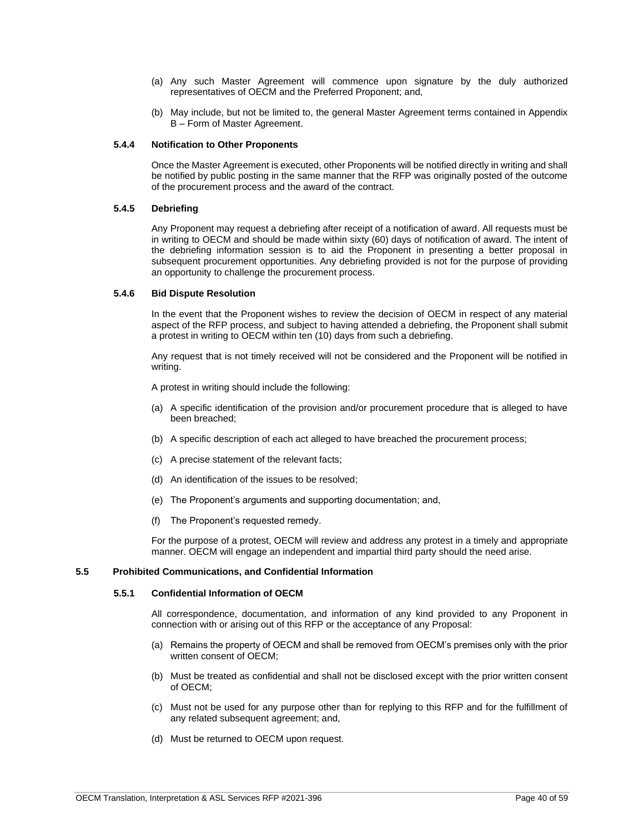- (a) Any such Master Agreement will commence upon signature by the duly authorized representatives of OECM and the Preferred Proponent; and,
- (b) May include, but not be limited to, the general Master Agreement terms contained in Appendix B – Form of Master Agreement.

# <span id="page-39-0"></span>**5.4.4 Notification to Other Proponents**

Once the Master Agreement is executed, other Proponents will be notified directly in writing and shall be notified by public posting in the same manner that the RFP was originally posted of the outcome of the procurement process and the award of the contract.

### <span id="page-39-1"></span>**5.4.5 Debriefing**

Any Proponent may request a debriefing after receipt of a notification of award. All requests must be in writing to OECM and should be made within sixty (60) days of notification of award. The intent of the debriefing information session is to aid the Proponent in presenting a better proposal in subsequent procurement opportunities. Any debriefing provided is not for the purpose of providing an opportunity to challenge the procurement process.

### <span id="page-39-2"></span>**5.4.6 Bid Dispute Resolution**

In the event that the Proponent wishes to review the decision of OECM in respect of any material aspect of the RFP process, and subject to having attended a debriefing, the Proponent shall submit a protest in writing to OECM within ten (10) days from such a debriefing.

Any request that is not timely received will not be considered and the Proponent will be notified in writing.

A protest in writing should include the following:

- (a) A specific identification of the provision and/or procurement procedure that is alleged to have been breached;
- (b) A specific description of each act alleged to have breached the procurement process;
- (c) A precise statement of the relevant facts;
- (d) An identification of the issues to be resolved;
- (e) The Proponent's arguments and supporting documentation; and,
- (f) The Proponent's requested remedy.

For the purpose of a protest, OECM will review and address any protest in a timely and appropriate manner. OECM will engage an independent and impartial third party should the need arise.

# <span id="page-39-4"></span><span id="page-39-3"></span>**5.5 Prohibited Communications, and Confidential Information**

#### **5.5.1 Confidential Information of OECM**

All correspondence, documentation, and information of any kind provided to any Proponent in connection with or arising out of this RFP or the acceptance of any Proposal:

- (a) Remains the property of OECM and shall be removed from OECM's premises only with the prior written consent of OECM;
- (b) Must be treated as confidential and shall not be disclosed except with the prior written consent of OECM;
- (c) Must not be used for any purpose other than for replying to this RFP and for the fulfillment of any related subsequent agreement; and,
- (d) Must be returned to OECM upon request.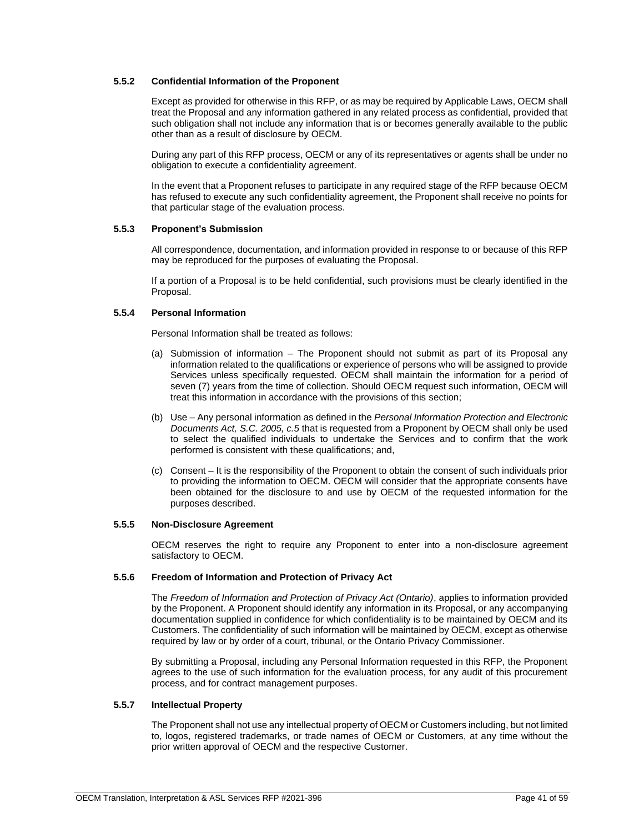# <span id="page-40-0"></span>**5.5.2 Confidential Information of the Proponent**

Except as provided for otherwise in this RFP, or as may be required by Applicable Laws, OECM shall treat the Proposal and any information gathered in any related process as confidential, provided that such obligation shall not include any information that is or becomes generally available to the public other than as a result of disclosure by OECM.

During any part of this RFP process, OECM or any of its representatives or agents shall be under no obligation to execute a confidentiality agreement.

In the event that a Proponent refuses to participate in any required stage of the RFP because OECM has refused to execute any such confidentiality agreement, the Proponent shall receive no points for that particular stage of the evaluation process.

# <span id="page-40-1"></span>**5.5.3 Proponent's Submission**

All correspondence, documentation, and information provided in response to or because of this RFP may be reproduced for the purposes of evaluating the Proposal.

If a portion of a Proposal is to be held confidential, such provisions must be clearly identified in the Proposal.

### <span id="page-40-2"></span>**5.5.4 Personal Information**

Personal Information shall be treated as follows:

- (a) Submission of information The Proponent should not submit as part of its Proposal any information related to the qualifications or experience of persons who will be assigned to provide Services unless specifically requested. OECM shall maintain the information for a period of seven (7) years from the time of collection. Should OECM request such information, OECM will treat this information in accordance with the provisions of this section;
- (b) Use Any personal information as defined in the *Personal Information Protection and Electronic Documents Act, S.C. 2005, c.5* that is requested from a Proponent by OECM shall only be used to select the qualified individuals to undertake the Services and to confirm that the work performed is consistent with these qualifications; and,
- (c) Consent It is the responsibility of the Proponent to obtain the consent of such individuals prior to providing the information to OECM. OECM will consider that the appropriate consents have been obtained for the disclosure to and use by OECM of the requested information for the purposes described.

#### <span id="page-40-3"></span>**5.5.5 Non-Disclosure Agreement**

OECM reserves the right to require any Proponent to enter into a non-disclosure agreement satisfactory to OECM.

#### <span id="page-40-4"></span>**5.5.6 Freedom of Information and Protection of Privacy Act**

The *Freedom of Information and Protection of Privacy Act (Ontario)*, applies to information provided by the Proponent. A Proponent should identify any information in its Proposal, or any accompanying documentation supplied in confidence for which confidentiality is to be maintained by OECM and its Customers. The confidentiality of such information will be maintained by OECM, except as otherwise required by law or by order of a court, tribunal, or the Ontario Privacy Commissioner.

By submitting a Proposal, including any Personal Information requested in this RFP, the Proponent agrees to the use of such information for the evaluation process, for any audit of this procurement process, and for contract management purposes.

# <span id="page-40-5"></span>**5.5.7 Intellectual Property**

The Proponent shall not use any intellectual property of OECM or Customers including, but not limited to, logos, registered trademarks, or trade names of OECM or Customers, at any time without the prior written approval of OECM and the respective Customer.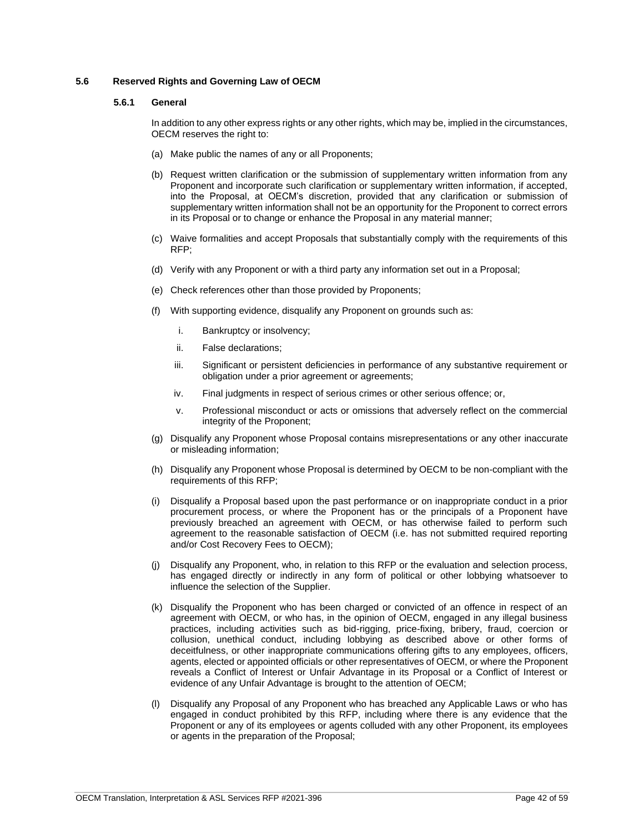# <span id="page-41-1"></span><span id="page-41-0"></span>**5.6 Reserved Rights and Governing Law of OECM**

# **5.6.1 General**

In addition to any other express rights or any other rights, which may be, implied in the circumstances, OECM reserves the right to:

- (a) Make public the names of any or all Proponents;
- (b) Request written clarification or the submission of supplementary written information from any Proponent and incorporate such clarification or supplementary written information, if accepted, into the Proposal, at OECM's discretion, provided that any clarification or submission of supplementary written information shall not be an opportunity for the Proponent to correct errors in its Proposal or to change or enhance the Proposal in any material manner;
- (c) Waive formalities and accept Proposals that substantially comply with the requirements of this RFP;
- (d) Verify with any Proponent or with a third party any information set out in a Proposal;
- (e) Check references other than those provided by Proponents;
- (f) With supporting evidence, disqualify any Proponent on grounds such as:
	- i. Bankruptcy or insolvency;
	- ii. False declarations;
	- iii. Significant or persistent deficiencies in performance of any substantive requirement or obligation under a prior agreement or agreements;
	- iv. Final judgments in respect of serious crimes or other serious offence; or,
	- v. Professional misconduct or acts or omissions that adversely reflect on the commercial integrity of the Proponent;
- (g) Disqualify any Proponent whose Proposal contains misrepresentations or any other inaccurate or misleading information;
- (h) Disqualify any Proponent whose Proposal is determined by OECM to be non-compliant with the requirements of this RFP;
- (i) Disqualify a Proposal based upon the past performance or on inappropriate conduct in a prior procurement process, or where the Proponent has or the principals of a Proponent have previously breached an agreement with OECM, or has otherwise failed to perform such agreement to the reasonable satisfaction of OECM (i.e. has not submitted required reporting and/or Cost Recovery Fees to OECM);
- (j) Disqualify any Proponent, who, in relation to this RFP or the evaluation and selection process, has engaged directly or indirectly in any form of political or other lobbying whatsoever to influence the selection of the Supplier.
- (k) Disqualify the Proponent who has been charged or convicted of an offence in respect of an agreement with OECM, or who has, in the opinion of OECM, engaged in any illegal business practices, including activities such as bid-rigging, price-fixing, bribery, fraud, coercion or collusion, unethical conduct, including lobbying as described above or other forms of deceitfulness, or other inappropriate communications offering gifts to any employees, officers, agents, elected or appointed officials or other representatives of OECM, or where the Proponent reveals a Conflict of Interest or Unfair Advantage in its Proposal or a Conflict of Interest or evidence of any Unfair Advantage is brought to the attention of OECM;
- (l) Disqualify any Proposal of any Proponent who has breached any Applicable Laws or who has engaged in conduct prohibited by this RFP, including where there is any evidence that the Proponent or any of its employees or agents colluded with any other Proponent, its employees or agents in the preparation of the Proposal;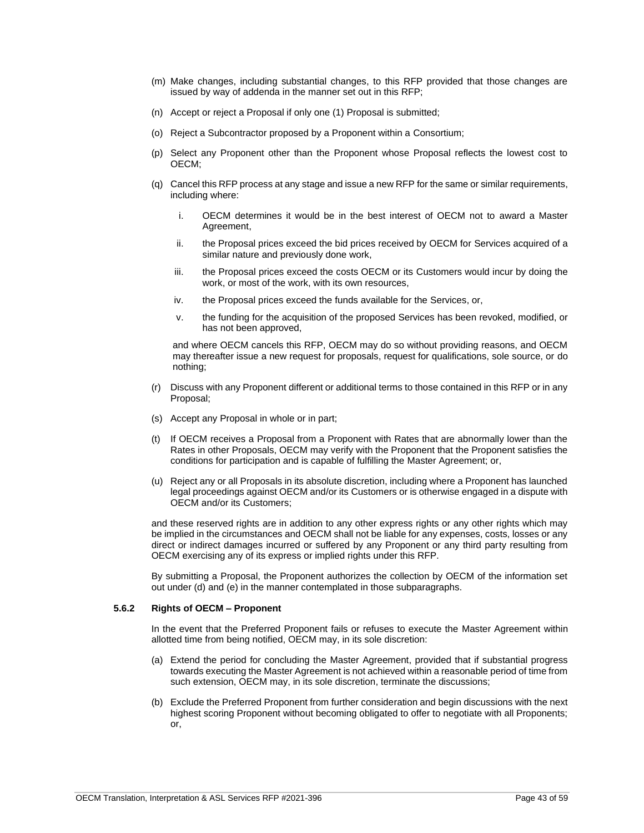- (m) Make changes, including substantial changes, to this RFP provided that those changes are issued by way of addenda in the manner set out in this RFP;
- (n) Accept or reject a Proposal if only one (1) Proposal is submitted;
- (o) Reject a Subcontractor proposed by a Proponent within a Consortium;
- (p) Select any Proponent other than the Proponent whose Proposal reflects the lowest cost to OECM;
- (q) Cancel this RFP process at any stage and issue a new RFP for the same or similar requirements, including where:
	- i. OECM determines it would be in the best interest of OECM not to award a Master Agreement,
	- ii. the Proposal prices exceed the bid prices received by OECM for Services acquired of a similar nature and previously done work,
	- iii. the Proposal prices exceed the costs OECM or its Customers would incur by doing the work, or most of the work, with its own resources,
	- iv. the Proposal prices exceed the funds available for the Services, or,
	- v. the funding for the acquisition of the proposed Services has been revoked, modified, or has not been approved,

and where OECM cancels this RFP, OECM may do so without providing reasons, and OECM may thereafter issue a new request for proposals, request for qualifications, sole source, or do nothing;

- (r) Discuss with any Proponent different or additional terms to those contained in this RFP or in any Proposal;
- (s) Accept any Proposal in whole or in part;
- (t) If OECM receives a Proposal from a Proponent with Rates that are abnormally lower than the Rates in other Proposals, OECM may verify with the Proponent that the Proponent satisfies the conditions for participation and is capable of fulfilling the Master Agreement; or,
- (u) Reject any or all Proposals in its absolute discretion, including where a Proponent has launched legal proceedings against OECM and/or its Customers or is otherwise engaged in a dispute with OECM and/or its Customers;

and these reserved rights are in addition to any other express rights or any other rights which may be implied in the circumstances and OECM shall not be liable for any expenses, costs, losses or any direct or indirect damages incurred or suffered by any Proponent or any third party resulting from OECM exercising any of its express or implied rights under this RFP.

By submitting a Proposal, the Proponent authorizes the collection by OECM of the information set out under (d) and (e) in the manner contemplated in those subparagraphs.

### <span id="page-42-0"></span>**5.6.2 Rights of OECM – Proponent**

In the event that the Preferred Proponent fails or refuses to execute the Master Agreement within allotted time from being notified, OECM may, in its sole discretion:

- (a) Extend the period for concluding the Master Agreement, provided that if substantial progress towards executing the Master Agreement is not achieved within a reasonable period of time from such extension, OECM may, in its sole discretion, terminate the discussions;
- (b) Exclude the Preferred Proponent from further consideration and begin discussions with the next highest scoring Proponent without becoming obligated to offer to negotiate with all Proponents; or,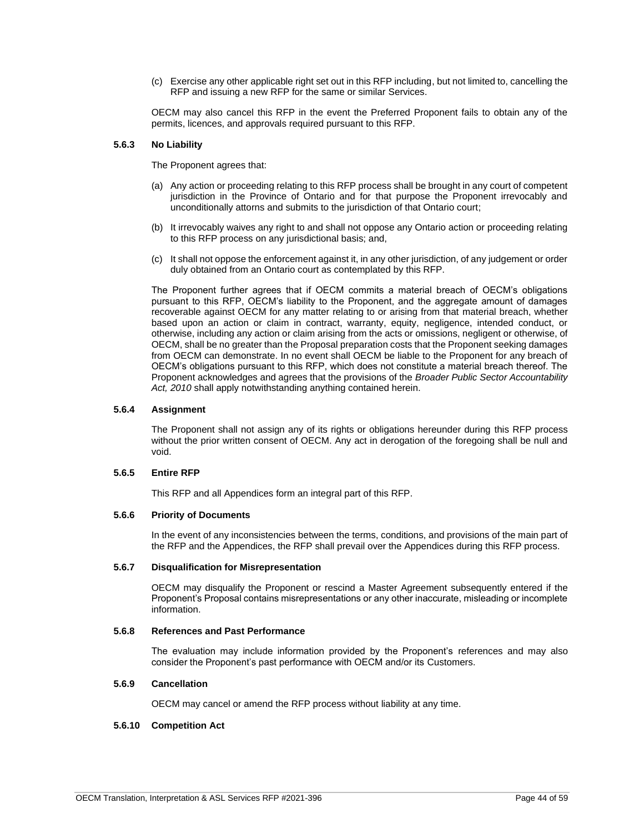(c) Exercise any other applicable right set out in this RFP including, but not limited to, cancelling the RFP and issuing a new RFP for the same or similar Services.

OECM may also cancel this RFP in the event the Preferred Proponent fails to obtain any of the permits, licences, and approvals required pursuant to this RFP.

### <span id="page-43-0"></span>**5.6.3 No Liability**

The Proponent agrees that:

- (a) Any action or proceeding relating to this RFP process shall be brought in any court of competent jurisdiction in the Province of Ontario and for that purpose the Proponent irrevocably and unconditionally attorns and submits to the jurisdiction of that Ontario court;
- (b) It irrevocably waives any right to and shall not oppose any Ontario action or proceeding relating to this RFP process on any jurisdictional basis; and,
- (c) It shall not oppose the enforcement against it, in any other jurisdiction, of any judgement or order duly obtained from an Ontario court as contemplated by this RFP.

The Proponent further agrees that if OECM commits a material breach of OECM's obligations pursuant to this RFP, OECM's liability to the Proponent, and the aggregate amount of damages recoverable against OECM for any matter relating to or arising from that material breach, whether based upon an action or claim in contract, warranty, equity, negligence, intended conduct, or otherwise, including any action or claim arising from the acts or omissions, negligent or otherwise, of OECM, shall be no greater than the Proposal preparation costs that the Proponent seeking damages from OECM can demonstrate. In no event shall OECM be liable to the Proponent for any breach of OECM's obligations pursuant to this RFP, which does not constitute a material breach thereof. The Proponent acknowledges and agrees that the provisions of the *Broader Public Sector Accountability Act, 2010* shall apply notwithstanding anything contained herein.

### <span id="page-43-1"></span>**5.6.4 Assignment**

The Proponent shall not assign any of its rights or obligations hereunder during this RFP process without the prior written consent of OECM. Any act in derogation of the foregoing shall be null and void.

#### <span id="page-43-2"></span>**5.6.5 Entire RFP**

This RFP and all Appendices form an integral part of this RFP.

### <span id="page-43-3"></span>**5.6.6 Priority of Documents**

In the event of any inconsistencies between the terms, conditions, and provisions of the main part of the RFP and the Appendices, the RFP shall prevail over the Appendices during this RFP process.

### <span id="page-43-4"></span>**5.6.7 Disqualification for Misrepresentation**

OECM may disqualify the Proponent or rescind a Master Agreement subsequently entered if the Proponent's Proposal contains misrepresentations or any other inaccurate, misleading or incomplete information.

### <span id="page-43-5"></span>**5.6.8 References and Past Performance**

The evaluation may include information provided by the Proponent's references and may also consider the Proponent's past performance with OECM and/or its Customers.

# <span id="page-43-6"></span>**5.6.9 Cancellation**

OECM may cancel or amend the RFP process without liability at any time.

# <span id="page-43-7"></span>**5.6.10 Competition Act**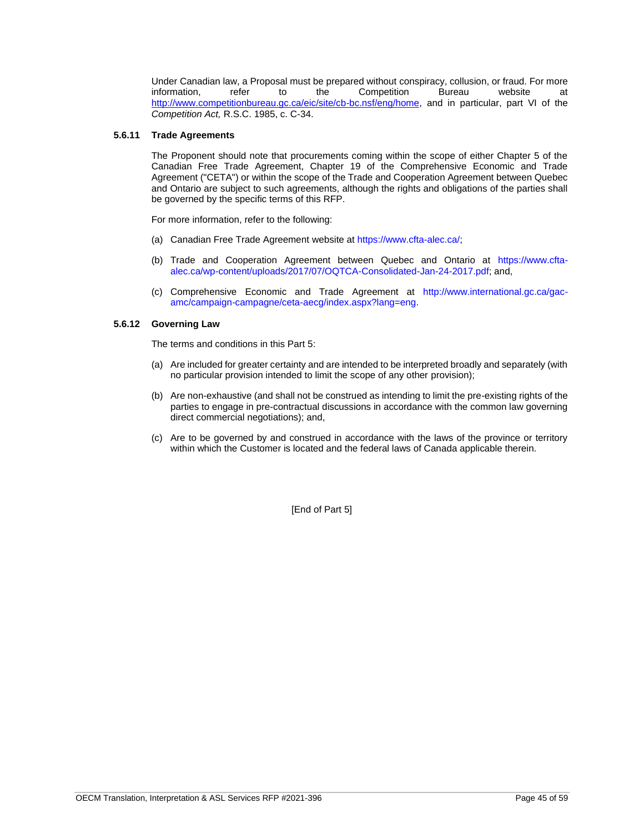Under Canadian law, a Proposal must be prepared without conspiracy, collusion, or fraud. For more information.<br>
information. 
information in the Competition Bureau website at information, refer to the Competition Bureau website at [http://www.competitionbureau.gc.ca/eic/site/cb-bc.nsf/eng/home,](http://www.competitionbureau.gc.ca/eic/site/cb-bc.nsf/eng/home) and in particular, part VI of the *Competition Act,* R.S.C. 1985, c. C-34.

# <span id="page-44-0"></span>**5.6.11 Trade Agreements**

The Proponent should note that procurements coming within the scope of either Chapter 5 of the Canadian Free Trade Agreement, Chapter 19 of the Comprehensive Economic and Trade Agreement ("CETA") or within the scope of the Trade and Cooperation Agreement between Quebec and Ontario are subject to such agreements, although the rights and obligations of the parties shall be governed by the specific terms of this RFP.

For more information, refer to the following:

- (a) Canadian Free Trade Agreement website at [https://www.cfta-alec.ca/;](https://www.cfta-alec.ca/)
- (b) Trade and Cooperation Agreement between Quebec and Ontario at [https://www.cfta](https://www.cfta-alec.ca/wp-content/uploads/2017/07/OQTCA-Consolidated-Jan-24-2017.pdf)[alec.ca/wp-content/uploads/2017/07/OQTCA-Consolidated-Jan-24-2017.pdf;](https://www.cfta-alec.ca/wp-content/uploads/2017/07/OQTCA-Consolidated-Jan-24-2017.pdf) and,
- (c) Comprehensive Economic and Trade Agreement at http://www.international.gc.ca/gacamc/campaign-campagne/ceta-aecg/index.aspx?lang=eng.

# <span id="page-44-1"></span>**5.6.12 Governing Law**

The terms and conditions in this Part 5:

- (a) Are included for greater certainty and are intended to be interpreted broadly and separately (with no particular provision intended to limit the scope of any other provision);
- (b) Are non-exhaustive (and shall not be construed as intending to limit the pre-existing rights of the parties to engage in pre-contractual discussions in accordance with the common law governing direct commercial negotiations); and,
- (c) Are to be governed by and construed in accordance with the laws of the province or territory within which the Customer is located and the federal laws of Canada applicable therein.

[End of Part 5]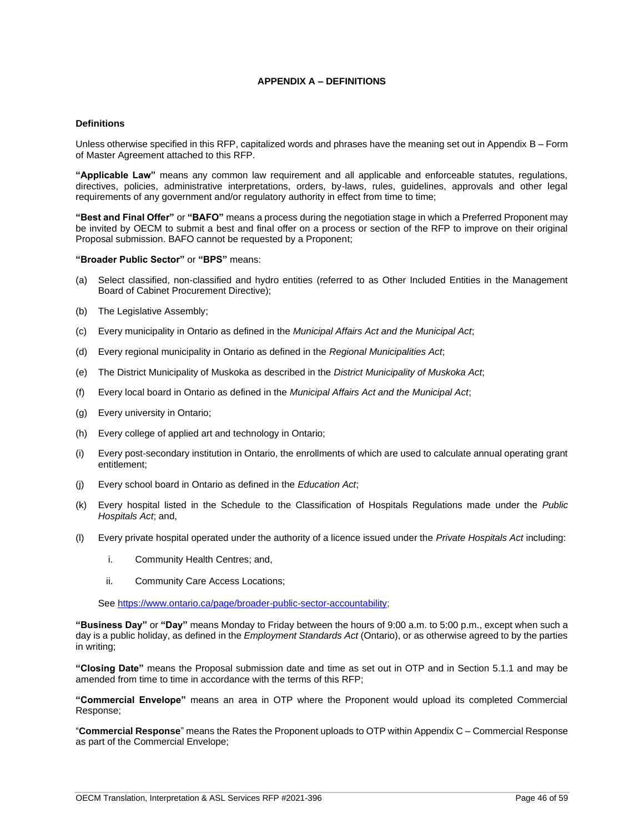# **APPENDIX A – DEFINITIONS**

### <span id="page-45-0"></span>**Definitions**

Unless otherwise specified in this RFP, capitalized words and phrases have the meaning set out in Appendix B – Form of Master Agreement attached to this RFP.

**"Applicable Law"** means any common law requirement and all applicable and enforceable statutes, regulations, directives, policies, administrative interpretations, orders, by-laws, rules, guidelines, approvals and other legal requirements of any government and/or regulatory authority in effect from time to time;

**"Best and Final Offer"** or **"BAFO"** means a process during the negotiation stage in which a Preferred Proponent may be invited by OECM to submit a best and final offer on a process or section of the RFP to improve on their original Proposal submission. BAFO cannot be requested by a Proponent;

### **"Broader Public Sector"** or **"BPS"** means:

- (a) Select classified, non-classified and hydro entities (referred to as Other Included Entities in the Management Board of Cabinet Procurement Directive);
- (b) The Legislative Assembly;
- (c) Every municipality in Ontario as defined in the *Municipal Affairs Act and the Municipal Act*;
- (d) Every regional municipality in Ontario as defined in the *Regional Municipalities Act*;
- (e) The District Municipality of Muskoka as described in the *District Municipality of Muskoka Act*;
- (f) Every local board in Ontario as defined in the *Municipal Affairs Act and the Municipal Act*;
- (g) Every university in Ontario;
- (h) Every college of applied art and technology in Ontario;
- (i) Every post-secondary institution in Ontario, the enrollments of which are used to calculate annual operating grant entitlement;
- (j) Every school board in Ontario as defined in the *Education Act*;
- (k) Every hospital listed in the Schedule to the Classification of Hospitals Regulations made under the *Public Hospitals Act*; and,
- (l) Every private hospital operated under the authority of a licence issued under the *Private Hospitals Act* including:
	- i. Community Health Centres; and,
	- ii. Community Care Access Locations;

See [https://www.ontario.ca/page/broader-public-sector-accountability;](https://www.ontario.ca/page/broader-public-sector-accountability)

**"Business Day"** or **"Day"** means Monday to Friday between the hours of 9:00 a.m. to 5:00 p.m., except when such a day is a public holiday, as defined in the *Employment Standards Act* (Ontario), or as otherwise agreed to by the parties in writing;

**"Closing Date"** means the Proposal submission date and time as set out in OTP and in Section 5.1.1 and may be amended from time to time in accordance with the terms of this RFP;

**"Commercial Envelope"** means an area in OTP where the Proponent would upload its completed Commercial Response;

"**Commercial Response**" means the Rates the Proponent uploads to OTP within Appendix C – Commercial Response as part of the Commercial Envelope;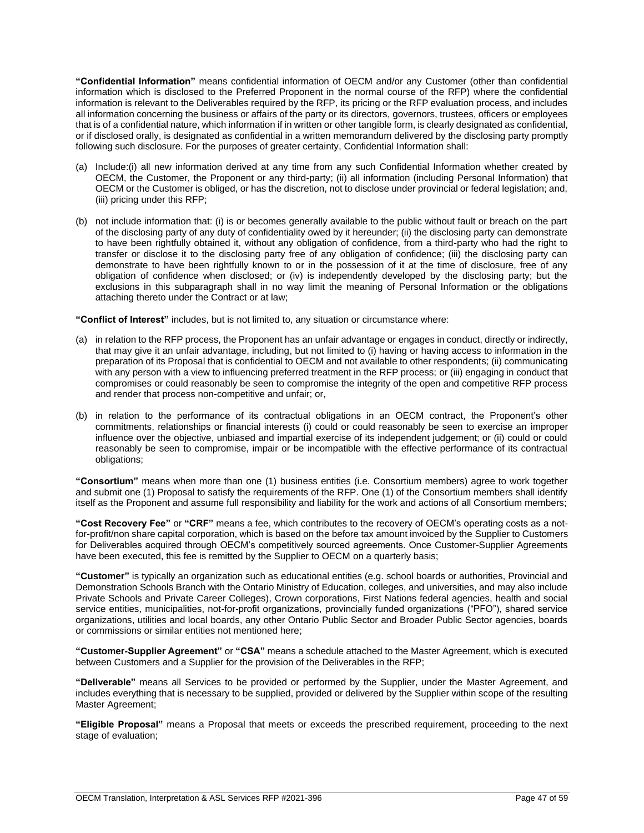**"Confidential Information"** means confidential information of OECM and/or any Customer (other than confidential information which is disclosed to the Preferred Proponent in the normal course of the RFP) where the confidential information is relevant to the Deliverables required by the RFP, its pricing or the RFP evaluation process, and includes all information concerning the business or affairs of the party or its directors, governors, trustees, officers or employees that is of a confidential nature, which information if in written or other tangible form, is clearly designated as confidential, or if disclosed orally, is designated as confidential in a written memorandum delivered by the disclosing party promptly following such disclosure. For the purposes of greater certainty, Confidential Information shall:

- (a) Include:(i) all new information derived at any time from any such Confidential Information whether created by OECM, the Customer, the Proponent or any third-party; (ii) all information (including Personal Information) that OECM or the Customer is obliged, or has the discretion, not to disclose under provincial or federal legislation; and, (iii) pricing under this RFP;
- (b) not include information that: (i) is or becomes generally available to the public without fault or breach on the part of the disclosing party of any duty of confidentiality owed by it hereunder; (ii) the disclosing party can demonstrate to have been rightfully obtained it, without any obligation of confidence, from a third-party who had the right to transfer or disclose it to the disclosing party free of any obligation of confidence; (iii) the disclosing party can demonstrate to have been rightfully known to or in the possession of it at the time of disclosure, free of any obligation of confidence when disclosed; or (iv) is independently developed by the disclosing party; but the exclusions in this subparagraph shall in no way limit the meaning of Personal Information or the obligations attaching thereto under the Contract or at law;

**"Conflict of Interest"** includes, but is not limited to, any situation or circumstance where:

- (a) in relation to the RFP process, the Proponent has an unfair advantage or engages in conduct, directly or indirectly, that may give it an unfair advantage, including, but not limited to (i) having or having access to information in the preparation of its Proposal that is confidential to OECM and not available to other respondents; (ii) communicating with any person with a view to influencing preferred treatment in the RFP process; or (iii) engaging in conduct that compromises or could reasonably be seen to compromise the integrity of the open and competitive RFP process and render that process non-competitive and unfair; or,
- (b) in relation to the performance of its contractual obligations in an OECM contract, the Proponent's other commitments, relationships or financial interests (i) could or could reasonably be seen to exercise an improper influence over the objective, unbiased and impartial exercise of its independent judgement; or (ii) could or could reasonably be seen to compromise, impair or be incompatible with the effective performance of its contractual obligations;

**"Consortium"** means when more than one (1) business entities (i.e. Consortium members) agree to work together and submit one (1) Proposal to satisfy the requirements of the RFP. One (1) of the Consortium members shall identify itself as the Proponent and assume full responsibility and liability for the work and actions of all Consortium members;

**"Cost Recovery Fee"** or **"CRF"** means a fee, which contributes to the recovery of OECM's operating costs as a notfor-profit/non share capital corporation, which is based on the before tax amount invoiced by the Supplier to Customers for Deliverables acquired through OECM's competitively sourced agreements. Once Customer-Supplier Agreements have been executed, this fee is remitted by the Supplier to OECM on a quarterly basis;

**"Customer"** is typically an organization such as educational entities (e.g. school boards or authorities, Provincial and Demonstration Schools Branch with the Ontario Ministry of Education, colleges, and universities, and may also include Private Schools and Private Career Colleges), Crown corporations, First Nations federal agencies, health and social service entities, municipalities, not-for-profit organizations, provincially funded organizations ("PFO"), shared service organizations, utilities and local boards, any other Ontario Public Sector and Broader Public Sector agencies, boards or commissions or similar entities not mentioned here;

**"Customer-Supplier Agreement"** or **"CSA"** means a schedule attached to the Master Agreement, which is executed between Customers and a Supplier for the provision of the Deliverables in the RFP;

**"Deliverable"** means all Services to be provided or performed by the Supplier, under the Master Agreement, and includes everything that is necessary to be supplied, provided or delivered by the Supplier within scope of the resulting Master Agreement;

**"Eligible Proposal"** means a Proposal that meets or exceeds the prescribed requirement, proceeding to the next stage of evaluation;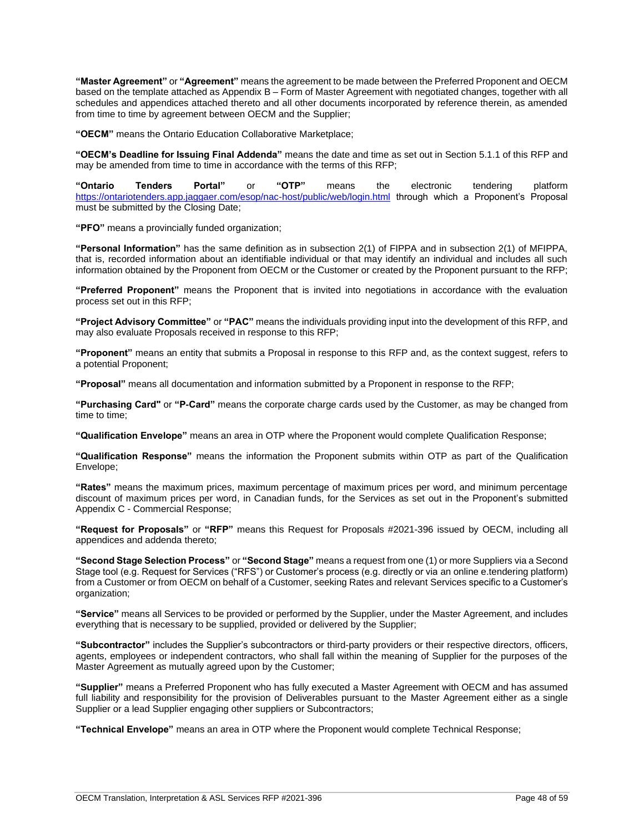**"Master Agreement"** or **"Agreement"** means the agreement to be made between the Preferred Proponent and OECM based on the template attached as Appendix B – Form of Master Agreement with negotiated changes, together with all schedules and appendices attached thereto and all other documents incorporated by reference therein, as amended from time to time by agreement between OECM and the Supplier;

**"OECM"** means the Ontario Education Collaborative Marketplace;

**"OECM's Deadline for Issuing Final Addenda"** means the date and time as set out in Section 5.1.1 of this RFP and may be amended from time to time in accordance with the terms of this RFP;

**"Ontario Tenders Portal"** or **"OTP"** means the electronic tendering platform <https://ontariotenders.app.jaggaer.com/esop/nac-host/public/web/login.html> through which a Proponent's Proposal must be submitted by the Closing Date;

**"PFO"** means a provincially funded organization;

**"Personal Information"** has the same definition as in subsection 2(1) of FIPPA and in subsection 2(1) of MFIPPA, that is, recorded information about an identifiable individual or that may identify an individual and includes all such information obtained by the Proponent from OECM or the Customer or created by the Proponent pursuant to the RFP;

**"Preferred Proponent"** means the Proponent that is invited into negotiations in accordance with the evaluation process set out in this RFP;

**"Project Advisory Committee"** or **"PAC"** means the individuals providing input into the development of this RFP, and may also evaluate Proposals received in response to this RFP;

**"Proponent"** means an entity that submits a Proposal in response to this RFP and, as the context suggest, refers to a potential Proponent;

**"Proposal"** means all documentation and information submitted by a Proponent in response to the RFP;

**"Purchasing Card"** or **"P-Card"** means the corporate charge cards used by the Customer, as may be changed from time to time;

**"Qualification Envelope"** means an area in OTP where the Proponent would complete Qualification Response;

**"Qualification Response"** means the information the Proponent submits within OTP as part of the Qualification Envelope;

**"Rates"** means the maximum prices, maximum percentage of maximum prices per word, and minimum percentage discount of maximum prices per word, in Canadian funds, for the Services as set out in the Proponent's submitted Appendix C - Commercial Response;

**"Request for Proposals"** or **"RFP"** means this Request for Proposals #2021-396 issued by OECM, including all appendices and addenda thereto;

**"Second Stage Selection Process"** or **"Second Stage"** means a request from one (1) or more Suppliers via a Second Stage tool (e.g. Request for Services ("RFS") or Customer's process (e.g. directly or via an online e.tendering platform) from a Customer or from OECM on behalf of a Customer, seeking Rates and relevant Services specific to a Customer's organization;

**"Service"** means all Services to be provided or performed by the Supplier, under the Master Agreement, and includes everything that is necessary to be supplied, provided or delivered by the Supplier;

**"Subcontractor"** includes the Supplier's subcontractors or third-party providers or their respective directors, officers, agents, employees or independent contractors, who shall fall within the meaning of Supplier for the purposes of the Master Agreement as mutually agreed upon by the Customer;

**"Supplier"** means a Preferred Proponent who has fully executed a Master Agreement with OECM and has assumed full liability and responsibility for the provision of Deliverables pursuant to the Master Agreement either as a single Supplier or a lead Supplier engaging other suppliers or Subcontractors;

**"Technical Envelope"** means an area in OTP where the Proponent would complete Technical Response;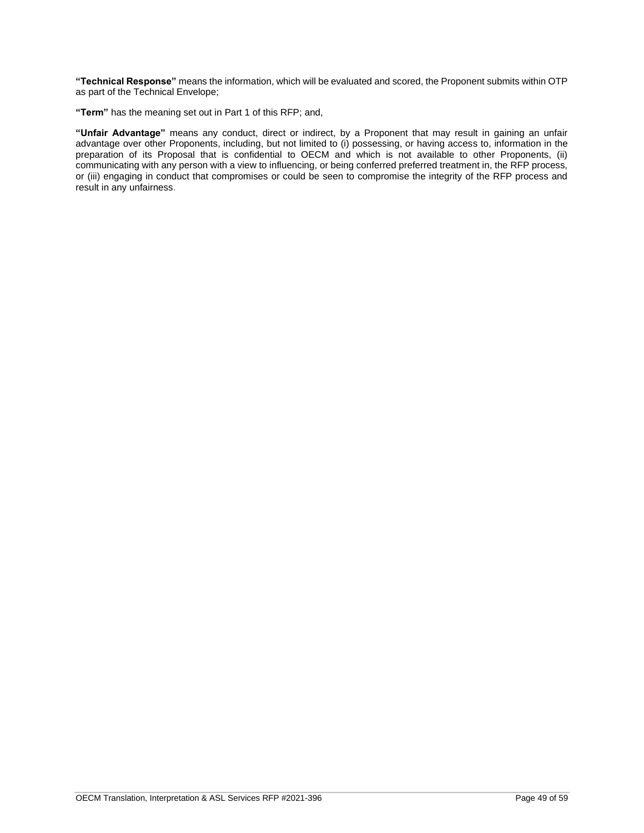**"Technical Response"** means the information, which will be evaluated and scored, the Proponent submits within OTP as part of the Technical Envelope;

**"Term"** has the meaning set out in Part 1 of this RFP; and,

**"Unfair Advantage"** means any conduct, direct or indirect, by a Proponent that may result in gaining an unfair advantage over other Proponents, including, but not limited to (i) possessing, or having access to, information in the preparation of its Proposal that is confidential to OECM and which is not available to other Proponents, (ii) communicating with any person with a view to influencing, or being conferred preferred treatment in, the RFP process, or (iii) engaging in conduct that compromises or could be seen to compromise the integrity of the RFP process and result in any unfairness.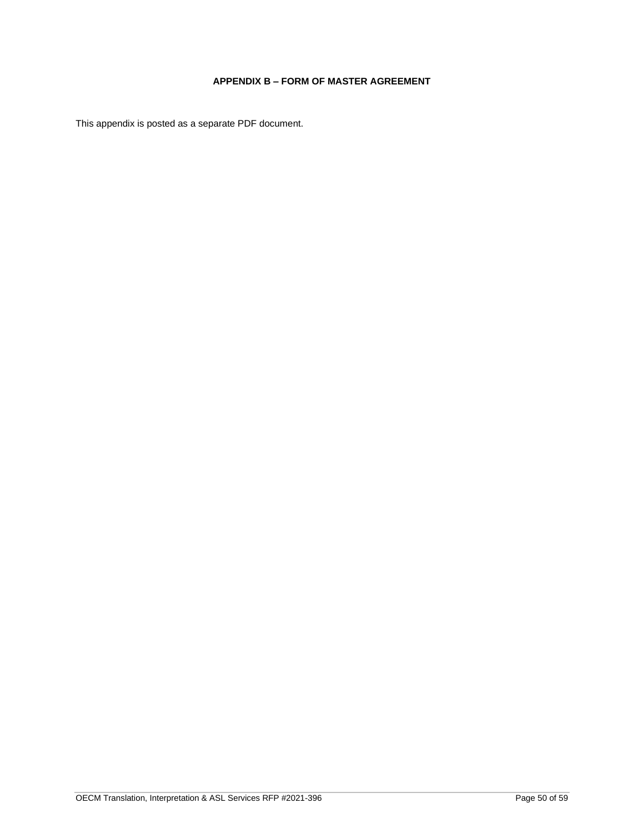# **APPENDIX B – FORM OF MASTER AGREEMENT**

<span id="page-49-0"></span>This appendix is posted as a separate PDF document.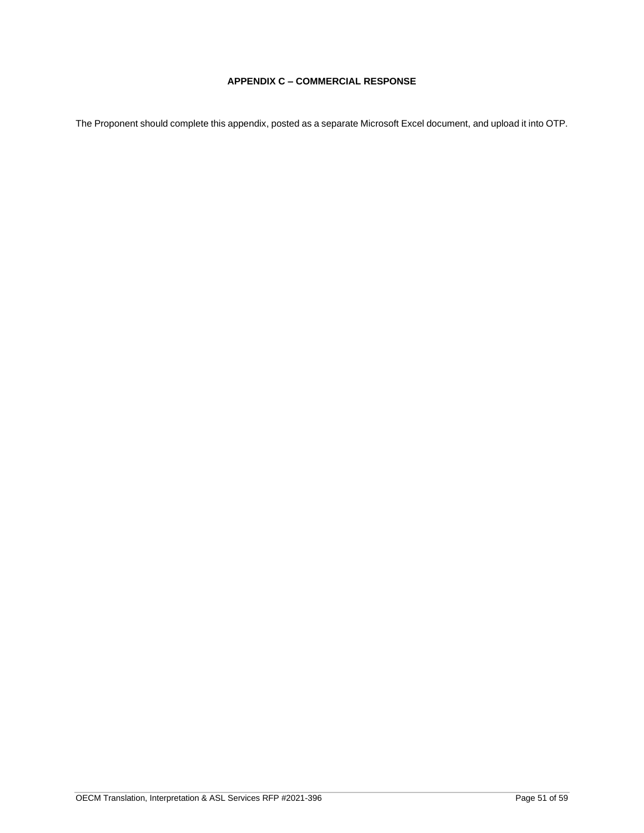# **APPENDIX C – COMMERCIAL RESPONSE**

<span id="page-50-0"></span>The Proponent should complete this appendix, posted as a separate Microsoft Excel document, and upload it into OTP.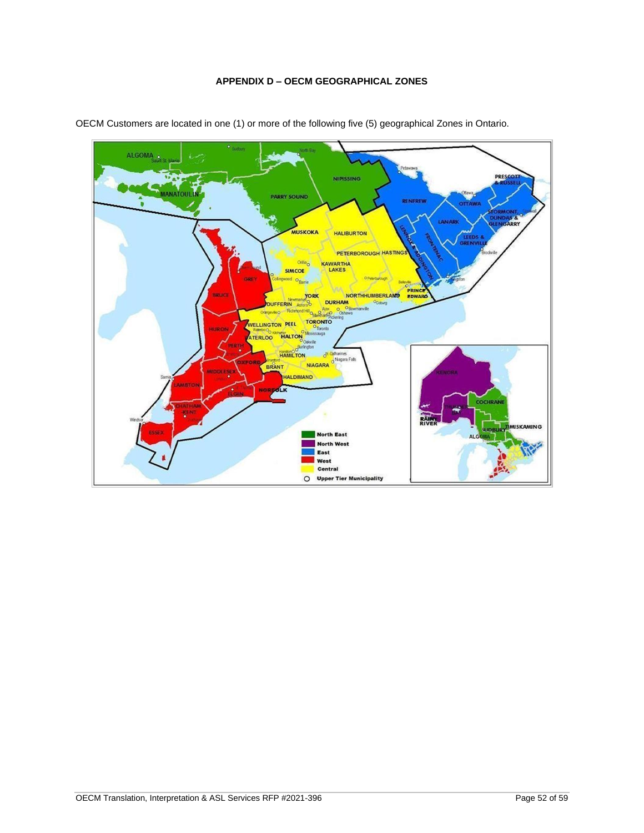# **APPENDIX D – OECM GEOGRAPHICAL ZONES**



<span id="page-51-0"></span>OECM Customers are located in one (1) or more of the following five (5) geographical Zones in Ontario.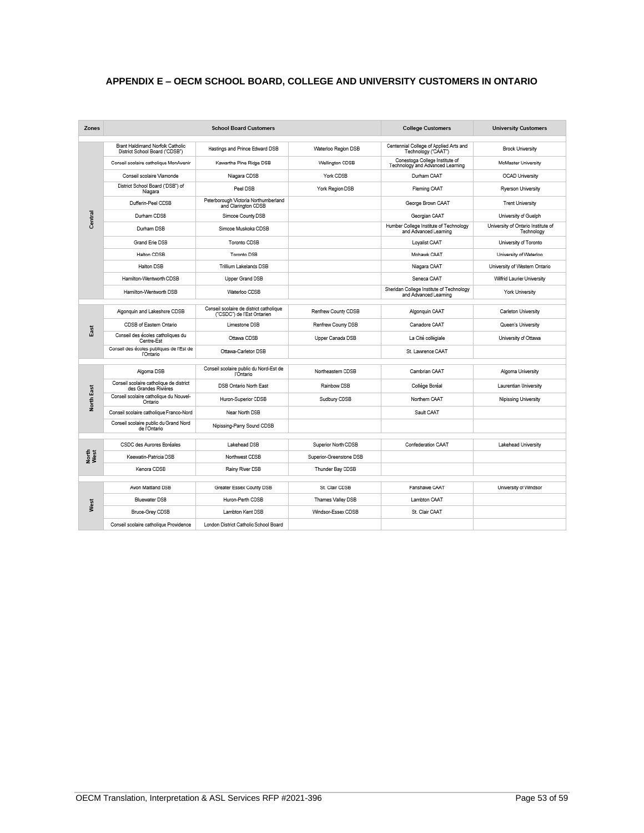# <span id="page-52-0"></span>**APPENDIX E – OECM SCHOOL BOARD, COLLEGE AND UNIVERSITY CUSTOMERS IN ONTARIO**

| Zones             | <b>School Board Customers</b>                                      |                                                             | <b>College Customers</b> | <b>University Customers</b>                                        |                                                  |
|-------------------|--------------------------------------------------------------------|-------------------------------------------------------------|--------------------------|--------------------------------------------------------------------|--------------------------------------------------|
|                   | Brant Haldimand Norfolk Catholic<br>District School Board ("CDSB") | Hastings and Prince Edward DSB                              | Waterloo Region DSB      | Centennial College of Applied Arts and<br>Technology ("CAAT")      | <b>Brock University</b>                          |
|                   | Conseil scolaire catholique MonAvenir                              | Kawartha Pine Ridge DSB                                     | Wellington CDSB          | Conestoga College Institute of<br>Technology and Advanced Learning | McMaster University                              |
|                   | Conseil scolaire Viamonde                                          | Niagara CDSB                                                | York CDSB                | Durham CAAT                                                        | <b>OCAD University</b>                           |
|                   | District School Board ("DSB") of<br>Niagara                        | Peel DSB                                                    | York Region DSB          | Fleming CAAT                                                       | Ryerson University                               |
|                   | Dufferin-Peel CDSB                                                 | Peterborough Victoria Northumberland<br>and Clarington CDSB |                          | George Brown CAAT                                                  | <b>Trent University</b>                          |
| Central           | Durham CDSB                                                        | Simcoe County DSB                                           |                          | Georgian CAAT                                                      | University of Guelph                             |
|                   | Durham DSB                                                         | Simcoe Muskoka CDSB                                         |                          | Humber College Institute of Technology<br>and Advanced Learning    | University of Ontario Institute of<br>Technology |
|                   | Grand Erie DSB                                                     | Toronto CDSB                                                |                          | Loyalist CAAT                                                      | University of Toronto                            |
|                   | Halton CDSB                                                        | Toronto DSB                                                 |                          | Mohawk CAAT                                                        | University of Waterloo                           |
|                   | Halton DSB                                                         | Trillium Lakelands DSB                                      |                          | Niagara CAAT                                                       | University of Western Ontario                    |
|                   | Hamilton-Wentworth CDSB                                            | Upper Grand DSB                                             |                          | Seneca CAAT                                                        | Wilfrid Laurier University                       |
|                   | Hamilton-Wentworth DSB                                             | Waterloo CDSB                                               |                          | Sheridan College Institute of Technology<br>and Advanced Learning  | York University                                  |
|                   |                                                                    | Conseil scolaire de district catholique                     |                          |                                                                    |                                                  |
|                   | Algonquin and Lakeshore CDSB                                       | ("CSDC") de l'Est Ontarien                                  | Renfrew County CDSB      | Algonquin CAAT                                                     | Carleton University                              |
| East              | CDSB of Eastern Ontario                                            | Limestone DSB                                               | Renfrew County DSB       | Canadore CAAT                                                      | Queen's University                               |
|                   | Conseil des écoles catholiques du<br>Centre-Est                    | Ottawa CDSB                                                 | Upper Canada DSB         | La Cité collégiale                                                 | University of Ottawa                             |
|                   | Conseil des écoles publiques de l'Est de<br>l'Ontario              | Ottawa-Carleton DSB                                         |                          | St. Lawrence CAAT                                                  |                                                  |
|                   | Algoma DSB                                                         | Conseil scolaire public du Nord-Est de                      | Northeastern CDSB        | Cambrian CAAT                                                      | Algoma University                                |
|                   | Conseil scolaire catholique de district                            | l'Ontario                                                   |                          |                                                                    |                                                  |
|                   | des Grandes Rivières                                               | <b>DSB Ontario North East</b>                               | Rainbow DSB              | Collège Boréal                                                     | Laurentian University                            |
| <b>North East</b> | Conseil scolaire catholique du Nouvel-<br>Ontario                  | Huron-Superior CDSB                                         | Sudbury CDSB             | Northern CAAT                                                      | Nipissing University                             |
|                   | Conseil scolaire catholique Franco-Nord                            | Near North DSB                                              |                          | Sault CAAT                                                         |                                                  |
|                   | Conseil scolaire public du Grand Nord<br>de l'Ontario              | Nipissing-Parry Sound CDSB                                  |                          |                                                                    |                                                  |
|                   | CSDC des Aurores Boréales                                          | Lakehead DSB                                                | Superior North CDSB      | Confederation CAAT                                                 | Lakehead University                              |
| North<br>West     | Keewatin-Patricia DSB                                              | Northwest CDSB                                              | Superior-Greenstone DSB  |                                                                    |                                                  |
|                   | Kenora CDSB                                                        | Rainy River DSB                                             | Thunder Bay CDSB         |                                                                    |                                                  |
|                   |                                                                    |                                                             |                          |                                                                    |                                                  |
|                   | Avon Maitland DSB                                                  | Greater Essex County DSB                                    | St. Clair CDSB           | Fanshawe CAAT                                                      | University of Windsor                            |
| West              | Bluewater DSB                                                      | Huron-Perth CDSB                                            | Thames Valley DSB        | Lambton CAAT                                                       |                                                  |
|                   | Bruce-Grey CDSB                                                    | Lambton Kent DSB                                            | Windsor-Essex CDSB       | St. Clair CAAT                                                     |                                                  |
|                   | Conseil scolaire catholique Providence                             | London District Catholic School Board                       |                          |                                                                    |                                                  |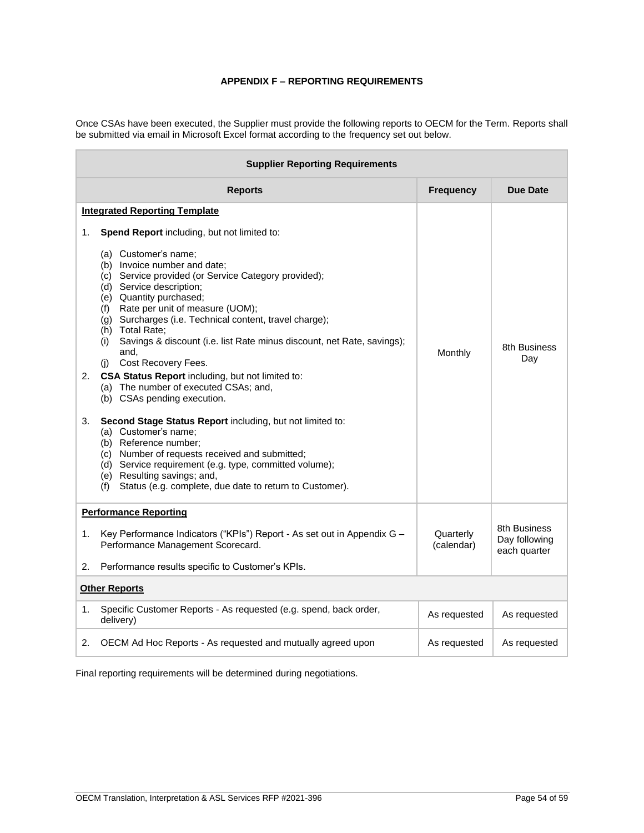# **APPENDIX F – REPORTING REQUIREMENTS**

<span id="page-53-0"></span>Once CSAs have been executed, the Supplier must provide the following reports to OECM for the Term. Reports shall be submitted via email in Microsoft Excel format according to the frequency set out below.

| <b>Supplier Reporting Requirements</b>                                                                                                                                                                                                                                                                                                                                                                                                                                                                                                                                                                                                                                                                                                                                                                                                                                                                                                     |                         |                                               |  |
|--------------------------------------------------------------------------------------------------------------------------------------------------------------------------------------------------------------------------------------------------------------------------------------------------------------------------------------------------------------------------------------------------------------------------------------------------------------------------------------------------------------------------------------------------------------------------------------------------------------------------------------------------------------------------------------------------------------------------------------------------------------------------------------------------------------------------------------------------------------------------------------------------------------------------------------------|-------------------------|-----------------------------------------------|--|
| <b>Reports</b>                                                                                                                                                                                                                                                                                                                                                                                                                                                                                                                                                                                                                                                                                                                                                                                                                                                                                                                             | <b>Frequency</b>        | Due Date                                      |  |
| <b>Integrated Reporting Template</b>                                                                                                                                                                                                                                                                                                                                                                                                                                                                                                                                                                                                                                                                                                                                                                                                                                                                                                       |                         |                                               |  |
| Spend Report including, but not limited to:<br>1.<br>(a) Customer's name:<br>(b) Invoice number and date:<br>(c) Service provided (or Service Category provided);<br>(d) Service description;<br>(e) Quantity purchased;<br>Rate per unit of measure (UOM);<br>(f)<br>(g) Surcharges (i.e. Technical content, travel charge);<br>(h) Total Rate;<br>Savings & discount (i.e. list Rate minus discount, net Rate, savings);<br>(i)<br>and,<br>Cost Recovery Fees.<br>(i)<br>CSA Status Report including, but not limited to:<br>2.<br>(a) The number of executed CSAs; and,<br>(b) CSAs pending execution.<br>3.<br>Second Stage Status Report including, but not limited to:<br>(a) Customer's name;<br>(b) Reference number;<br>(c) Number of requests received and submitted;<br>(d) Service requirement (e.g. type, committed volume);<br>(e) Resulting savings; and,<br>Status (e.g. complete, due date to return to Customer).<br>(f) | Monthly                 | 8th Business<br>Day                           |  |
| <b>Performance Reporting</b>                                                                                                                                                                                                                                                                                                                                                                                                                                                                                                                                                                                                                                                                                                                                                                                                                                                                                                               |                         |                                               |  |
| Key Performance Indicators ("KPIs") Report - As set out in Appendix G -<br>1.<br>Performance Management Scorecard.                                                                                                                                                                                                                                                                                                                                                                                                                                                                                                                                                                                                                                                                                                                                                                                                                         | Quarterly<br>(calendar) | 8th Business<br>Day following<br>each quarter |  |
| Performance results specific to Customer's KPIs.<br>2.                                                                                                                                                                                                                                                                                                                                                                                                                                                                                                                                                                                                                                                                                                                                                                                                                                                                                     |                         |                                               |  |
| <b>Other Reports</b>                                                                                                                                                                                                                                                                                                                                                                                                                                                                                                                                                                                                                                                                                                                                                                                                                                                                                                                       |                         |                                               |  |
| Specific Customer Reports - As requested (e.g. spend, back order,<br>1.<br>delivery)                                                                                                                                                                                                                                                                                                                                                                                                                                                                                                                                                                                                                                                                                                                                                                                                                                                       | As requested            | As requested                                  |  |
| 2.<br>OECM Ad Hoc Reports - As requested and mutually agreed upon                                                                                                                                                                                                                                                                                                                                                                                                                                                                                                                                                                                                                                                                                                                                                                                                                                                                          | As requested            | As requested                                  |  |

Final reporting requirements will be determined during negotiations.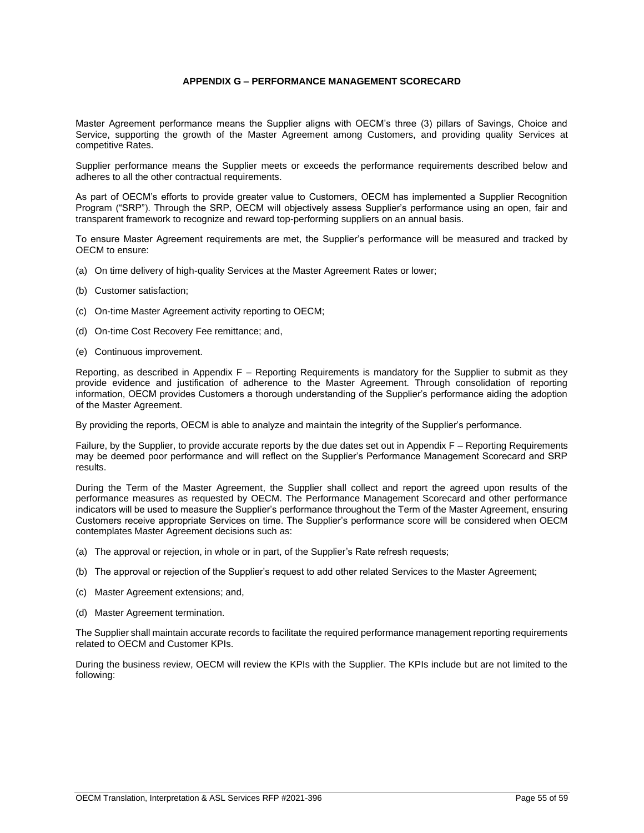# **APPENDIX G – PERFORMANCE MANAGEMENT SCORECARD**

<span id="page-54-0"></span>Master Agreement performance means the Supplier aligns with OECM's three (3) pillars of Savings, Choice and Service, supporting the growth of the Master Agreement among Customers, and providing quality Services at competitive Rates.

Supplier performance means the Supplier meets or exceeds the performance requirements described below and adheres to all the other contractual requirements.

As part of OECM's efforts to provide greater value to Customers, OECM has implemented a Supplier Recognition Program ("SRP"). Through the SRP, OECM will objectively assess Supplier's performance using an open, fair and transparent framework to recognize and reward top-performing suppliers on an annual basis.

To ensure Master Agreement requirements are met, the Supplier's performance will be measured and tracked by OECM to ensure:

- (a) On time delivery of high-quality Services at the Master Agreement Rates or lower;
- (b) Customer satisfaction;
- (c) On-time Master Agreement activity reporting to OECM;
- (d) On-time Cost Recovery Fee remittance; and,
- (e) Continuous improvement.

Reporting, as described in Appendix F – Reporting Requirements is mandatory for the Supplier to submit as they provide evidence and justification of adherence to the Master Agreement. Through consolidation of reporting information, OECM provides Customers a thorough understanding of the Supplier's performance aiding the adoption of the Master Agreement.

By providing the reports, OECM is able to analyze and maintain the integrity of the Supplier's performance.

Failure, by the Supplier, to provide accurate reports by the due dates set out in Appendix F – Reporting Requirements may be deemed poor performance and will reflect on the Supplier's Performance Management Scorecard and SRP results.

During the Term of the Master Agreement, the Supplier shall collect and report the agreed upon results of the performance measures as requested by OECM. The Performance Management Scorecard and other performance indicators will be used to measure the Supplier's performance throughout the Term of the Master Agreement, ensuring Customers receive appropriate Services on time. The Supplier's performance score will be considered when OECM contemplates Master Agreement decisions such as:

- (a) The approval or rejection, in whole or in part, of the Supplier's Rate refresh requests;
- (b) The approval or rejection of the Supplier's request to add other related Services to the Master Agreement;
- (c) Master Agreement extensions; and,
- (d) Master Agreement termination.

The Supplier shall maintain accurate records to facilitate the required performance management reporting requirements related to OECM and Customer KPIs.

During the business review, OECM will review the KPIs with the Supplier. The KPIs include but are not limited to the following: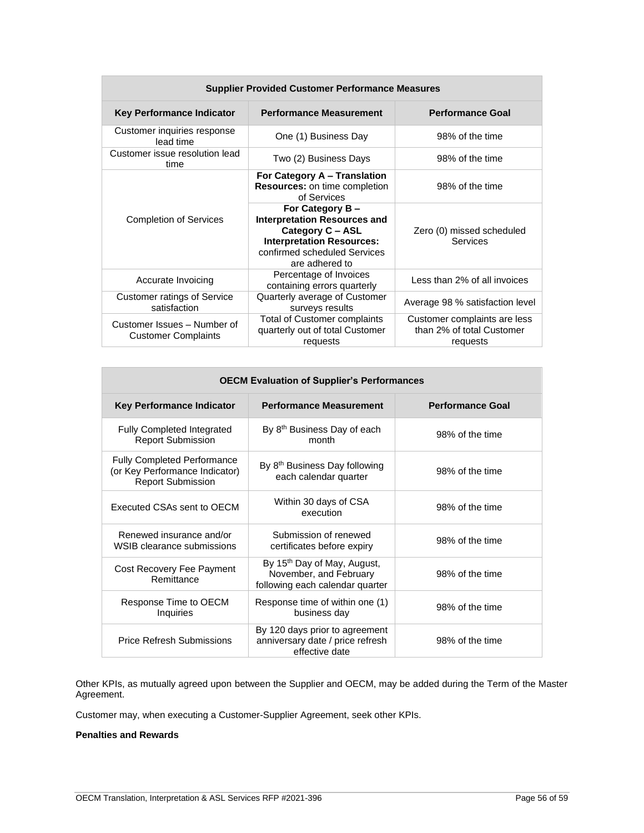| <b>Supplier Provided Customer Performance Measures</b>    |                                                                                                                                                                  |                                                                       |  |
|-----------------------------------------------------------|------------------------------------------------------------------------------------------------------------------------------------------------------------------|-----------------------------------------------------------------------|--|
| Key Performance Indicator                                 | <b>Performance Measurement</b>                                                                                                                                   | <b>Performance Goal</b>                                               |  |
| Customer inquiries response<br>lead time                  | One (1) Business Day                                                                                                                                             | 98% of the time                                                       |  |
| Customer issue resolution lead<br>time                    | Two (2) Business Days                                                                                                                                            | 98% of the time                                                       |  |
|                                                           | For Category A – Translation<br>Resources: on time completion<br>of Services                                                                                     | 98% of the time                                                       |  |
| <b>Completion of Services</b>                             | For Category B-<br><b>Interpretation Resources and</b><br>Category C - ASL<br><b>Interpretation Resources:</b><br>confirmed scheduled Services<br>are adhered to | Zero (0) missed scheduled<br>Services                                 |  |
| Accurate Invoicing                                        | Percentage of Invoices<br>containing errors quarterly                                                                                                            | Less than 2% of all invoices                                          |  |
| <b>Customer ratings of Service</b><br>satisfaction        | Quarterly average of Customer<br>surveys results                                                                                                                 | Average 98 % satisfaction level                                       |  |
| Customer Issues - Number of<br><b>Customer Complaints</b> | Total of Customer complaints<br>quarterly out of total Customer<br>requests                                                                                      | Customer complaints are less<br>than 2% of total Customer<br>requests |  |

| <b>OECM Evaluation of Supplier's Performances</b>                                                |                                                                                                      |                         |  |
|--------------------------------------------------------------------------------------------------|------------------------------------------------------------------------------------------------------|-------------------------|--|
| <b>Key Performance Indicator</b>                                                                 | <b>Performance Measurement</b>                                                                       | <b>Performance Goal</b> |  |
| <b>Fully Completed Integrated</b><br><b>Report Submission</b>                                    | By 8 <sup>th</sup> Business Day of each<br>month                                                     | 98% of the time         |  |
| <b>Fully Completed Performance</b><br>(or Key Performance Indicator)<br><b>Report Submission</b> | By 8 <sup>th</sup> Business Day following<br>each calendar quarter                                   | 98% of the time         |  |
| Executed CSAs sent to OECM                                                                       | Within 30 days of CSA<br>execution                                                                   | 98% of the time         |  |
| Renewed insurance and/or<br>WSIB clearance submissions                                           | Submission of renewed<br>certificates before expiry                                                  | 98% of the time         |  |
| Cost Recovery Fee Payment<br>Remittance                                                          | By 15 <sup>th</sup> Day of May, August,<br>November, and February<br>following each calendar quarter | 98% of the time         |  |
| Response Time to OECM<br>Inquiries                                                               | Response time of within one (1)<br>business day                                                      | 98% of the time         |  |
| <b>Price Refresh Submissions</b>                                                                 | By 120 days prior to agreement<br>anniversary date / price refresh<br>effective date                 | 98% of the time         |  |

Other KPIs, as mutually agreed upon between the Supplier and OECM, may be added during the Term of the Master Agreement.

Customer may, when executing a Customer-Supplier Agreement, seek other KPIs.

# **Penalties and Rewards**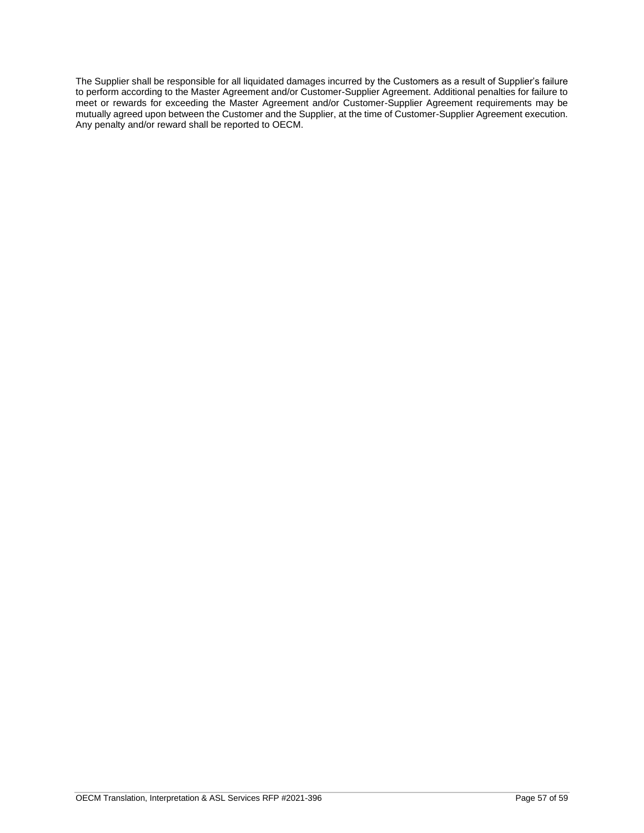The Supplier shall be responsible for all liquidated damages incurred by the Customers as a result of Supplier's failure to perform according to the Master Agreement and/or Customer-Supplier Agreement. Additional penalties for failure to meet or rewards for exceeding the Master Agreement and/or Customer-Supplier Agreement requirements may be mutually agreed upon between the Customer and the Supplier, at the time of Customer-Supplier Agreement execution. Any penalty and/or reward shall be reported to OECM.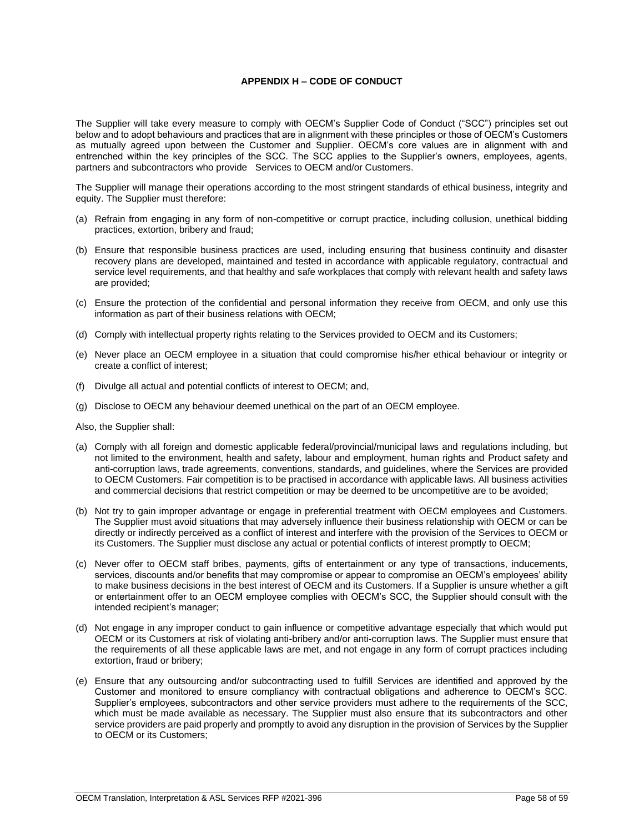# **APPENDIX H – CODE OF CONDUCT**

<span id="page-57-0"></span>The Supplier will take every measure to comply with OECM's Supplier Code of Conduct ("SCC") principles set out below and to adopt behaviours and practices that are in alignment with these principles or those of OECM's Customers as mutually agreed upon between the Customer and Supplier. OECM's core values are in alignment with and entrenched within the key principles of the SCC. The SCC applies to the Supplier's owners, employees, agents, partners and subcontractors who provide Services to OECM and/or Customers.

The Supplier will manage their operations according to the most stringent standards of ethical business, integrity and equity. The Supplier must therefore:

- (a) Refrain from engaging in any form of non-competitive or corrupt practice, including collusion, unethical bidding practices, extortion, bribery and fraud;
- (b) Ensure that responsible business practices are used, including ensuring that business continuity and disaster recovery plans are developed, maintained and tested in accordance with applicable regulatory, contractual and service level requirements, and that healthy and safe workplaces that comply with relevant health and safety laws are provided;
- (c) Ensure the protection of the confidential and personal information they receive from OECM, and only use this information as part of their business relations with OECM;
- (d) Comply with intellectual property rights relating to the Services provided to OECM and its Customers;
- (e) Never place an OECM employee in a situation that could compromise his/her ethical behaviour or integrity or create a conflict of interest;
- (f) Divulge all actual and potential conflicts of interest to OECM; and,
- (g) Disclose to OECM any behaviour deemed unethical on the part of an OECM employee.

Also, the Supplier shall:

- (a) Comply with all foreign and domestic applicable federal/provincial/municipal laws and regulations including, but not limited to the environment, health and safety, labour and employment, human rights and Product safety and anti-corruption laws, trade agreements, conventions, standards, and guidelines, where the Services are provided to OECM Customers. Fair competition is to be practised in accordance with applicable laws. All business activities and commercial decisions that restrict competition or may be deemed to be uncompetitive are to be avoided;
- (b) Not try to gain improper advantage or engage in preferential treatment with OECM employees and Customers. The Supplier must avoid situations that may adversely influence their business relationship with OECM or can be directly or indirectly perceived as a conflict of interest and interfere with the provision of the Services to OECM or its Customers. The Supplier must disclose any actual or potential conflicts of interest promptly to OECM;
- (c) Never offer to OECM staff bribes, payments, gifts of entertainment or any type of transactions, inducements, services, discounts and/or benefits that may compromise or appear to compromise an OECM's employees' ability to make business decisions in the best interest of OECM and its Customers. If a Supplier is unsure whether a gift or entertainment offer to an OECM employee complies with OECM's SCC, the Supplier should consult with the intended recipient's manager;
- (d) Not engage in any improper conduct to gain influence or competitive advantage especially that which would put OECM or its Customers at risk of violating anti-bribery and/or anti-corruption laws. The Supplier must ensure that the requirements of all these applicable laws are met, and not engage in any form of corrupt practices including extortion, fraud or bribery;
- (e) Ensure that any outsourcing and/or subcontracting used to fulfill Services are identified and approved by the Customer and monitored to ensure compliancy with contractual obligations and adherence to OECM's SCC. Supplier's employees, subcontractors and other service providers must adhere to the requirements of the SCC, which must be made available as necessary. The Supplier must also ensure that its subcontractors and other service providers are paid properly and promptly to avoid any disruption in the provision of Services by the Supplier to OECM or its Customers;